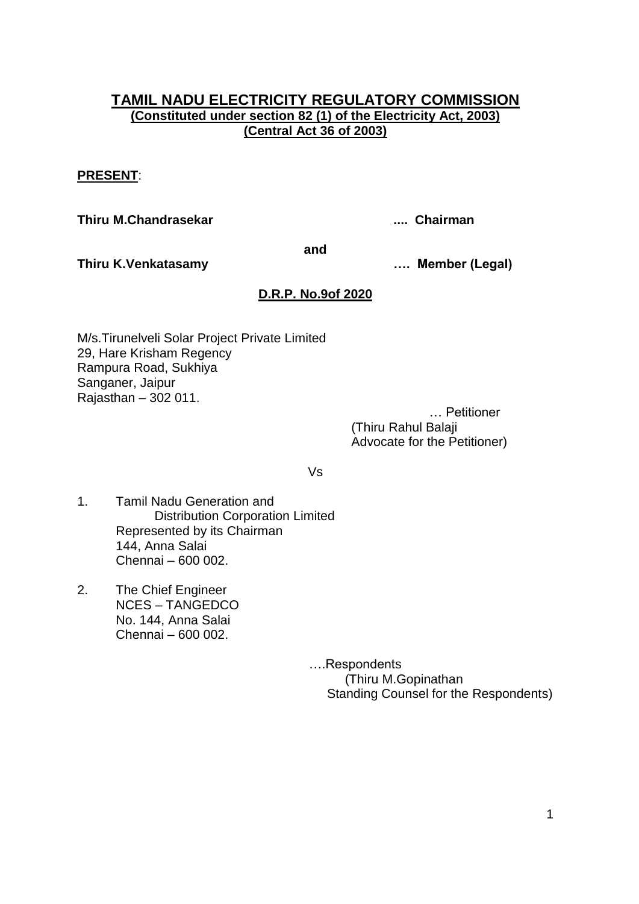# **TAMIL NADU ELECTRICITY REGULATORY COMMISSION (Constituted under section 82 (1) of the Electricity Act, 2003) (Central Act 36 of 2003)**

#### **PRESENT**:

**Thiru M.Chandrasekar .... Chairman**

**and**

**Thiru K.Venkatasamy …. Member (Legal)**

# **D.R.P. No.9of 2020**

M/s.Tirunelveli Solar Project Private Limited 29, Hare Krisham Regency Rampura Road, Sukhiya Sanganer, Jaipur Rajasthan – 302 011.

 … Petitioner (Thiru Rahul Balaji Advocate for the Petitioner)

Vs

- 1. Tamil Nadu Generation and Distribution Corporation Limited Represented by its Chairman 144, Anna Salai Chennai – 600 002.
- 2. The Chief Engineer NCES – TANGEDCO No. 144, Anna Salai Chennai – 600 002.

….Respondents (Thiru M.Gopinathan Standing Counsel for the Respondents)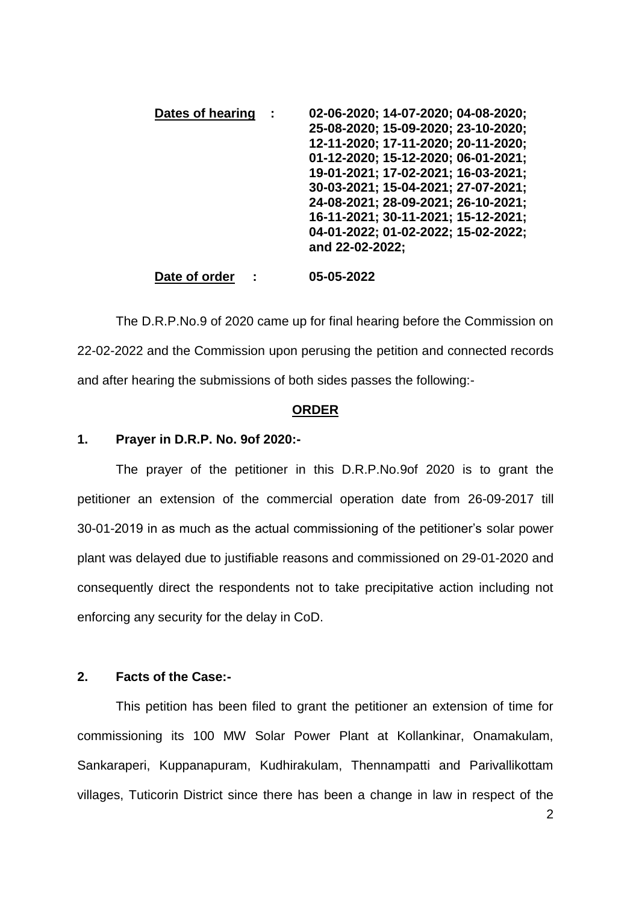| Dates of hearing | 02-06-2020; 14-07-2020; 04-08-2020; |
|------------------|-------------------------------------|
|                  | 25-08-2020; 15-09-2020; 23-10-2020; |
|                  | 12-11-2020; 17-11-2020; 20-11-2020; |
|                  | 01-12-2020; 15-12-2020; 06-01-2021; |
|                  | 19-01-2021; 17-02-2021; 16-03-2021; |
|                  | 30-03-2021; 15-04-2021; 27-07-2021; |
|                  | 24-08-2021; 28-09-2021; 26-10-2021; |
|                  | 16-11-2021; 30-11-2021; 15-12-2021; |
|                  | 04-01-2022; 01-02-2022; 15-02-2022; |
|                  | and 22-02-2022;                     |
|                  |                                     |

**Date of order : 05-05-2022**

The D.R.P.No.9 of 2020 came up for final hearing before the Commission on 22-02-2022 and the Commission upon perusing the petition and connected records and after hearing the submissions of both sides passes the following:-

#### **ORDER**

### **1. Prayer in D.R.P. No. 9of 2020:-**

The prayer of the petitioner in this D.R.P.No.9of 2020 is to grant the petitioner an extension of the commercial operation date from 26-09-2017 till 30-01-2019 in as much as the actual commissioning of the petitioner"s solar power plant was delayed due to justifiable reasons and commissioned on 29-01-2020 and consequently direct the respondents not to take precipitative action including not enforcing any security for the delay in CoD.

## **2. Facts of the Case:-**

This petition has been filed to grant the petitioner an extension of time for commissioning its 100 MW Solar Power Plant at Kollankinar, Onamakulam, Sankaraperi, Kuppanapuram, Kudhirakulam, Thennampatti and Parivallikottam villages, Tuticorin District since there has been a change in law in respect of the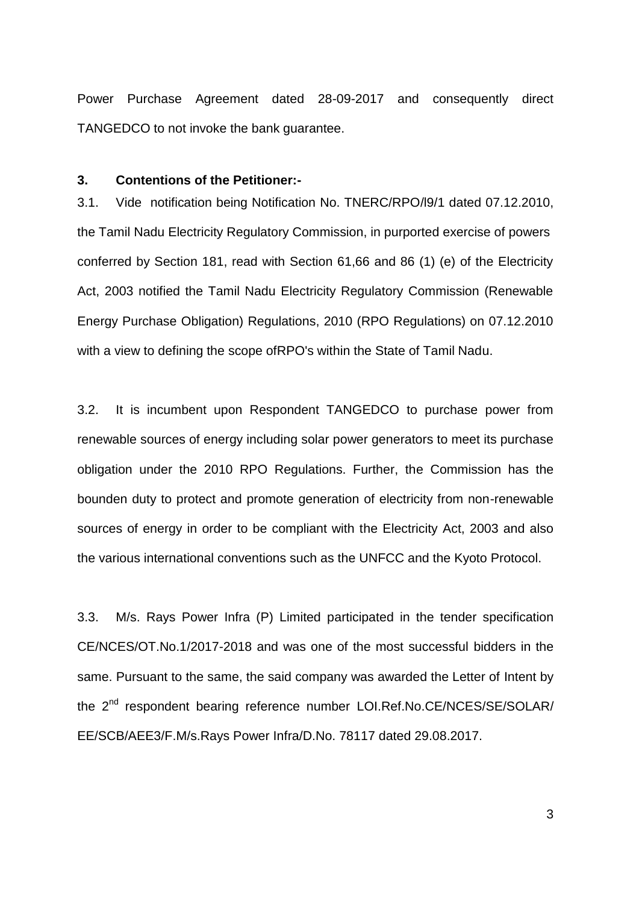Power Purchase Agreement dated 28-09-2017 and consequently direct TANGEDCO to not invoke the bank guarantee.

#### **3. Contentions of the Petitioner:-**

3.1. Vide notification being Notification No. TNERC/RPO/l9/1 dated 07.12.2010, the Tamil Nadu Electricity Regulatory Commission, in purported exercise of powers conferred by Section 181, read with Section 61,66 and 86 (1) (e) of the Electricity Act, 2003 notified the Tamil Nadu Electricity Regulatory Commission (Renewable Energy Purchase Obligation) Regulations, 2010 (RPO Regulations) on 07.12.2010 with a view to defining the scope ofRPO's within the State of Tamil Nadu.

3.2. It is incumbent upon Respondent TANGEDCO to purchase power from renewable sources of energy including solar power generators to meet its purchase obligation under the 2010 RPO Regulations. Further, the Commission has the bounden duty to protect and promote generation of electricity from non-renewable sources of energy in order to be compliant with the Electricity Act, 2003 and also the various international conventions such as the UNFCC and the Kyoto Protocol.

3.3. M/s. Rays Power Infra (P) Limited participated in the tender specification CE/NCES/OT.No.1/2017-2018 and was one of the most successful bidders in the same. Pursuant to the same, the said company was awarded the Letter of Intent by the 2<sup>nd</sup> respondent bearing reference number LOI.Ref.No.CE/NCES/SE/SOLAR/ EE/SCB/AEE3/F.M/s.Rays Power Infra/D.No. 78117 dated 29.08.2017.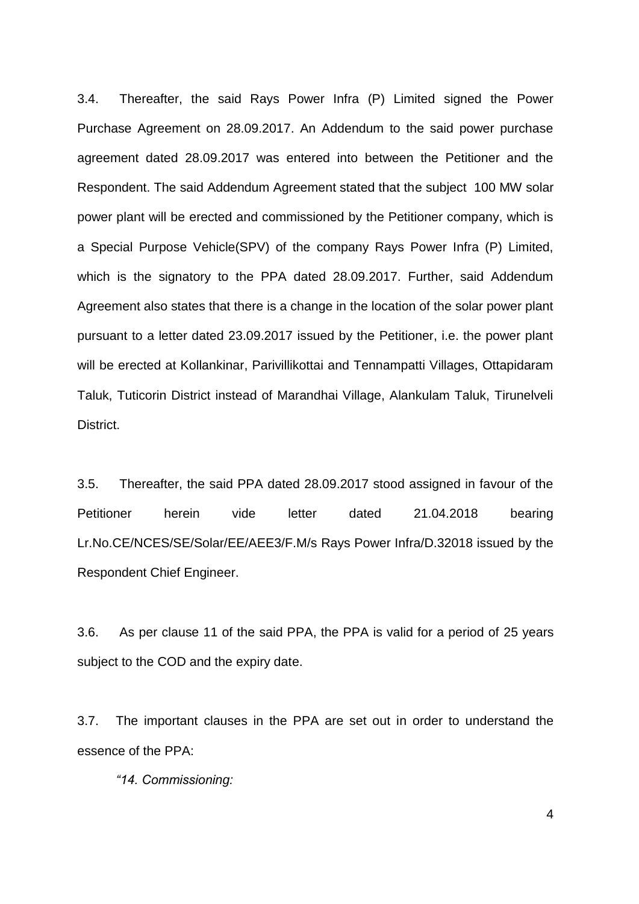3.4. Thereafter, the said Rays Power Infra (P) Limited signed the Power Purchase Agreement on 28.09.2017. An Addendum to the said power purchase agreement dated 28.09.2017 was entered into between the Petitioner and the Respondent. The said Addendum Agreement stated that the subject 100 MW solar power plant will be erected and commissioned by the Petitioner company, which is a Special Purpose Vehicle(SPV) of the company Rays Power Infra (P) Limited, which is the signatory to the PPA dated 28.09.2017. Further, said Addendum Agreement also states that there is a change in the location of the solar power plant pursuant to a letter dated 23.09.2017 issued by the Petitioner, i.e. the power plant will be erected at Kollankinar, Parivillikottai and Tennampatti Villages, Ottapidaram Taluk, Tuticorin District instead of Marandhai Village, Alankulam Taluk, Tirunelveli District.

3.5. Thereafter, the said PPA dated 28.09.2017 stood assigned in favour of the Petitioner herein vide letter dated 21.04.2018 bearing Lr.No.CE/NCES/SE/Solar/EE/AEE3/F.M/s Rays Power Infra/D.32018 issued by the Respondent Chief Engineer.

3.6. As per clause 11 of the said PPA, the PPA is valid for a period of 25 years subject to the COD and the expiry date.

3.7. The important clauses in the PPA are set out in order to understand the essence of the PPA:

*"14. Commissioning:*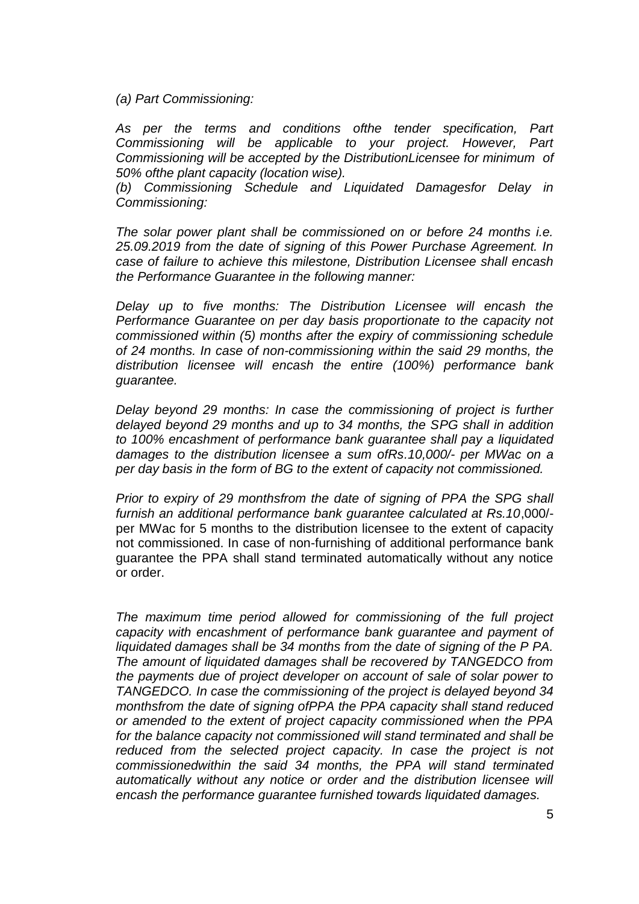*(a) Part Commissioning:* 

*As per the terms and conditions ofthe tender specification, Part Commissioning will be applicable to your project. However, Part Commissioning will be accepted by the DistributionLicensee for minimum of 50% ofthe plant capacity (location wise).* 

*(b) Commissioning Schedule and Liquidated Damagesfor Delay in Commissioning:*

*The solar power plant shall be commissioned on or before 24 months i.e. 25.09.2019 from the date of signing of this Power Purchase Agreement. In case of failure to achieve this milestone, Distribution Licensee shall encash the Performance Guarantee in the following manner:*

*Delay up to five months: The Distribution Licensee will encash the Performance Guarantee on per day basis proportionate to the capacity not commissioned within (5) months after the expiry of commissioning schedule of 24 months. In case of non-commissioning within the said 29 months, the distribution licensee will encash the entire (100%) performance bank guarantee.* 

*Delay beyond 29 months: In case the commissioning of project is further delayed beyond 29 months and up to 34 months, the SPG shall in addition to 100% encashment of performance bank guarantee shall pay a liquidated damages to the distribution licensee a sum ofRs.10,000/- per MWac on a per day basis in the form of BG to the extent of capacity not commissioned.* 

*Prior to expiry of 29 monthsfrom the date of signing of PPA the SPG shall furnish an additional performance bank guarantee calculated at Rs.10*,000/ per MWac for 5 months to the distribution licensee to the extent of capacity not commissioned. In case of non-furnishing of additional performance bank guarantee the PPA shall stand terminated automatically without any notice or order.

*The maximum time period allowed for commissioning of the full project capacity with encashment of performance bank guarantee and payment of liquidated damages shall be 34 months from the date of signing of the P PA. The amount of liquidated damages shall be recovered by TANGEDCO from the payments due of project developer on account of sale of solar power to TANGEDCO. In case the commissioning of the project is delayed beyond 34 monthsfrom the date of signing ofPPA the PPA capacity shall stand reduced or amended to the extent of project capacity commissioned when the PPA for the balance capacity not commissioned will stand terminated and shall be* reduced from the selected project capacity. In case the project is not *commissionedwithin the said 34 months, the PPA will stand terminated automatically without any notice or order and the distribution licensee will encash the performance guarantee furnished towards liquidated damages.*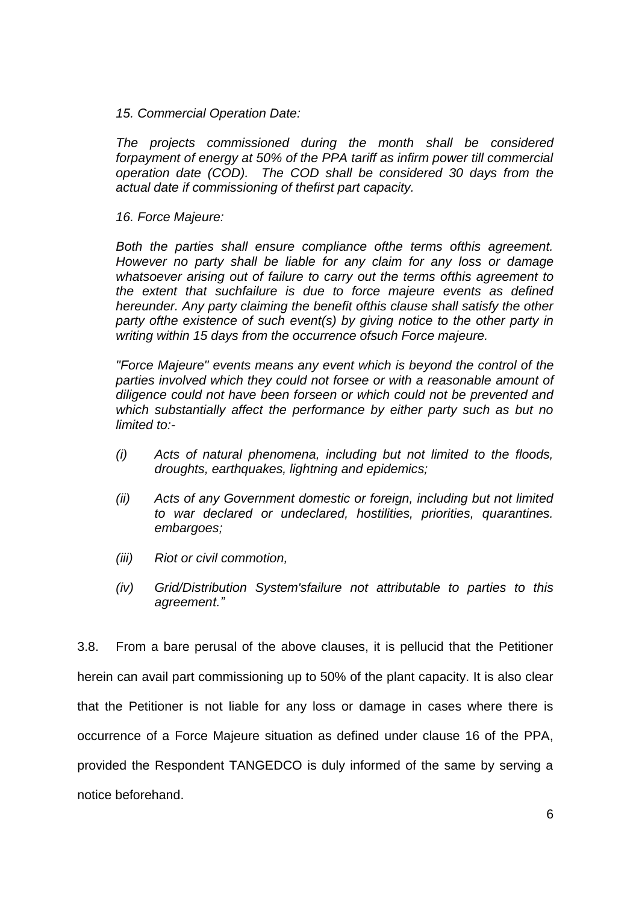#### *15. Commercial Operation Date:*

*The projects commissioned during the month shall be considered forpayment of energy at 50% of the PPA tariff as infirm power till commercial operation date (COD). The COD shall be considered 30 days from the actual date if commissioning of thefirst part capacity.* 

### *16. Force Majeure:*

*Both the parties shall ensure compliance ofthe terms ofthis agreement. However no party shall be liable for any claim for any loss or damage whatsoever arising out of failure to carry out the terms ofthis agreement to the extent that suchfailure is due to force majeure events as defined hereunder. Any party claiming the benefit ofthis clause shall satisfy the other party ofthe existence of such event(s) by giving notice to the other party in writing within 15 days from the occurrence ofsuch Force majeure.* 

*"Force Majeure" events means any event which is beyond the control of the parties involved which they could not forsee or with a reasonable amount of diligence could not have been forseen or which could not be prevented and which substantially affect the performance by either party such as but no limited to:-*

- *(i) Acts of natural phenomena, including but not limited to the floods, droughts, earthquakes, lightning and epidemics;*
- *(ii) Acts of any Government domestic or foreign, including but not limited to war declared or undeclared, hostilities, priorities, quarantines. embargoes;*
- *(iii) Riot or civil commotion,*
- *(iv) Grid/Distribution System'sfailure not attributable to parties to this agreement."*

3.8. From a bare perusal of the above clauses, it is pellucid that the Petitioner herein can avail part commissioning up to 50% of the plant capacity. It is also clear that the Petitioner is not liable for any loss or damage in cases where there is occurrence of a Force Majeure situation as defined under clause 16 of the PPA, provided the Respondent TANGEDCO is duly informed of the same by serving a notice beforehand.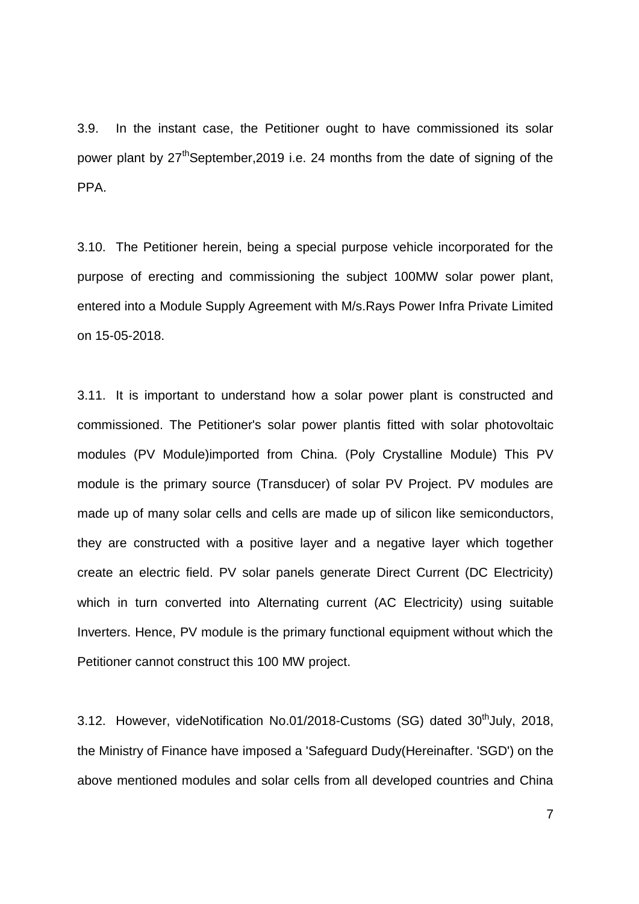3.9. In the instant case, the Petitioner ought to have commissioned its solar power plant by 27<sup>th</sup>September, 2019 i.e. 24 months from the date of signing of the PPA.

3.10. The Petitioner herein, being a special purpose vehicle incorporated for the purpose of erecting and commissioning the subject 100MW solar power plant, entered into a Module Supply Agreement with M/s.Rays Power Infra Private Limited on 15-05-2018.

3.11. It is important to understand how a solar power plant is constructed and commissioned. The Petitioner's solar power plantis fitted with solar photovoltaic modules (PV Module)imported from China. (Poly Crystalline Module) This PV module is the primary source (Transducer) of solar PV Project. PV modules are made up of many solar cells and cells are made up of silicon like semiconductors, they are constructed with a positive layer and a negative layer which together create an electric field. PV solar panels generate Direct Current (DC Electricity) which in turn converted into Alternating current (AC Electricity) using suitable Inverters. Hence, PV module is the primary functional equipment without which the Petitioner cannot construct this 100 MW project.

3.12. However, videNotification No.01/2018-Customs (SG) dated 30<sup>th</sup>July, 2018, the Ministry of Finance have imposed a 'Safeguard Dudy(Hereinafter. 'SGD') on the above mentioned modules and solar cells from all developed countries and China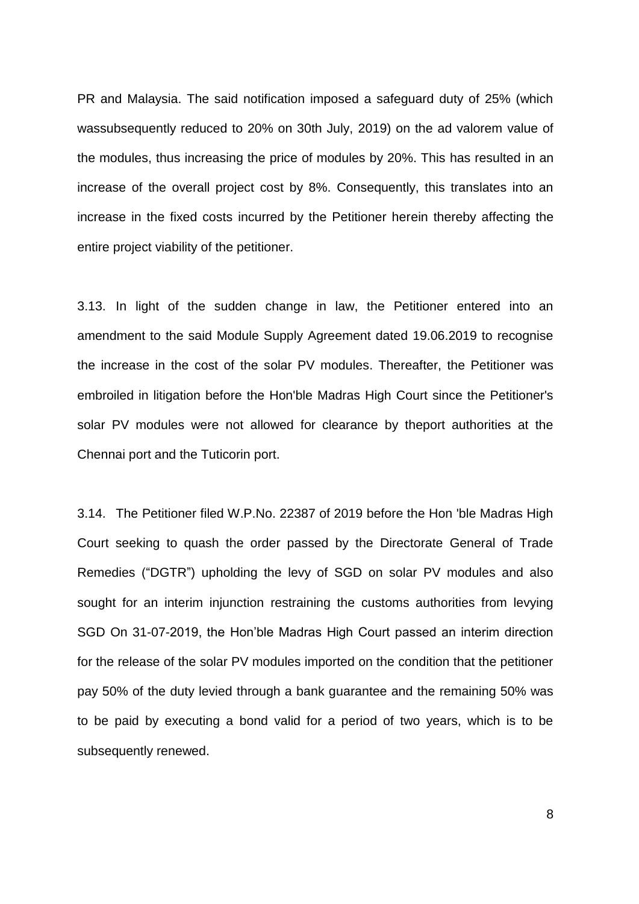PR and Malaysia. The said notification imposed a safeguard duty of 25% (which wassubsequently reduced to 20% on 30th July, 2019) on the ad valorem value of the modules, thus increasing the price of modules by 20%. This has resulted in an increase of the overall project cost by 8%. Consequently, this translates into an increase in the fixed costs incurred by the Petitioner herein thereby affecting the entire project viability of the petitioner.

3.13. In light of the sudden change in law, the Petitioner entered into an amendment to the said Module Supply Agreement dated 19.06.2019 to recognise the increase in the cost of the solar PV modules. Thereafter, the Petitioner was embroiled in litigation before the Hon'ble Madras High Court since the Petitioner's solar PV modules were not allowed for clearance by theport authorities at the Chennai port and the Tuticorin port.

3.14. The Petitioner filed W.P.No. 22387 of 2019 before the Hon 'ble Madras High Court seeking to quash the order passed by the Directorate General of Trade Remedies ("DGTR") upholding the levy of SGD on solar PV modules and also sought for an interim injunction restraining the customs authorities from levying SGD On 31-07-2019, the Hon"ble Madras High Court passed an interim direction for the release of the solar PV modules imported on the condition that the petitioner pay 50% of the duty levied through a bank guarantee and the remaining 50% was to be paid by executing a bond valid for a period of two years, which is to be subsequently renewed.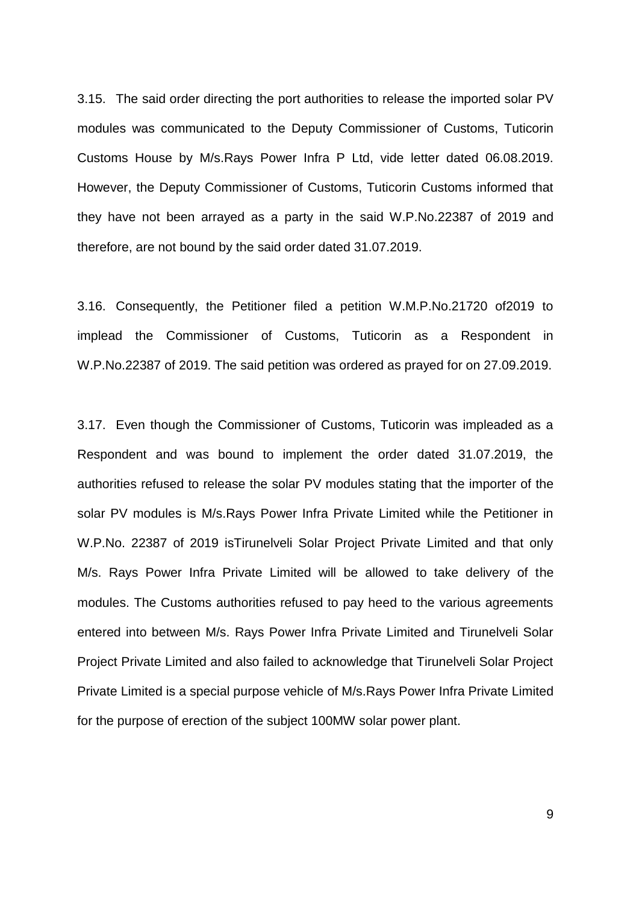3.15. The said order directing the port authorities to release the imported solar PV modules was communicated to the Deputy Commissioner of Customs, Tuticorin Customs House by M/s.Rays Power Infra P Ltd, vide letter dated 06.08.2019. However, the Deputy Commissioner of Customs, Tuticorin Customs informed that they have not been arrayed as a party in the said W.P.No.22387 of 2019 and therefore, are not bound by the said order dated 31.07.2019.

3.16. Consequently, the Petitioner filed a petition W.M.P.No.21720 of2019 to implead the Commissioner of Customs, Tuticorin as a Respondent in W.P.No.22387 of 2019. The said petition was ordered as prayed for on 27.09.2019.

3.17. Even though the Commissioner of Customs, Tuticorin was impleaded as a Respondent and was bound to implement the order dated 31.07.2019, the authorities refused to release the solar PV modules stating that the importer of the solar PV modules is M/s.Rays Power Infra Private Limited while the Petitioner in W.P.No. 22387 of 2019 isTirunelveli Solar Project Private Limited and that only M/s. Rays Power Infra Private Limited will be allowed to take delivery of the modules. The Customs authorities refused to pay heed to the various agreements entered into between M/s. Rays Power Infra Private Limited and Tirunelveli Solar Project Private Limited and also failed to acknowledge that Tirunelveli Solar Project Private Limited is a special purpose vehicle of M/s.Rays Power Infra Private Limited for the purpose of erection of the subject 100MW solar power plant.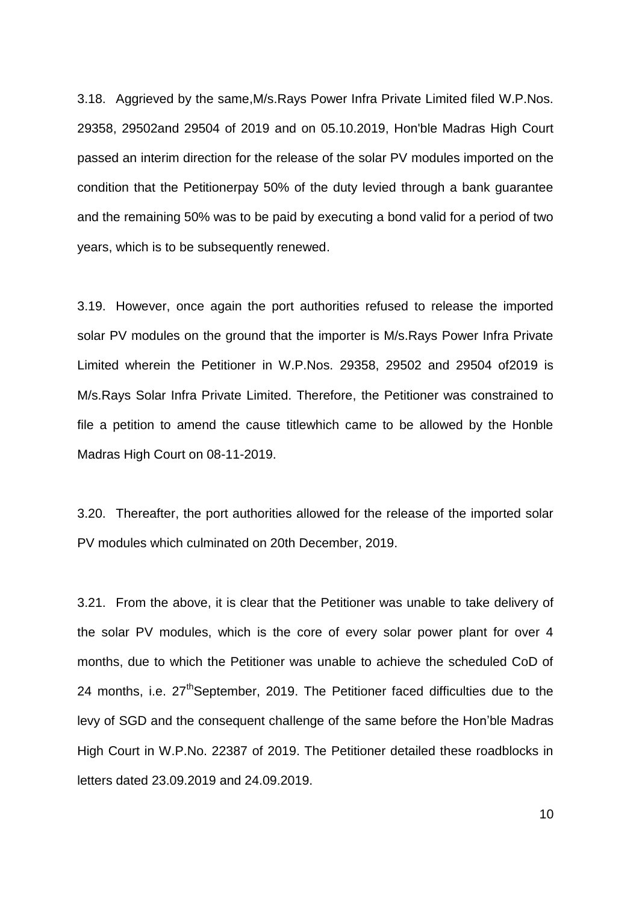3.18. Aggrieved by the same,M/s.Rays Power Infra Private Limited filed W.P.Nos. 29358, 29502and 29504 of 2019 and on 05.10.2019, Hon'ble Madras High Court passed an interim direction for the release of the solar PV modules imported on the condition that the Petitionerpay 50% of the duty levied through a bank guarantee and the remaining 50% was to be paid by executing a bond valid for a period of two years, which is to be subsequently renewed.

3.19. However, once again the port authorities refused to release the imported solar PV modules on the ground that the importer is M/s.Rays Power Infra Private Limited wherein the Petitioner in W.P.Nos. 29358, 29502 and 29504 of2019 is M/s.Rays Solar Infra Private Limited. Therefore, the Petitioner was constrained to file a petition to amend the cause titlewhich came to be allowed by the Honble Madras High Court on 08-11-2019.

3.20. Thereafter, the port authorities allowed for the release of the imported solar PV modules which culminated on 20th December, 2019.

3.21. From the above, it is clear that the Petitioner was unable to take delivery of the solar PV modules, which is the core of every solar power plant for over 4 months, due to which the Petitioner was unable to achieve the scheduled CoD of 24 months, i.e. 27<sup>th</sup>September, 2019. The Petitioner faced difficulties due to the levy of SGD and the consequent challenge of the same before the Hon"ble Madras High Court in W.P.No. 22387 of 2019. The Petitioner detailed these roadblocks in letters dated 23.09.2019 and 24.09.2019.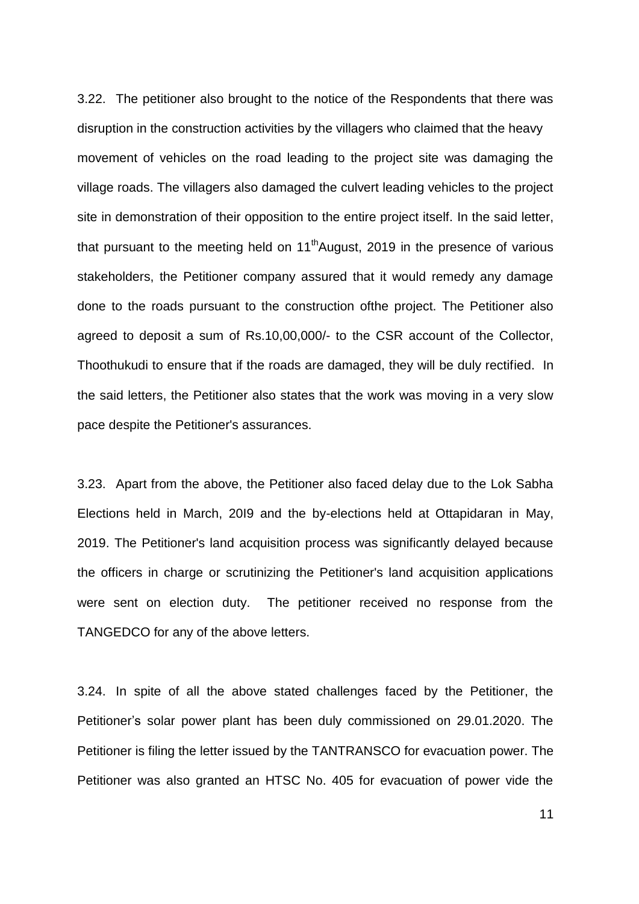3.22. The petitioner also brought to the notice of the Respondents that there was disruption in the construction activities by the villagers who claimed that the heavy movement of vehicles on the road leading to the project site was damaging the village roads. The villagers also damaged the culvert leading vehicles to the project site in demonstration of their opposition to the entire project itself. In the said letter, that pursuant to the meeting held on  $11<sup>th</sup>$ August, 2019 in the presence of various stakeholders, the Petitioner company assured that it would remedy any damage done to the roads pursuant to the construction ofthe project. The Petitioner also agreed to deposit a sum of Rs.10,00,000/- to the CSR account of the Collector, Thoothukudi to ensure that if the roads are damaged, they will be duly rectified. In the said letters, the Petitioner also states that the work was moving in a very slow pace despite the Petitioner's assurances.

3.23. Apart from the above, the Petitioner also faced delay due to the Lok Sabha Elections held in March, 20I9 and the by-elections held at Ottapidaran in May, 2019. The Petitioner's land acquisition process was significantly delayed because the officers in charge or scrutinizing the Petitioner's land acquisition applications were sent on election duty. The petitioner received no response from the TANGEDCO for any of the above letters.

3.24. In spite of all the above stated challenges faced by the Petitioner, the Petitioner"s solar power plant has been duly commissioned on 29.01.2020. The Petitioner is filing the letter issued by the TANTRANSCO for evacuation power. The Petitioner was also granted an HTSC No. 405 for evacuation of power vide the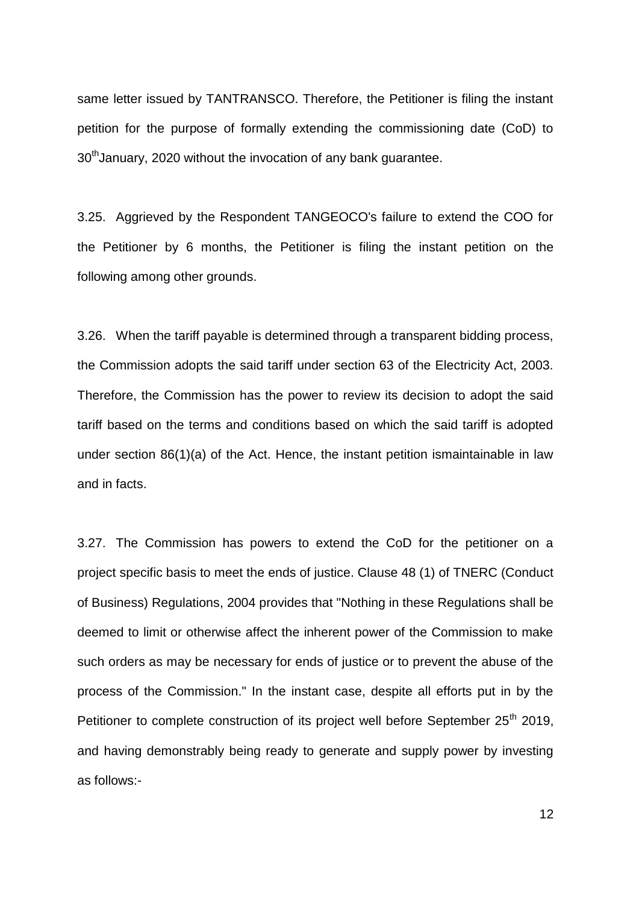same letter issued by TANTRANSCO. Therefore, the Petitioner is filing the instant petition for the purpose of formally extending the commissioning date (CoD) to 30<sup>th</sup> January, 2020 without the invocation of any bank guarantee.

3.25. Aggrieved by the Respondent TANGEOCO's failure to extend the COO for the Petitioner by 6 months, the Petitioner is filing the instant petition on the following among other grounds.

3.26. When the tariff payable is determined through a transparent bidding process, the Commission adopts the said tariff under section 63 of the Electricity Act, 2003. Therefore, the Commission has the power to review its decision to adopt the said tariff based on the terms and conditions based on which the said tariff is adopted under section 86(1)(a) of the Act. Hence, the instant petition ismaintainable in law and in facts.

3.27. The Commission has powers to extend the CoD for the petitioner on a project specific basis to meet the ends of justice. Clause 48 (1) of TNERC (Conduct of Business) Regulations, 2004 provides that "Nothing in these Regulations shall be deemed to limit or otherwise affect the inherent power of the Commission to make such orders as may be necessary for ends of justice or to prevent the abuse of the process of the Commission." In the instant case, despite all efforts put in by the Petitioner to complete construction of its project well before September 25<sup>th</sup> 2019, and having demonstrably being ready to generate and supply power by investing as follows:-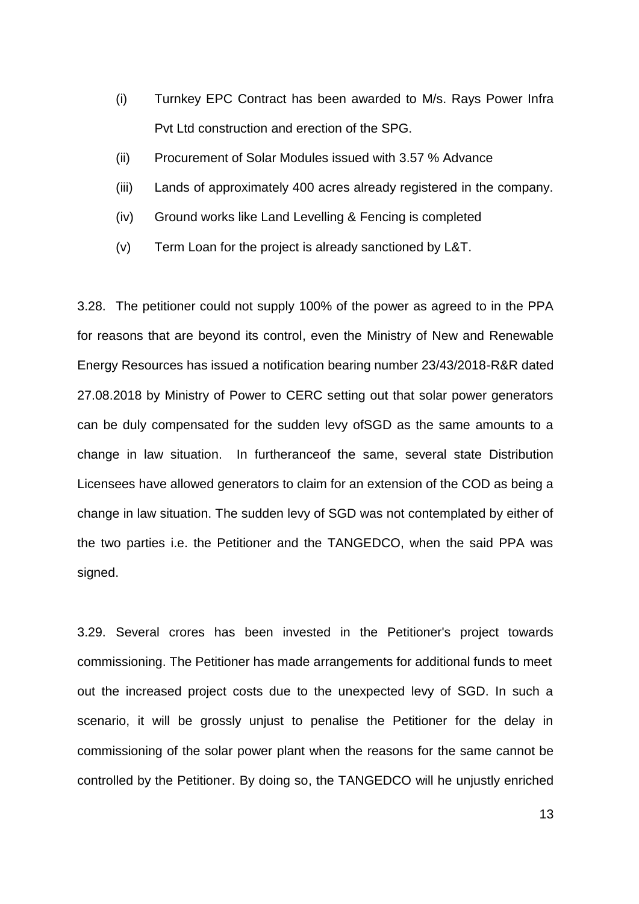- (i) Turnkey EPC Contract has been awarded to M/s. Rays Power Infra Pvt Ltd construction and erection of the SPG.
- (ii) Procurement of Solar Modules issued with 3.57 % Advance
- (iii) Lands of approximately 400 acres already registered in the company.
- (iv) Ground works like Land Levelling & Fencing is completed
- (v) Term Loan for the project is already sanctioned by L&T.

3.28. The petitioner could not supply 100% of the power as agreed to in the PPA for reasons that are beyond its control, even the Ministry of New and Renewable Energy Resources has issued a notification bearing number 23/43/2018-R&R dated 27.08.2018 by Ministry of Power to CERC setting out that solar power generators can be duly compensated for the sudden levy ofSGD as the same amounts to a change in law situation. In furtheranceof the same, several state Distribution Licensees have allowed generators to claim for an extension of the COD as being a change in law situation. The sudden levy of SGD was not contemplated by either of the two parties i.e. the Petitioner and the TANGEDCO, when the said PPA was signed.

3.29. Several crores has been invested in the Petitioner's project towards commissioning. The Petitioner has made arrangements for additional funds to meet out the increased project costs due to the unexpected levy of SGD. In such a scenario, it will be grossly unjust to penalise the Petitioner for the delay in commissioning of the solar power plant when the reasons for the same cannot be controlled by the Petitioner. By doing so, the TANGEDCO will he unjustly enriched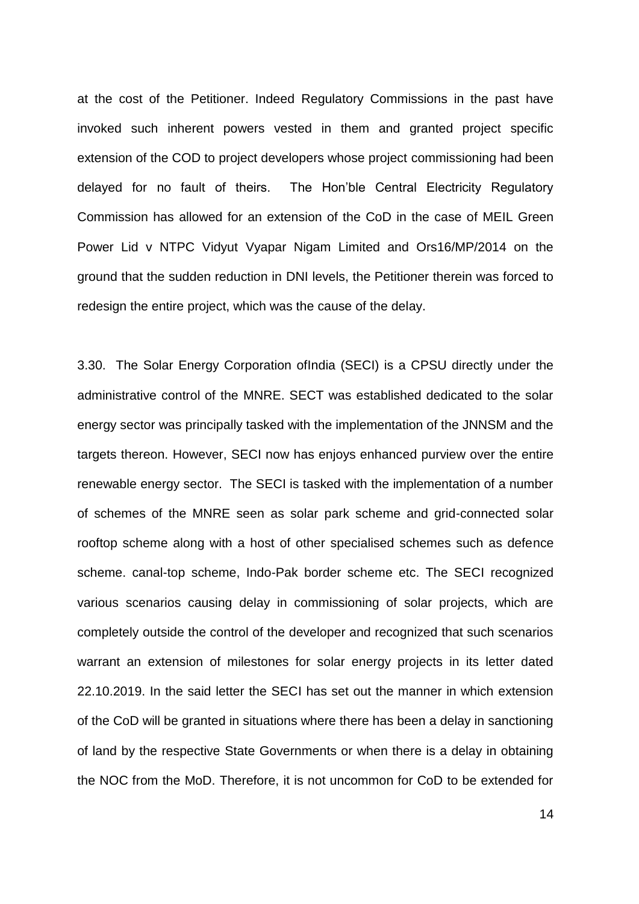at the cost of the Petitioner. Indeed Regulatory Commissions in the past have invoked such inherent powers vested in them and granted project specific extension of the COD to project developers whose project commissioning had been delayed for no fault of theirs. The Hon"ble Central Electricity Regulatory Commission has allowed for an extension of the CoD in the case of MEIL Green Power Lid v NTPC Vidyut Vyapar Nigam Limited and Ors16/MP/2014 on the ground that the sudden reduction in DNI levels, the Petitioner therein was forced to redesign the entire project, which was the cause of the delay.

3.30. The Solar Energy Corporation ofIndia (SECI) is a CPSU directly under the administrative control of the MNRE. SECT was established dedicated to the solar energy sector was principally tasked with the implementation of the JNNSM and the targets thereon. However, SECI now has enjoys enhanced purview over the entire renewable energy sector. The SECI is tasked with the implementation of a number of schemes of the MNRE seen as solar park scheme and grid-connected solar rooftop scheme along with a host of other specialised schemes such as defence scheme. canal-top scheme, Indo-Pak border scheme etc. The SECI recognized various scenarios causing delay in commissioning of solar projects, which are completely outside the control of the developer and recognized that such scenarios warrant an extension of milestones for solar energy projects in its letter dated 22.10.2019. In the said letter the SECI has set out the manner in which extension of the CoD will be granted in situations where there has been a delay in sanctioning of land by the respective State Governments or when there is a delay in obtaining the NOC from the MoD. Therefore, it is not uncommon for CoD to be extended for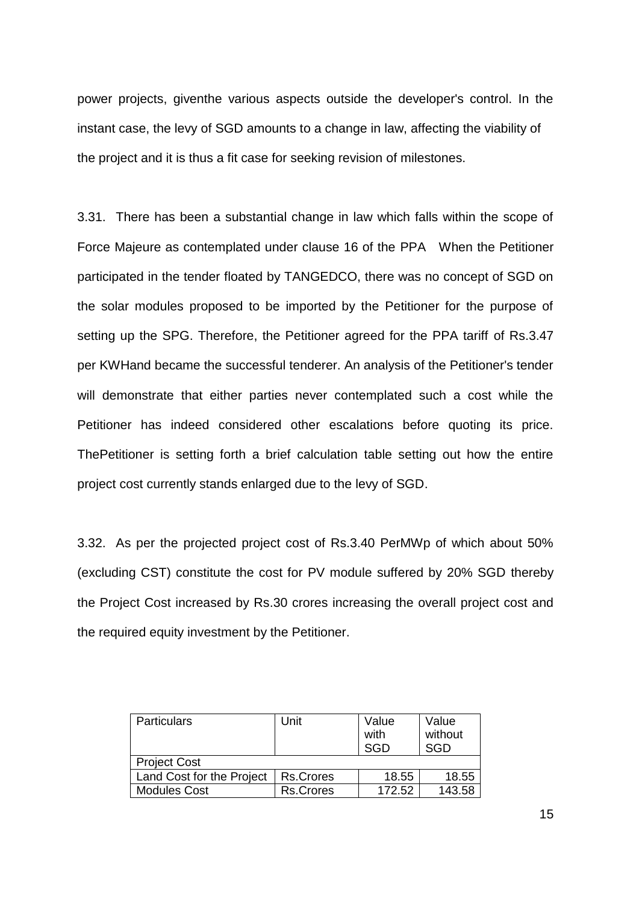power projects, giventhe various aspects outside the developer's control. In the instant case, the levy of SGD amounts to a change in law, affecting the viability of the project and it is thus a fit case for seeking revision of milestones.

3.31. There has been a substantial change in law which falls within the scope of Force Majeure as contemplated under clause 16 of the PPA When the Petitioner participated in the tender floated by TANGEDCO, there was no concept of SGD on the solar modules proposed to be imported by the Petitioner for the purpose of setting up the SPG. Therefore, the Petitioner agreed for the PPA tariff of Rs.3.47 per KWHand became the successful tenderer. An analysis of the Petitioner's tender will demonstrate that either parties never contemplated such a cost while the Petitioner has indeed considered other escalations before quoting its price. ThePetitioner is setting forth a brief calculation table setting out how the entire project cost currently stands enlarged due to the levy of SGD.

3.32. As per the projected project cost of Rs.3.40 PerMWp of which about 50% (excluding CST) constitute the cost for PV module suffered by 20% SGD thereby the Project Cost increased by Rs.30 crores increasing the overall project cost and the required equity investment by the Petitioner.

| <b>Particulars</b>        | Unit             | Value  | Value      |
|---------------------------|------------------|--------|------------|
|                           |                  | with   | without    |
|                           |                  | SGD    | <b>SGD</b> |
| <b>Project Cost</b>       |                  |        |            |
| Land Cost for the Project | Rs.Crores        | 18.55  | 18.55      |
| <b>Modules Cost</b>       | <b>Rs.Crores</b> | 172.52 | 143.58     |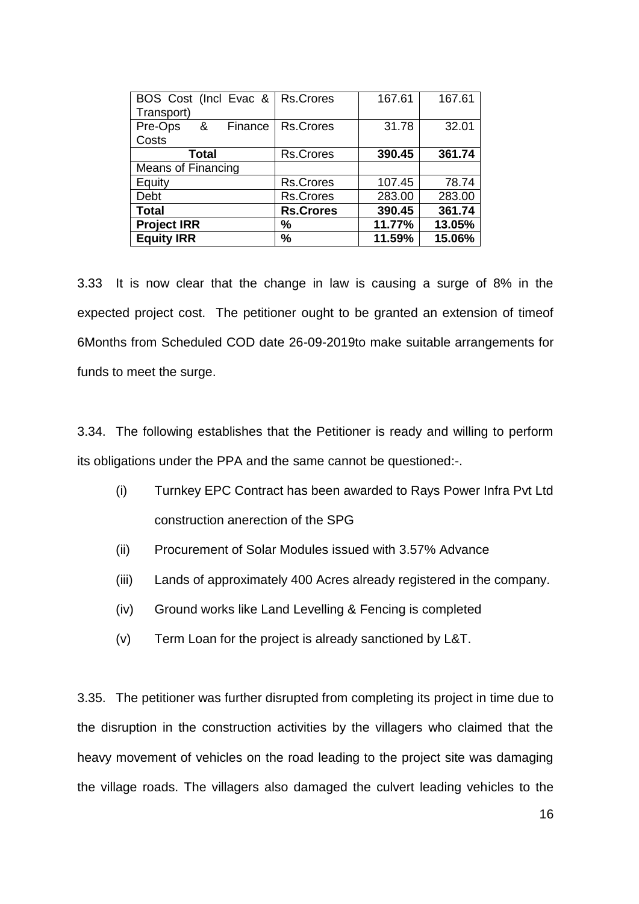| BOS Cost (Incl Evac &<br>Transport) | Rs.Crores        | 167.61 | 167.61 |
|-------------------------------------|------------------|--------|--------|
| Pre-Ops<br>&<br>Finance             | Rs.Crores        | 31.78  | 32.01  |
| Costs                               |                  |        |        |
| <b>Total</b>                        | <b>Rs.Crores</b> | 390.45 | 361.74 |
| <b>Means of Financing</b>           |                  |        |        |
| Equity                              | <b>Rs.Crores</b> | 107.45 | 78.74  |
| Debt                                | <b>Rs.Crores</b> | 283.00 | 283.00 |
| <b>Total</b>                        | <b>Rs.Crores</b> | 390.45 | 361.74 |
| <b>Project IRR</b>                  | $\frac{9}{6}$    | 11.77% | 13.05% |
| <b>Equity IRR</b>                   | %                | 11.59% | 15.06% |

3.33 It is now clear that the change in law is causing a surge of 8% in the expected project cost. The petitioner ought to be granted an extension of timeof 6Months from Scheduled COD date 26-09-2019to make suitable arrangements for funds to meet the surge.

3.34. The following establishes that the Petitioner is ready and willing to perform its obligations under the PPA and the same cannot be questioned:-.

- (i) Turnkey EPC Contract has been awarded to Rays Power Infra Pvt Ltd construction anerection of the SPG
- (ii) Procurement of Solar Modules issued with 3.57% Advance
- (iii) Lands of approximately 400 Acres already registered in the company.
- (iv) Ground works like Land Levelling & Fencing is completed
- (v) Term Loan for the project is already sanctioned by L&T.

3.35. The petitioner was further disrupted from completing its project in time due to the disruption in the construction activities by the villagers who claimed that the heavy movement of vehicles on the road leading to the project site was damaging the village roads. The villagers also damaged the culvert leading vehicles to the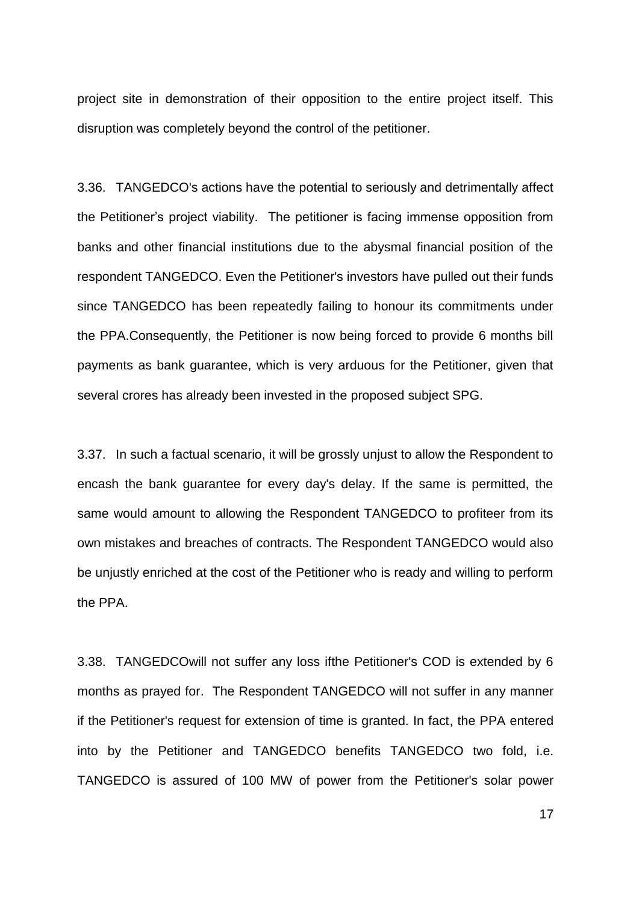project site in demonstration of their opposition to the entire project itself. This disruption was completely beyond the control of the petitioner.

3.36. TANGEDCO's actions have the potential to seriously and detrimentally affect the Petitioner"s project viability. The petitioner is facing immense opposition from banks and other financial institutions due to the abysmal financial position of the respondent TANGEDCO. Even the Petitioner's investors have pulled out their funds since TANGEDCO has been repeatedly failing to honour its commitments under the PPA.Consequently, the Petitioner is now being forced to provide 6 months bill payments as bank guarantee, which is very arduous for the Petitioner, given that several crores has already been invested in the proposed subject SPG.

3.37. In such a factual scenario, it will be grossly unjust to allow the Respondent to encash the bank guarantee for every day's delay. If the same is permitted, the same would amount to allowing the Respondent TANGEDCO to profiteer from its own mistakes and breaches of contracts. The Respondent TANGEDCO would also be unjustly enriched at the cost of the Petitioner who is ready and willing to perform the PPA.

3.38. TANGEDCOwill not suffer any loss ifthe Petitioner's COD is extended by 6 months as prayed for. The Respondent TANGEDCO will not suffer in any manner if the Petitioner's request for extension of time is granted. In fact, the PPA entered into by the Petitioner and TANGEDCO benefits TANGEDCO two fold, i.e. TANGEDCO is assured of 100 MW of power from the Petitioner's solar power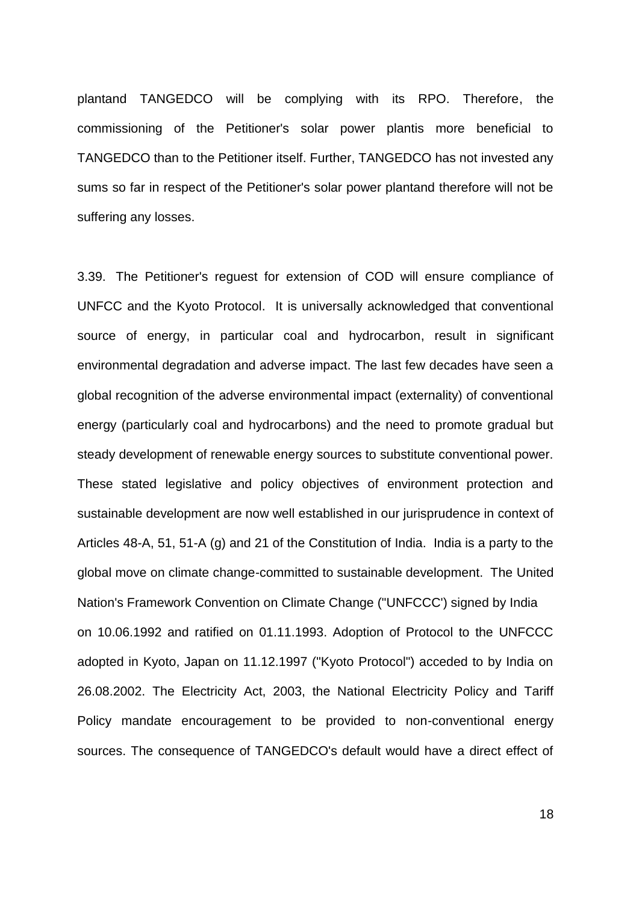plantand TANGEDCO will be complying with its RPO. Therefore, the commissioning of the Petitioner's solar power plantis more beneficial to TANGEDCO than to the Petitioner itself. Further, TANGEDCO has not invested any sums so far in respect of the Petitioner's solar power plantand therefore will not be suffering any losses.

3.39. The Petitioner's reguest for extension of COD will ensure compliance of UNFCC and the Kyoto Protocol. It is universally acknowledged that conventional source of energy, in particular coal and hydrocarbon, result in significant environmental degradation and adverse impact. The last few decades have seen a global recognition of the adverse environmental impact (externality) of conventional energy (particularly coal and hydrocarbons) and the need to promote gradual but steady development of renewable energy sources to substitute conventional power. These stated legislative and policy objectives of environment protection and sustainable development are now well established in our jurisprudence in context of Articles 48-A, 51, 51-A (g) and 21 of the Constitution of India. India is a party to the global move on climate change-committed to sustainable development. The United Nation's Framework Convention on Climate Change ("UNFCCC') signed by India on 10.06.1992 and ratified on 01.11.1993. Adoption of Protocol to the UNFCCC adopted in Kyoto, Japan on 11.12.1997 ("Kyoto Protocol") acceded to by India on 26.08.2002. The Electricity Act, 2003, the National Electricity Policy and Tariff Policy mandate encouragement to be provided to non-conventional energy sources. The consequence of TANGEDCO's default would have a direct effect of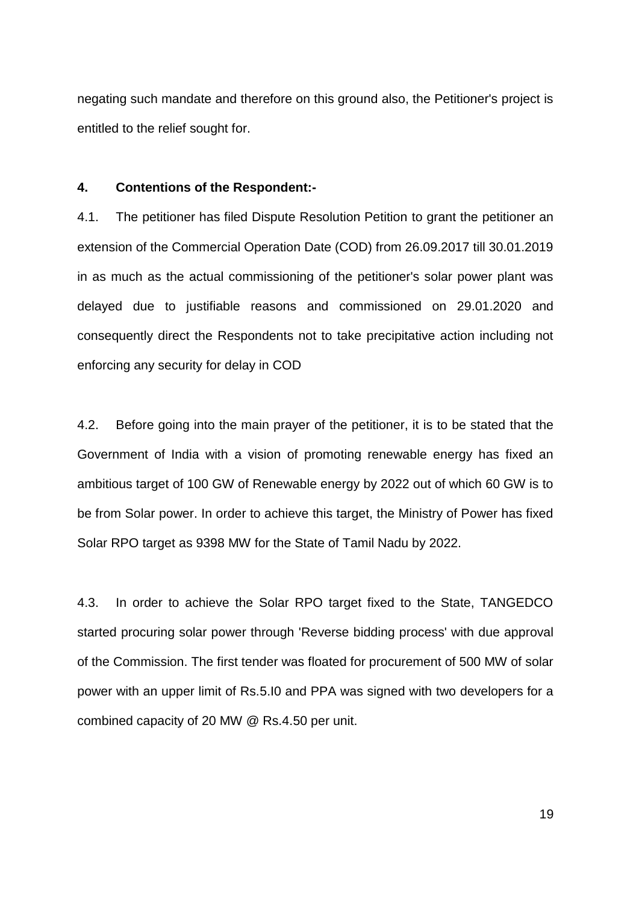negating such mandate and therefore on this ground also, the Petitioner's project is entitled to the relief sought for.

#### **4. Contentions of the Respondent:-**

4.1. The petitioner has filed Dispute Resolution Petition to grant the petitioner an extension of the Commercial Operation Date (COD) from 26.09.2017 till 30.01.2019 in as much as the actual commissioning of the petitioner's solar power plant was delayed due to justifiable reasons and commissioned on 29.01.2020 and consequently direct the Respondents not to take precipitative action including not enforcing any security for delay in COD

4.2. Before going into the main prayer of the petitioner, it is to be stated that the Government of India with a vision of promoting renewable energy has fixed an ambitious target of 100 GW of Renewable energy by 2022 out of which 60 GW is to be from Solar power. In order to achieve this target, the Ministry of Power has fixed Solar RPO target as 9398 MW for the State of Tamil Nadu by 2022.

4.3. In order to achieve the Solar RPO target fixed to the State, TANGEDCO started procuring solar power through 'Reverse bidding process' with due approval of the Commission. The first tender was floated for procurement of 500 MW of solar power with an upper limit of Rs.5.I0 and PPA was signed with two developers for a combined capacity of 20 MW @ Rs.4.50 per unit.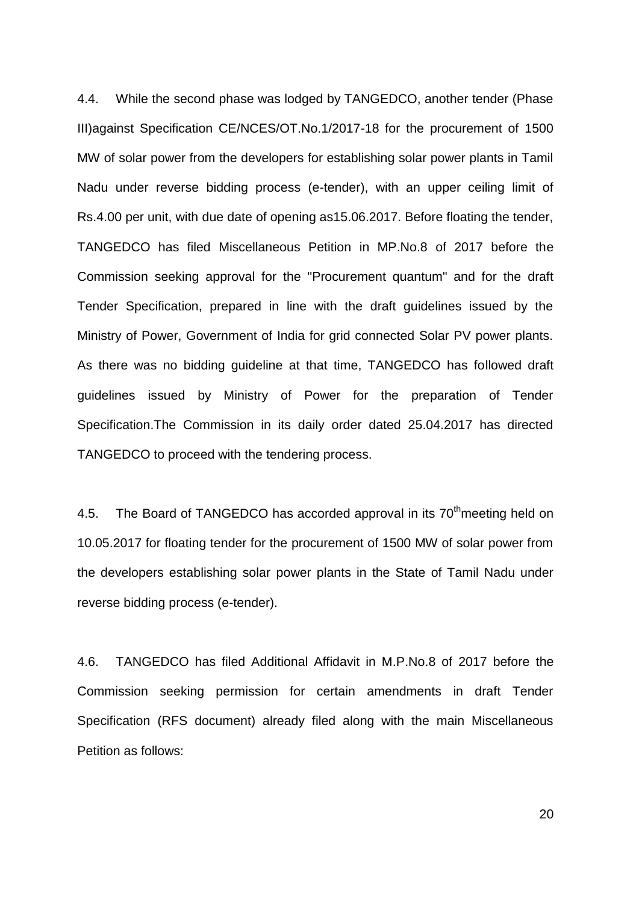4.4. While the second phase was lodged by TANGEDCO, another tender (Phase III)against Specification CE/NCES/OT.No.1/2017-18 for the procurement of 1500 MW of solar power from the developers for establishing solar power plants in Tamil Nadu under reverse bidding process (e-tender), with an upper ceiling limit of Rs.4.00 per unit, with due date of opening as15.06.2017. Before floating the tender, TANGEDCO has filed Miscellaneous Petition in MP.No.8 of 2017 before the Commission seeking approval for the "Procurement quantum" and for the draft Tender Specification, prepared in line with the draft guidelines issued by the Ministry of Power, Government of India for grid connected Solar PV power plants. As there was no bidding guideline at that time, TANGEDCO has followed draft guidelines issued by Ministry of Power for the preparation of Tender Specification.The Commission in its daily order dated 25.04.2017 has directed TANGEDCO to proceed with the tendering process.

4.5. The Board of TANGEDCO has accorded approval in its  $70<sup>th</sup>$  meeting held on 10.05.2017 for floating tender for the procurement of 1500 MW of solar power from the developers establishing solar power plants in the State of Tamil Nadu under reverse bidding process (e-tender).

4.6. TANGEDCO has filed Additional Affidavit in M.P.No.8 of 2017 before the Commission seeking permission for certain amendments in draft Tender Specification (RFS document) already filed along with the main Miscellaneous Petition as follows: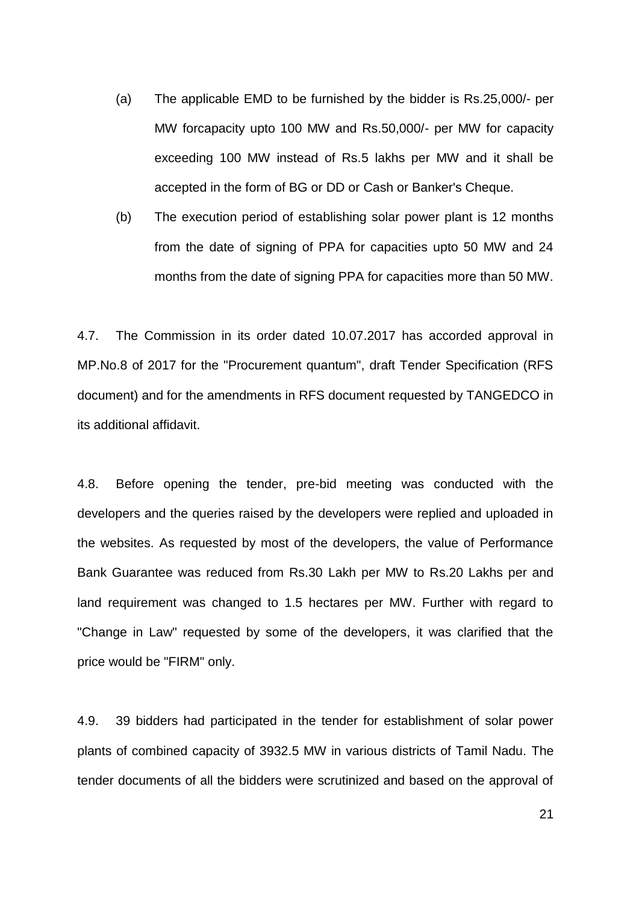- (a) The applicable EMD to be furnished by the bidder is Rs.25,000/- per MW forcapacity upto 100 MW and Rs.50,000/- per MW for capacity exceeding 100 MW instead of Rs.5 lakhs per MW and it shall be accepted in the form of BG or DD or Cash or Banker's Cheque.
- (b) The execution period of establishing solar power plant is 12 months from the date of signing of PPA for capacities upto 50 MW and 24 months from the date of signing PPA for capacities more than 50 MW.

4.7. The Commission in its order dated 10.07.2017 has accorded approval in MP.No.8 of 2017 for the "Procurement quantum", draft Tender Specification (RFS document) and for the amendments in RFS document requested by TANGEDCO in its additional affidavit.

4.8. Before opening the tender, pre-bid meeting was conducted with the developers and the queries raised by the developers were replied and uploaded in the websites. As requested by most of the developers, the value of Performance Bank Guarantee was reduced from Rs.30 Lakh per MW to Rs.20 Lakhs per and land requirement was changed to 1.5 hectares per MW. Further with regard to "Change in Law" requested by some of the developers, it was clarified that the price would be "FIRM" only.

4.9. 39 bidders had participated in the tender for establishment of solar power plants of combined capacity of 3932.5 MW in various districts of Tamil Nadu. The tender documents of all the bidders were scrutinized and based on the approval of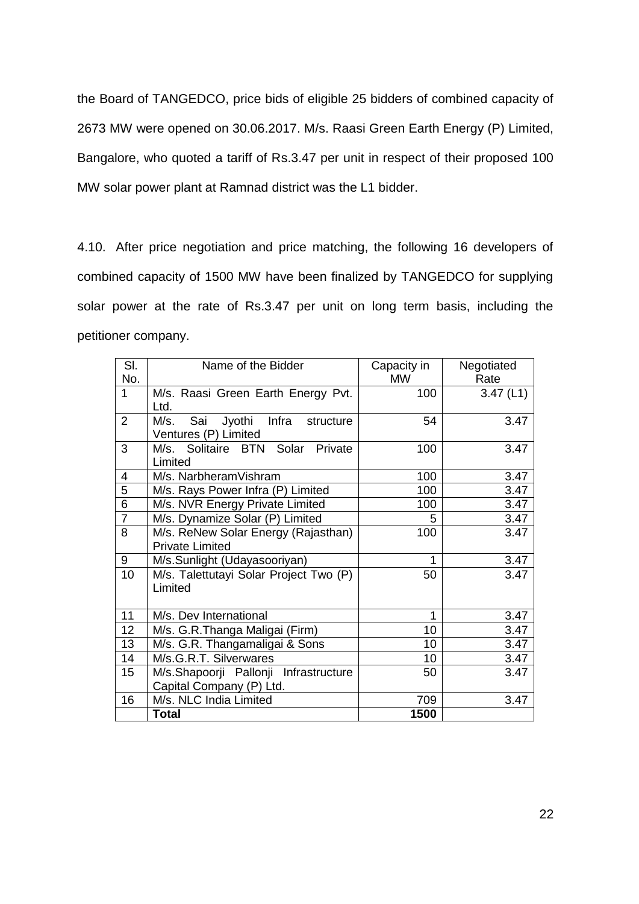the Board of TANGEDCO, price bids of eligible 25 bidders of combined capacity of 2673 MW were opened on 30.06.2017. M/s. Raasi Green Earth Energy (P) Limited, Bangalore, who quoted a tariff of Rs.3.47 per unit in respect of their proposed 100 MW solar power plant at Ramnad district was the L1 bidder.

4.10. After price negotiation and price matching, the following 16 developers of combined capacity of 1500 MW have been finalized by TANGEDCO for supplying solar power at the rate of Rs.3.47 per unit on long term basis, including the petitioner company.

| SI.            | Name of the Bidder                     | Capacity in | Negotiated |
|----------------|----------------------------------------|-------------|------------|
| No.            |                                        | <b>MW</b>   | Rate       |
| 1              | M/s. Raasi Green Earth Energy Pvt.     | 100         | 3.47(L1)   |
|                | Ltd.                                   |             |            |
| $\overline{2}$ | M/s. Sai<br>Jyothi Infra structure     | 54          | 3.47       |
|                | Ventures (P) Limited                   |             |            |
| 3              | M/s. Solitaire BTN Solar Private       | 100         | 3.47       |
|                | Limited                                |             |            |
| 4              | M/s. NarbheramVishram                  | 100         | 3.47       |
| 5              | M/s. Rays Power Infra (P) Limited      | 100         | 3.47       |
| $\overline{6}$ | M/s. NVR Energy Private Limited        | 100         | 3.47       |
| $\overline{7}$ | M/s. Dynamize Solar (P) Limited        | 5           | 3.47       |
| 8              | M/s. ReNew Solar Energy (Rajasthan)    | 100         | 3.47       |
|                | <b>Private Limited</b>                 |             |            |
| 9              | M/s.Sunlight (Udayasooriyan)           | 1           | 3.47       |
| 10             | M/s. Talettutayi Solar Project Two (P) | 50          | 3.47       |
|                | Limited                                |             |            |
|                |                                        |             |            |
| 11             | M/s. Dev International                 | 1           | 3.47       |
| 12             | M/s. G.R. Thanga Maligai (Firm)        | 10          | 3.47       |
| 13             | M/s. G.R. Thangamaligai & Sons         | 10          | 3.47       |
| 14             | M/s.G.R.T. Silverwares                 | 10          | 3.47       |
| 15             | M/s.Shapoorji Pallonji Infrastructure  | 50          | 3.47       |
|                | Capital Company (P) Ltd.               |             |            |
| 16             | M/s. NLC India Limited                 | 709         | 3.47       |
|                | <b>Total</b>                           | 1500        |            |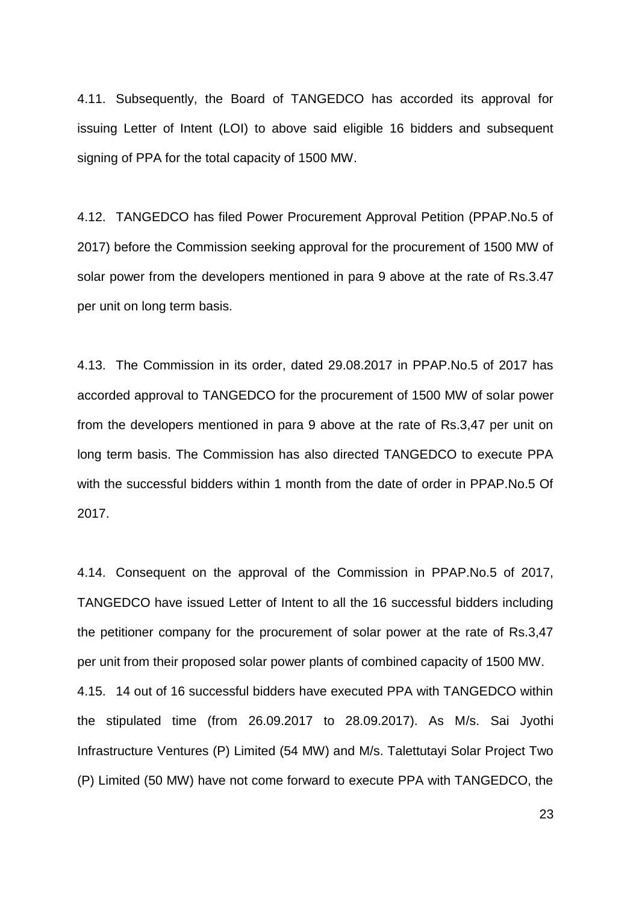4.11. Subsequently, the Board of TANGEDCO has accorded its approval for issuing Letter of Intent (LOI) to above said eligible 16 bidders and subsequent signing of PPA for the total capacity of 1500 MW.

4.12. TANGEDCO has filed Power Procurement Approval Petition (PPAP.No.5 of 2017) before the Commission seeking approval for the procurement of 1500 MW of solar power from the developers mentioned in para 9 above at the rate of Rs.3.47 per unit on long term basis.

4.13. The Commission in its order, dated 29.08.2017 in PPAP.No.5 of 2017 has accorded approval to TANGEDCO for the procurement of 1500 MW of solar power from the developers mentioned in para 9 above at the rate of Rs.3,47 per unit on long term basis. The Commission has also directed TANGEDCO to execute PPA with the successful bidders within 1 month from the date of order in PPAP.No.5 Of 2017.

4.14. Consequent on the approval of the Commission in PPAP.No.5 of 2017, TANGEDCO have issued Letter of Intent to all the 16 successful bidders including the petitioner company for the procurement of solar power at the rate of Rs.3,47 per unit from their proposed solar power plants of combined capacity of 1500 MW. 4.15. 14 out of 16 successful bidders have executed PPA with TANGEDCO within the stipulated time (from 26.09.2017 to 28.09.2017). As M/s. Sai Jyothi Infrastructure Ventures (P) Limited (54 MW) and M/s. Talettutayi Solar Project Two (P) Limited (50 MW) have not come forward to execute PPA with TANGEDCO, the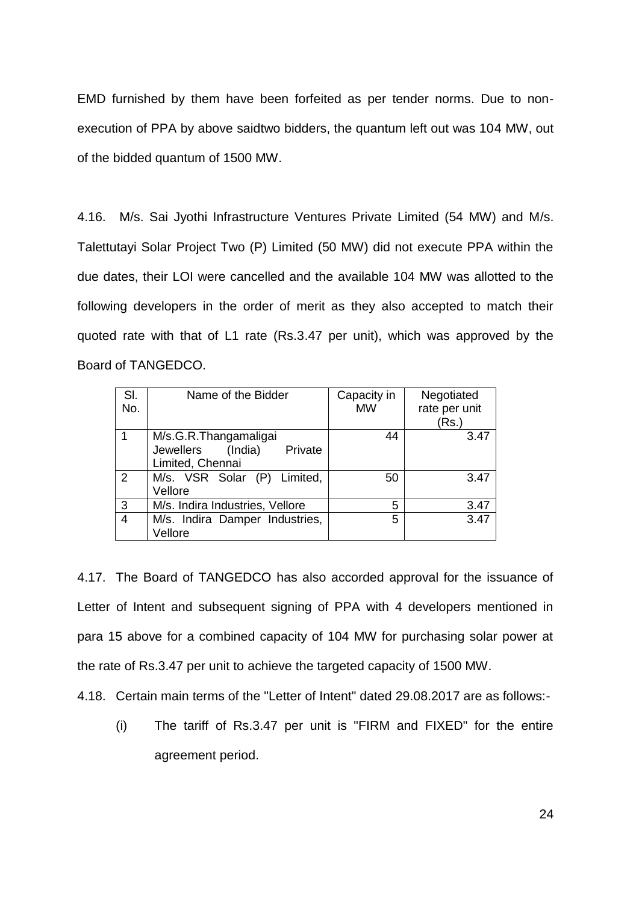EMD furnished by them have been forfeited as per tender norms. Due to nonexecution of PPA by above saidtwo bidders, the quantum left out was 104 MW, out of the bidded quantum of 1500 MW.

4.16. M/s. Sai Jyothi Infrastructure Ventures Private Limited (54 MW) and M/s. Talettutayi Solar Project Two (P) Limited (50 MW) did not execute PPA within the due dates, their LOI were cancelled and the available 104 MW was allotted to the following developers in the order of merit as they also accepted to match their quoted rate with that of L1 rate (Rs.3.47 per unit), which was approved by the Board of TANGEDCO.

| SI.<br>No.     | Name of the Bidder                                                        | Capacity in<br><b>MW</b> | Negotiated<br>rate per unit<br>(Rs.) |
|----------------|---------------------------------------------------------------------------|--------------------------|--------------------------------------|
|                | M/s.G.R.Thangamaligai<br>Jewellers (India)<br>Private<br>Limited, Chennai | 44                       | 3.47                                 |
| 2              | M/s. VSR Solar (P) Limited,<br>Vellore                                    | 50                       | 3.47                                 |
| 3              | M/s. Indira Industries, Vellore                                           | 5                        | 3.47                                 |
| $\overline{4}$ | M/s. Indira Damper Industries,<br>Vellore                                 | 5                        | 3.47                                 |

4.17. The Board of TANGEDCO has also accorded approval for the issuance of Letter of Intent and subsequent signing of PPA with 4 developers mentioned in para 15 above for a combined capacity of 104 MW for purchasing solar power at the rate of Rs.3.47 per unit to achieve the targeted capacity of 1500 MW.

4.18. Certain main terms of the "Letter of Intent" dated 29.08.2017 are as follows:-

(i) The tariff of Rs.3.47 per unit is "FIRM and FIXED" for the entire agreement period.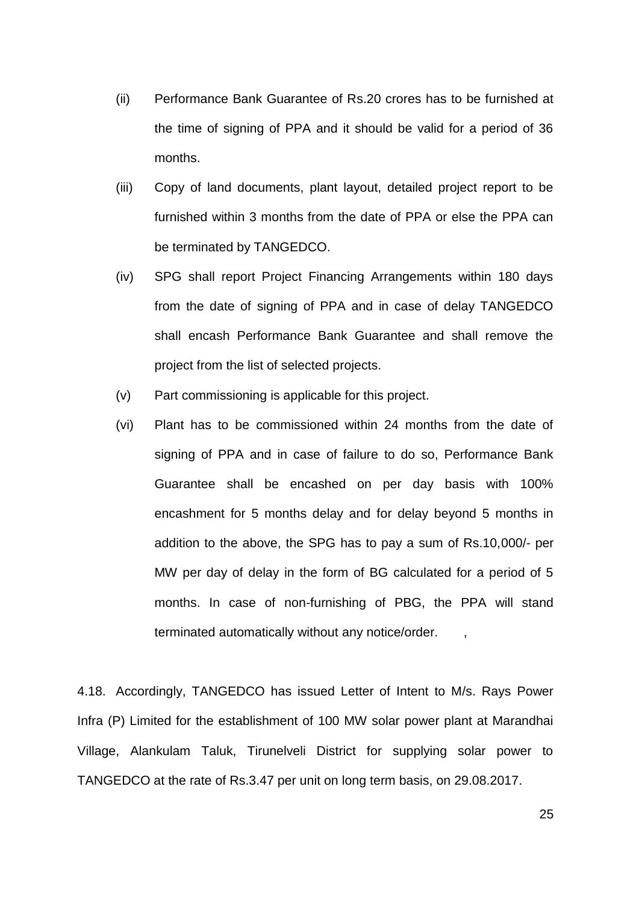- (ii) Performance Bank Guarantee of Rs.20 crores has to be furnished at the time of signing of PPA and it should be valid for a period of 36 months.
- (iii) Copy of land documents, plant layout, detailed project report to be furnished within 3 months from the date of PPA or else the PPA can be terminated by TANGEDCO.
- (iv) SPG shall report Project Financing Arrangements within 180 days from the date of signing of PPA and in case of delay TANGEDCO shall encash Performance Bank Guarantee and shall remove the project from the list of selected projects.
- (v) Part commissioning is applicable for this project.
- (vi) Plant has to be commissioned within 24 months from the date of signing of PPA and in case of failure to do so, Performance Bank Guarantee shall be encashed on per day basis with 100% encashment for 5 months delay and for delay beyond 5 months in addition to the above, the SPG has to pay a sum of Rs.10,000/- per MW per day of delay in the form of BG calculated for a period of 5 months. In case of non-furnishing of PBG, the PPA will stand terminated automatically without any notice/order.

4.18. Accordingly, TANGEDCO has issued Letter of Intent to M/s. Rays Power Infra (P) Limited for the establishment of 100 MW solar power plant at Marandhai Village, Alankulam Taluk, Tirunelveli District for supplying solar power to TANGEDCO at the rate of Rs.3.47 per unit on long term basis, on 29.08.2017.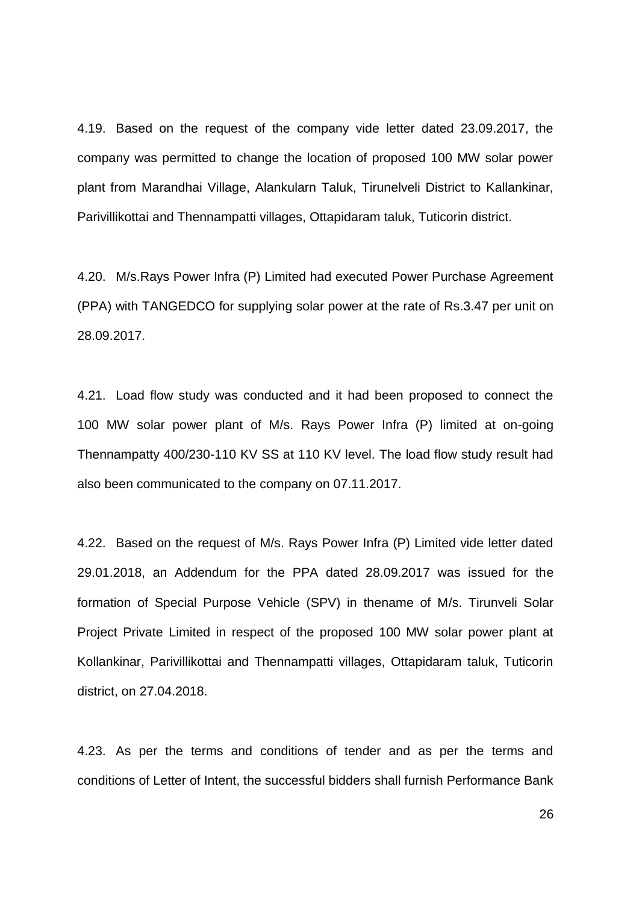4.19. Based on the request of the company vide letter dated 23.09.2017, the company was permitted to change the location of proposed 100 MW solar power plant from Marandhai Village, Alankularn Taluk, Tirunelveli District to Kallankinar, Parivillikottai and Thennampatti villages, Ottapidaram taluk, Tuticorin district.

4.20. M/s.Rays Power Infra (P) Limited had executed Power Purchase Agreement (PPA) with TANGEDCO for supplying solar power at the rate of Rs.3.47 per unit on 28.09.2017.

4.21. Load flow study was conducted and it had been proposed to connect the 100 MW solar power plant of M/s. Rays Power Infra (P) limited at on-going Thennampatty 400/230-110 KV SS at 110 KV level. The load flow study result had also been communicated to the company on 07.11.2017.

4.22. Based on the request of M/s. Rays Power Infra (P) Limited vide letter dated 29.01.2018, an Addendum for the PPA dated 28.09.2017 was issued for the formation of Special Purpose Vehicle (SPV) in thename of M/s. Tirunveli Solar Project Private Limited in respect of the proposed 100 MW solar power plant at Kollankinar, Parivillikottai and Thennampatti villages, Ottapidaram taluk, Tuticorin district, on 27.04.2018.

4.23. As per the terms and conditions of tender and as per the terms and conditions of Letter of Intent, the successful bidders shall furnish Performance Bank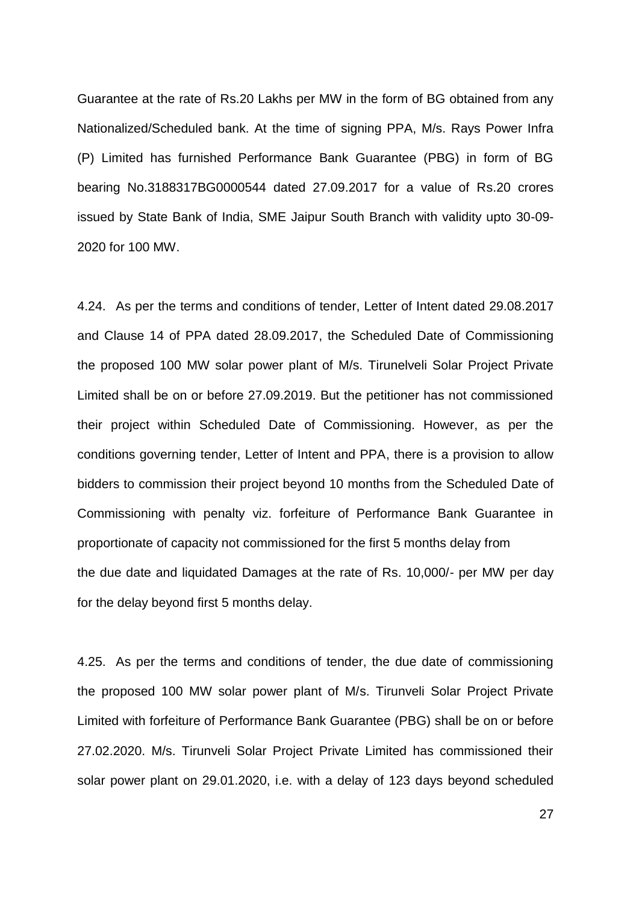Guarantee at the rate of Rs.20 Lakhs per MW in the form of BG obtained from any Nationalized/Scheduled bank. At the time of signing PPA, M/s. Rays Power Infra (P) Limited has furnished Performance Bank Guarantee (PBG) in form of BG bearing No.3188317BG0000544 dated 27.09.2017 for a value of Rs.20 crores issued by State Bank of India, SME Jaipur South Branch with validity upto 30-09- 2020 for 100 MW.

4.24. As per the terms and conditions of tender, Letter of Intent dated 29.08.2017 and Clause 14 of PPA dated 28.09.2017, the Scheduled Date of Commissioning the proposed 100 MW solar power plant of M/s. Tirunelveli Solar Project Private Limited shall be on or before 27.09.2019. But the petitioner has not commissioned their project within Scheduled Date of Commissioning. However, as per the conditions governing tender, Letter of Intent and PPA, there is a provision to allow bidders to commission their project beyond 10 months from the Scheduled Date of Commissioning with penalty viz. forfeiture of Performance Bank Guarantee in proportionate of capacity not commissioned for the first 5 months delay from the due date and liquidated Damages at the rate of Rs. 10,000/- per MW per day for the delay beyond first 5 months delay.

4.25. As per the terms and conditions of tender, the due date of commissioning the proposed 100 MW solar power plant of M/s. Tirunveli Solar Project Private Limited with forfeiture of Performance Bank Guarantee (PBG) shall be on or before 27.02.2020. M/s. Tirunveli Solar Project Private Limited has commissioned their solar power plant on 29.01.2020, i.e. with a delay of 123 days beyond scheduled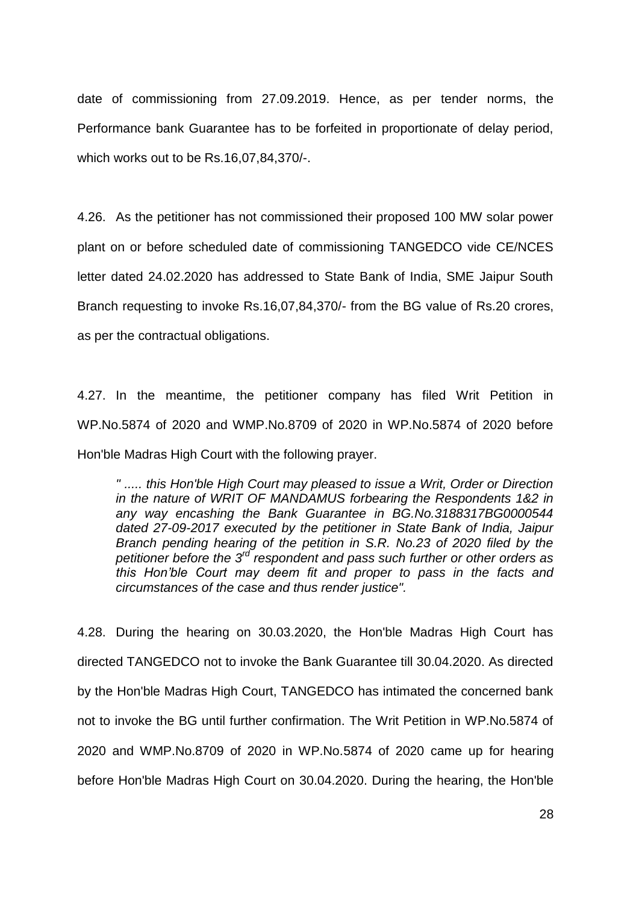date of commissioning from 27.09.2019. Hence, as per tender norms, the Performance bank Guarantee has to be forfeited in proportionate of delay period, which works out to be Rs.16,07,84,370/-.

4.26. As the petitioner has not commissioned their proposed 100 MW solar power plant on or before scheduled date of commissioning TANGEDCO vide CE/NCES letter dated 24.02.2020 has addressed to State Bank of India, SME Jaipur South Branch requesting to invoke Rs.16,07,84,370/- from the BG value of Rs.20 crores, as per the contractual obligations.

4.27. In the meantime, the petitioner company has filed Writ Petition in WP.No.5874 of 2020 and WMP.No.8709 of 2020 in WP.No.5874 of 2020 before Hon'ble Madras High Court with the following prayer.

*" ..... this Hon'ble High Court may pleased to issue a Writ, Order or Direction in the nature of WRIT OF MANDAMUS forbearing the Respondents 1&2 in any way encashing the Bank Guarantee in BG.No.3188317BG0000544 dated 27-09-2017 executed by the petitioner in State Bank of India, Jaipur Branch pending hearing of the petition in S.R. No.23 of 2020 filed by the petitioner before the 3rd respondent and pass such further or other orders as this Hon"ble Court may deem fit and proper to pass in the facts and circumstances of the case and thus render justice".* 

4.28. During the hearing on 30.03.2020, the Hon'ble Madras High Court has directed TANGEDCO not to invoke the Bank Guarantee till 30.04.2020. As directed by the Hon'ble Madras High Court, TANGEDCO has intimated the concerned bank not to invoke the BG until further confirmation. The Writ Petition in WP.No.5874 of 2020 and WMP.No.8709 of 2020 in WP.No.5874 of 2020 came up for hearing before Hon'ble Madras High Court on 30.04.2020. During the hearing, the Hon'ble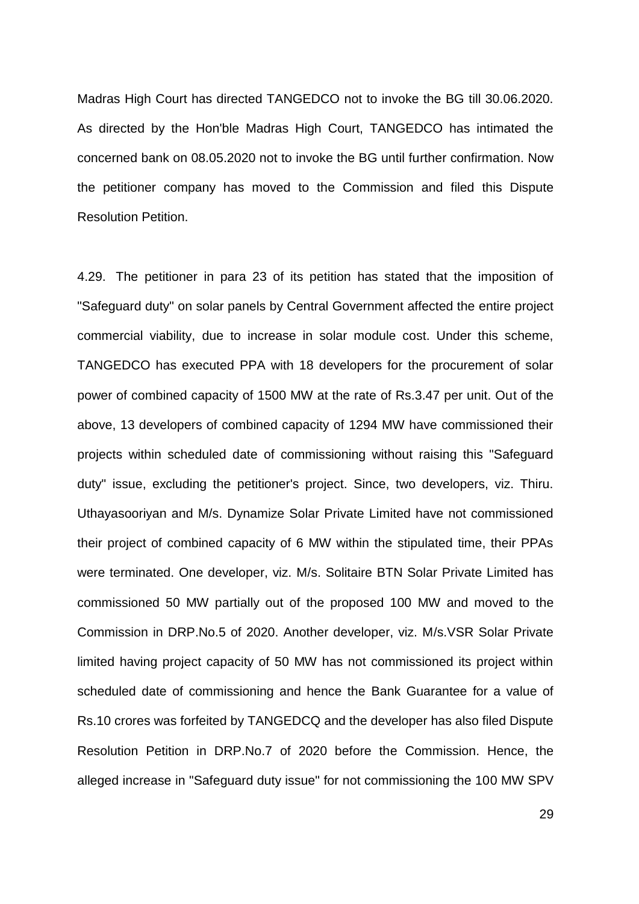Madras High Court has directed TANGEDCO not to invoke the BG till 30.06.2020. As directed by the Hon'ble Madras High Court, TANGEDCO has intimated the concerned bank on 08.05.2020 not to invoke the BG until further confirmation. Now the petitioner company has moved to the Commission and filed this Dispute Resolution Petition.

4.29. The petitioner in para 23 of its petition has stated that the imposition of "Safeguard duty" on solar panels by Central Government affected the entire project commercial viability, due to increase in solar module cost. Under this scheme, TANGEDCO has executed PPA with 18 developers for the procurement of solar power of combined capacity of 1500 MW at the rate of Rs.3.47 per unit. Out of the above, 13 developers of combined capacity of 1294 MW have commissioned their projects within scheduled date of commissioning without raising this "Safeguard duty" issue, excluding the petitioner's project. Since, two developers, viz. Thiru. Uthayasooriyan and M/s. Dynamize Solar Private Limited have not commissioned their project of combined capacity of 6 MW within the stipulated time, their PPAs were terminated. One developer, viz. M/s. Solitaire BTN Solar Private Limited has commissioned 50 MW partially out of the proposed 100 MW and moved to the Commission in DRP.No.5 of 2020. Another developer, viz. M/s.VSR Solar Private limited having project capacity of 50 MW has not commissioned its project within scheduled date of commissioning and hence the Bank Guarantee for a value of Rs.10 crores was forfeited by TANGEDCQ and the developer has also filed Dispute Resolution Petition in DRP.No.7 of 2020 before the Commission. Hence, the alleged increase in "Safeguard duty issue" for not commissioning the 100 MW SPV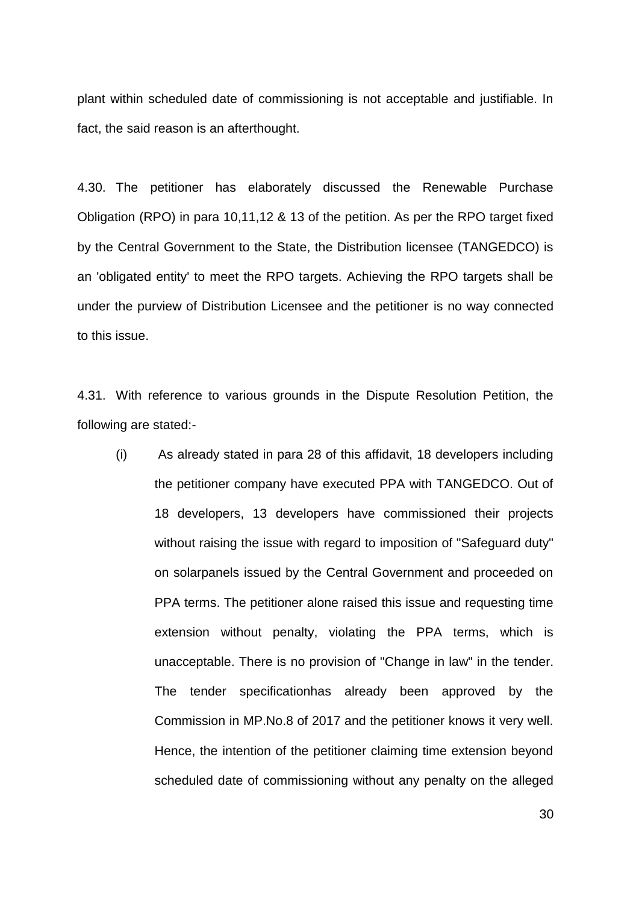plant within scheduled date of commissioning is not acceptable and justifiable. In fact, the said reason is an afterthought.

4.30. The petitioner has elaborately discussed the Renewable Purchase Obligation (RPO) in para 10,11,12 & 13 of the petition. As per the RPO target fixed by the Central Government to the State, the Distribution licensee (TANGEDCO) is an 'obligated entity' to meet the RPO targets. Achieving the RPO targets shall be under the purview of Distribution Licensee and the petitioner is no way connected to this issue.

4.31. With reference to various grounds in the Dispute Resolution Petition, the following are stated:-

(i) As already stated in para 28 of this affidavit, 18 developers including the petitioner company have executed PPA with TANGEDCO. Out of 18 developers, 13 developers have commissioned their projects without raising the issue with regard to imposition of "Safeguard duty" on solarpanels issued by the Central Government and proceeded on PPA terms. The petitioner alone raised this issue and requesting time extension without penalty, violating the PPA terms, which is unacceptable. There is no provision of "Change in law" in the tender. The tender specificationhas already been approved by the Commission in MP.No.8 of 2017 and the petitioner knows it very well. Hence, the intention of the petitioner claiming time extension beyond scheduled date of commissioning without any penalty on the alleged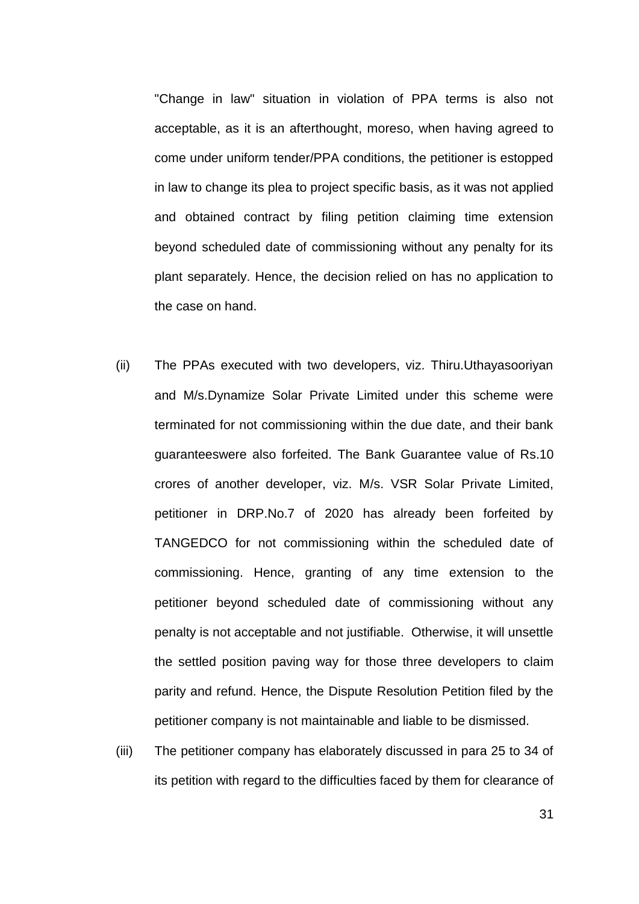"Change in law" situation in violation of PPA terms is also not acceptable, as it is an afterthought, moreso, when having agreed to come under uniform tender/PPA conditions, the petitioner is estopped in law to change its plea to project specific basis, as it was not applied and obtained contract by filing petition claiming time extension beyond scheduled date of commissioning without any penalty for its plant separately. Hence, the decision relied on has no application to the case on hand.

- (ii) The PPAs executed with two developers, viz. Thiru.Uthayasooriyan and M/s.Dynamize Solar Private Limited under this scheme were terminated for not commissioning within the due date, and their bank guaranteeswere also forfeited. The Bank Guarantee value of Rs.10 crores of another developer, viz. M/s. VSR Solar Private Limited, petitioner in DRP.No.7 of 2020 has already been forfeited by TANGEDCO for not commissioning within the scheduled date of commissioning. Hence, granting of any time extension to the petitioner beyond scheduled date of commissioning without any penalty is not acceptable and not justifiable. Otherwise, it will unsettle the settled position paving way for those three developers to claim parity and refund. Hence, the Dispute Resolution Petition filed by the petitioner company is not maintainable and liable to be dismissed.
- (iii) The petitioner company has elaborately discussed in para 25 to 34 of its petition with regard to the difficulties faced by them for clearance of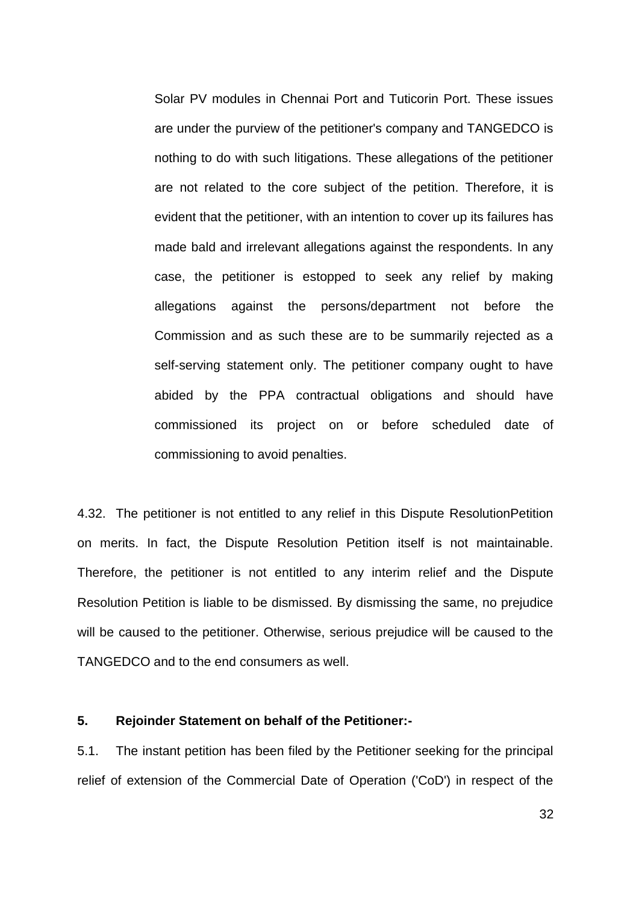Solar PV modules in Chennai Port and Tuticorin Port. These issues are under the purview of the petitioner's company and TANGEDCO is nothing to do with such litigations. These allegations of the petitioner are not related to the core subject of the petition. Therefore, it is evident that the petitioner, with an intention to cover up its failures has made bald and irrelevant allegations against the respondents. In any case, the petitioner is estopped to seek any relief by making allegations against the persons/department not before the Commission and as such these are to be summarily rejected as a self-serving statement only. The petitioner company ought to have abided by the PPA contractual obligations and should have commissioned its project on or before scheduled date of commissioning to avoid penalties.

4.32. The petitioner is not entitled to any relief in this Dispute ResolutionPetition on merits. In fact, the Dispute Resolution Petition itself is not maintainable. Therefore, the petitioner is not entitled to any interim relief and the Dispute Resolution Petition is liable to be dismissed. By dismissing the same, no prejudice will be caused to the petitioner. Otherwise, serious prejudice will be caused to the TANGEDCO and to the end consumers as well.

#### **5. Rejoinder Statement on behalf of the Petitioner:-**

5.1. The instant petition has been filed by the Petitioner seeking for the principal relief of extension of the Commercial Date of Operation ('CoD') in respect of the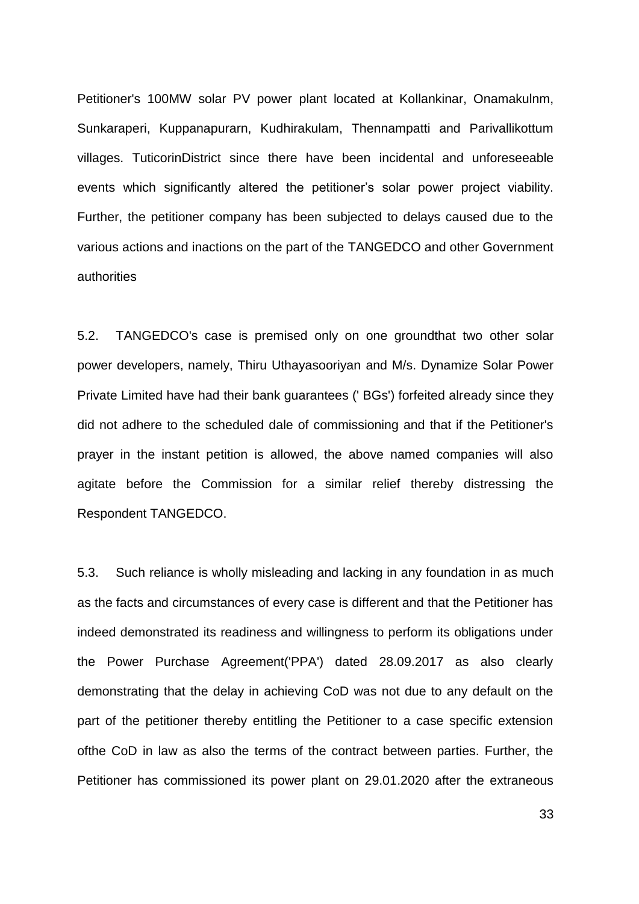Petitioner's 100MW solar PV power plant located at Kollankinar, Onamakulnm, Sunkaraperi, Kuppanapurarn, Kudhirakulam, Thennampatti and Parivallikottum villages. TuticorinDistrict since there have been incidental and unforeseeable events which significantly altered the petitioner"s solar power project viability. Further, the petitioner company has been subjected to delays caused due to the various actions and inactions on the part of the TANGEDCO and other Government authorities

5.2. TANGEDCO's case is premised only on one groundthat two other solar power developers, namely, Thiru Uthayasooriyan and M/s. Dynamize Solar Power Private Limited have had their bank guarantees (' BGs') forfeited already since they did not adhere to the scheduled dale of commissioning and that if the Petitioner's prayer in the instant petition is allowed, the above named companies will also agitate before the Commission for a similar relief thereby distressing the Respondent TANGEDCO.

5.3. Such reliance is wholly misleading and lacking in any foundation in as much as the facts and circumstances of every case is different and that the Petitioner has indeed demonstrated its readiness and willingness to perform its obligations under the Power Purchase Agreement('PPA') dated 28.09.2017 as also clearly demonstrating that the delay in achieving CoD was not due to any default on the part of the petitioner thereby entitling the Petitioner to a case specific extension ofthe CoD in law as also the terms of the contract between parties. Further, the Petitioner has commissioned its power plant on 29.01.2020 after the extraneous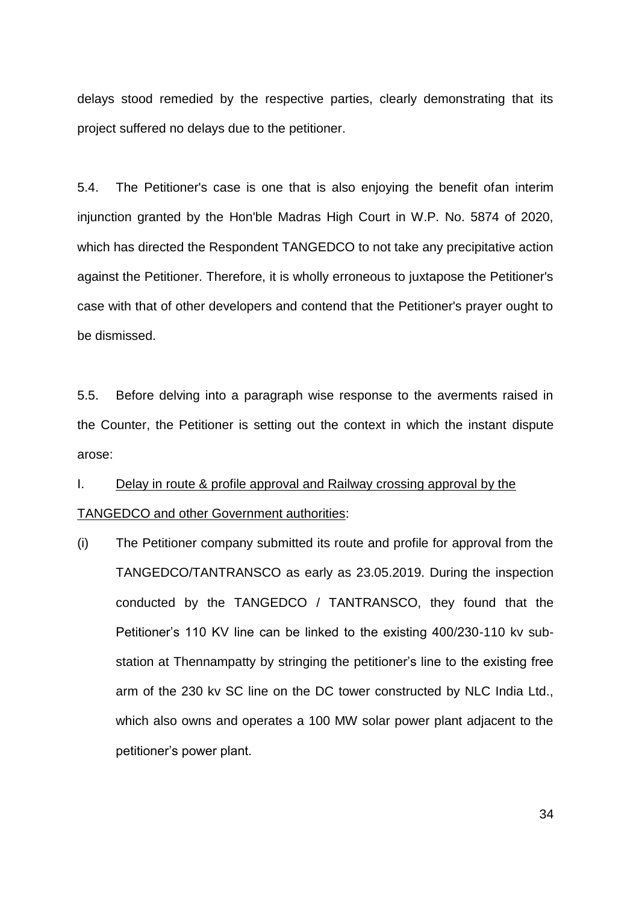delays stood remedied by the respective parties, clearly demonstrating that its project suffered no delays due to the petitioner.

5.4. The Petitioner's case is one that is also enjoying the benefit ofan interim injunction granted by the Hon'ble Madras High Court in W.P. No. 5874 of 2020, which has directed the Respondent TANGEDCO to not take any precipitative action against the Petitioner. Therefore, it is wholly erroneous to juxtapose the Petitioner's case with that of other developers and contend that the Petitioner's prayer ought to be dismissed.

5.5. Before delving into a paragraph wise response to the averments raised in the Counter, the Petitioner is setting out the context in which the instant dispute arose:

# I. Delay in route & profile approval and Railway crossing approval by the TANGEDCO and other Government authorities:

(i) The Petitioner company submitted its route and profile for approval from the TANGEDCO/TANTRANSCO as early as 23.05.2019. During the inspection conducted by the TANGEDCO / TANTRANSCO, they found that the Petitioner"s 110 KV line can be linked to the existing 400/230-110 kv substation at Thennampatty by stringing the petitioner"s line to the existing free arm of the 230 kv SC line on the DC tower constructed by NLC India Ltd., which also owns and operates a 100 MW solar power plant adjacent to the petitioner"s power plant.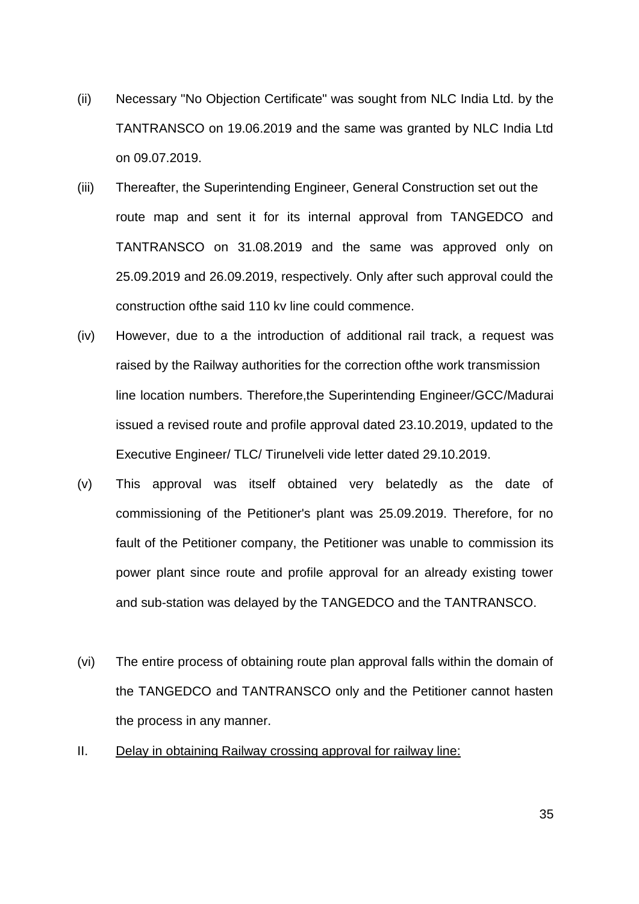- (ii) Necessary "No Objection Certificate" was sought from NLC India Ltd. by the TANTRANSCO on 19.06.2019 and the same was granted by NLC India Ltd on 09.07.2019.
- (iii) Thereafter, the Superintending Engineer, General Construction set out the route map and sent it for its internal approval from TANGEDCO and TANTRANSCO on 31.08.2019 and the same was approved only on 25.09.2019 and 26.09.2019, respectively. Only after such approval could the construction ofthe said 110 kv line could commence.
- (iv) However, due to a the introduction of additional rail track, a request was raised by the Railway authorities for the correction ofthe work transmission line location numbers. Therefore,the Superintending Engineer/GCC/Madurai issued a revised route and profile approval dated 23.10.2019, updated to the Executive Engineer/ TLC/ Tirunelveli vide letter dated 29.10.2019.
- (v) This approval was itself obtained very belatedly as the date of commissioning of the Petitioner's plant was 25.09.2019. Therefore, for no fault of the Petitioner company, the Petitioner was unable to commission its power plant since route and profile approval for an already existing tower and sub-station was delayed by the TANGEDCO and the TANTRANSCO.
- (vi) The entire process of obtaining route plan approval falls within the domain of the TANGEDCO and TANTRANSCO only and the Petitioner cannot hasten the process in any manner.
- II. Delay in obtaining Railway crossing approval for railway line: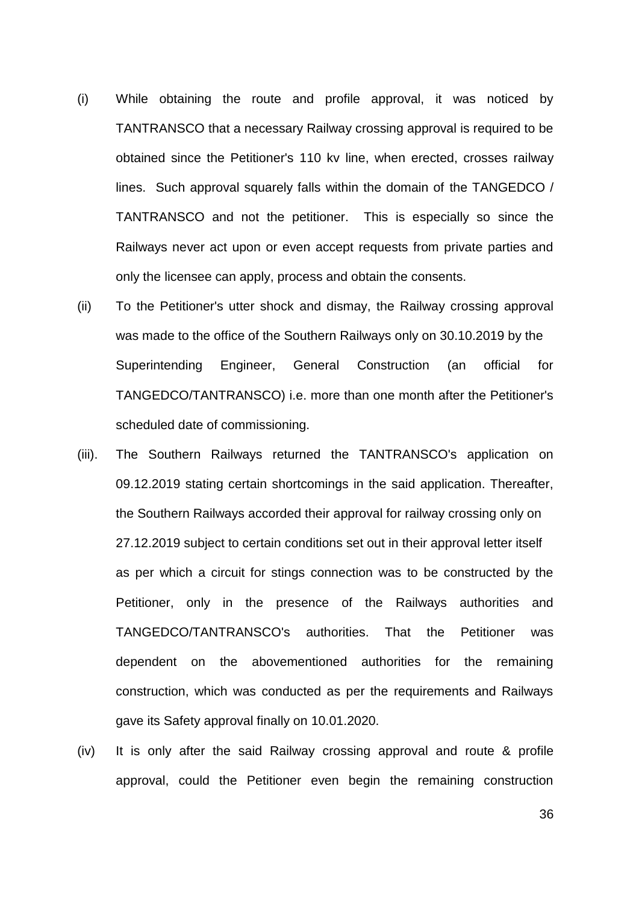- (i) While obtaining the route and profile approval, it was noticed by TANTRANSCO that a necessary Railway crossing approval is required to be obtained since the Petitioner's 110 kv line, when erected, crosses railway lines. Such approval squarely falls within the domain of the TANGEDCO / TANTRANSCO and not the petitioner. This is especially so since the Railways never act upon or even accept requests from private parties and only the licensee can apply, process and obtain the consents.
- (ii) To the Petitioner's utter shock and dismay, the Railway crossing approval was made to the office of the Southern Railways only on 30.10.2019 by the Superintending Engineer, General Construction (an official for TANGEDCO/TANTRANSCO) i.e. more than one month after the Petitioner's scheduled date of commissioning.
- (iii). The Southern Railways returned the TANTRANSCO's application on 09.12.2019 stating certain shortcomings in the said application. Thereafter, the Southern Railways accorded their approval for railway crossing only on 27.12.2019 subject to certain conditions set out in their approval letter itself as per which a circuit for stings connection was to be constructed by the Petitioner, only in the presence of the Railways authorities and TANGEDCO/TANTRANSCO's authorities. That the Petitioner was dependent on the abovementioned authorities for the remaining construction, which was conducted as per the requirements and Railways gave its Safety approval finally on 10.01.2020.
- (iv) It is only after the said Railway crossing approval and route & profile approval, could the Petitioner even begin the remaining construction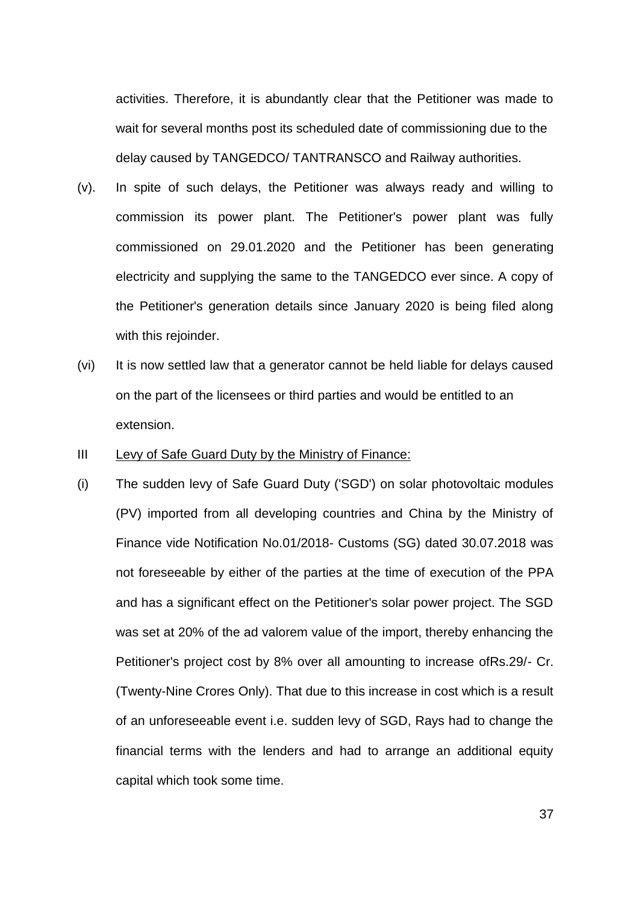activities. Therefore, it is abundantly clear that the Petitioner was made to wait for several months post its scheduled date of commissioning due to the delay caused by TANGEDCO/ TANTRANSCO and Railway authorities.

- (v). In spite of such delays, the Petitioner was always ready and willing to commission its power plant. The Petitioner's power plant was fully commissioned on 29.01.2020 and the Petitioner has been generating electricity and supplying the same to the TANGEDCO ever since. A copy of the Petitioner's generation details since January 2020 is being filed along with this rejoinder.
- (vi) It is now settled law that a generator cannot be held liable for delays caused on the part of the licensees or third parties and would be entitled to an extension.
- III Levy of Safe Guard Duty by the Ministry of Finance:
- (i) The sudden levy of Safe Guard Duty ('SGD') on solar photovoltaic modules (PV) imported from all developing countries and China by the Ministry of Finance vide Notification No.01/2018- Customs (SG) dated 30.07.2018 was not foreseeable by either of the parties at the time of execution of the PPA and has a significant effect on the Petitioner's solar power project. The SGD was set at 20% of the ad valorem value of the import, thereby enhancing the Petitioner's project cost by 8% over all amounting to increase ofRs.29/- Cr. (Twenty-Nine Crores Only). That due to this increase in cost which is a result of an unforeseeable event i.e. sudden levy of SGD, Rays had to change the financial terms with the lenders and had to arrange an additional equity capital which took some time.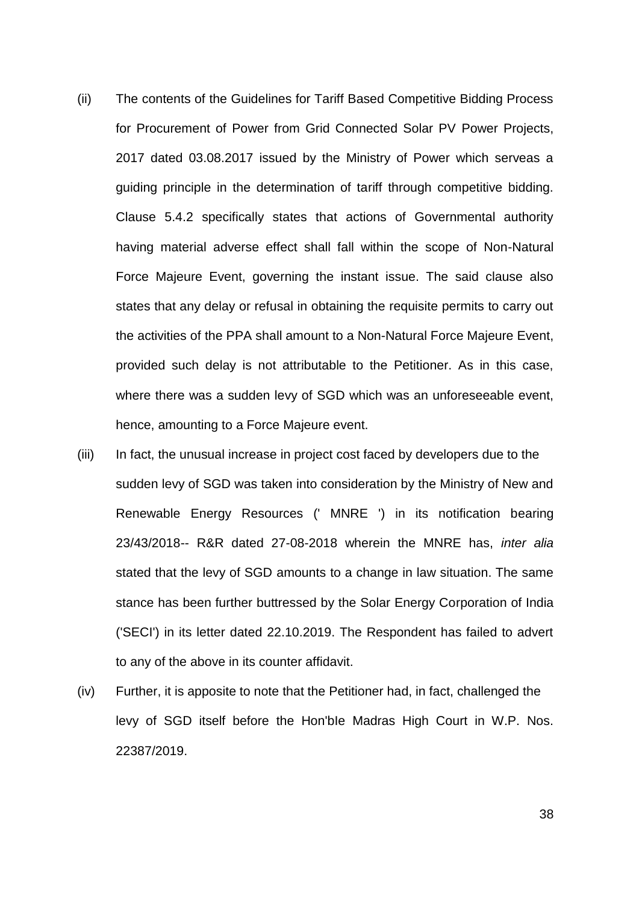- (ii) The contents of the Guidelines for Tariff Based Competitive Bidding Process for Procurement of Power from Grid Connected Solar PV Power Projects, 2017 dated 03.08.2017 issued by the Ministry of Power which serveas a guiding principle in the determination of tariff through competitive bidding. Clause 5.4.2 specifically states that actions of Governmental authority having material adverse effect shall fall within the scope of Non-Natural Force Majeure Event, governing the instant issue. The said clause also states that any delay or refusal in obtaining the requisite permits to carry out the activities of the PPA shall amount to a Non-Natural Force Majeure Event, provided such delay is not attributable to the Petitioner. As in this case, where there was a sudden levy of SGD which was an unforeseeable event, hence, amounting to a Force Majeure event.
- (iii) In fact, the unusual increase in project cost faced by developers due to the sudden levy of SGD was taken into consideration by the Ministry of New and Renewable Energy Resources (' MNRE ') in its notification bearing 23/43/2018-- R&R dated 27-08-2018 wherein the MNRE has, *inter alia*  stated that the levy of SGD amounts to a change in law situation. The same stance has been further buttressed by the Solar Energy Corporation of India ('SECI') in its letter dated 22.10.2019. The Respondent has failed to advert to any of the above in its counter affidavit.
- (iv) Further, it is apposite to note that the Petitioner had, in fact, challenged the levy of SGD itself before the Hon'bIe Madras High Court in W.P. Nos. 22387/2019.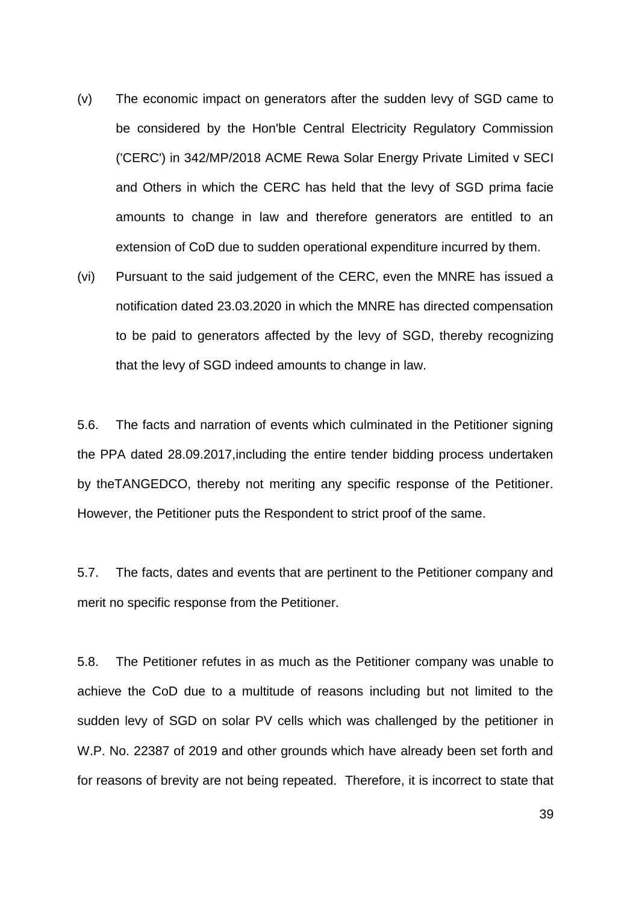- (v) The economic impact on generators after the sudden levy of SGD came to be considered by the Hon'bIe Central Electricity Regulatory Commission ('CERC') in 342/MP/2018 ACME Rewa Solar Energy Private Limited v SECI and Others in which the CERC has held that the levy of SGD prima facie amounts to change in law and therefore generators are entitled to an extension of CoD due to sudden operational expenditure incurred by them.
- (vi) Pursuant to the said judgement of the CERC, even the MNRE has issued a notification dated 23.03.2020 in which the MNRE has directed compensation to be paid to generators affected by the levy of SGD, thereby recognizing that the levy of SGD indeed amounts to change in law.

5.6. The facts and narration of events which culminated in the Petitioner signing the PPA dated 28.09.2017,including the entire tender bidding process undertaken by theTANGEDCO, thereby not meriting any specific response of the Petitioner. However, the Petitioner puts the Respondent to strict proof of the same.

5.7. The facts, dates and events that are pertinent to the Petitioner company and merit no specific response from the Petitioner.

5.8. The Petitioner refutes in as much as the Petitioner company was unable to achieve the CoD due to a multitude of reasons including but not limited to the sudden levy of SGD on solar PV cells which was challenged by the petitioner in W.P. No. 22387 of 2019 and other grounds which have already been set forth and for reasons of brevity are not being repeated. Therefore, it is incorrect to state that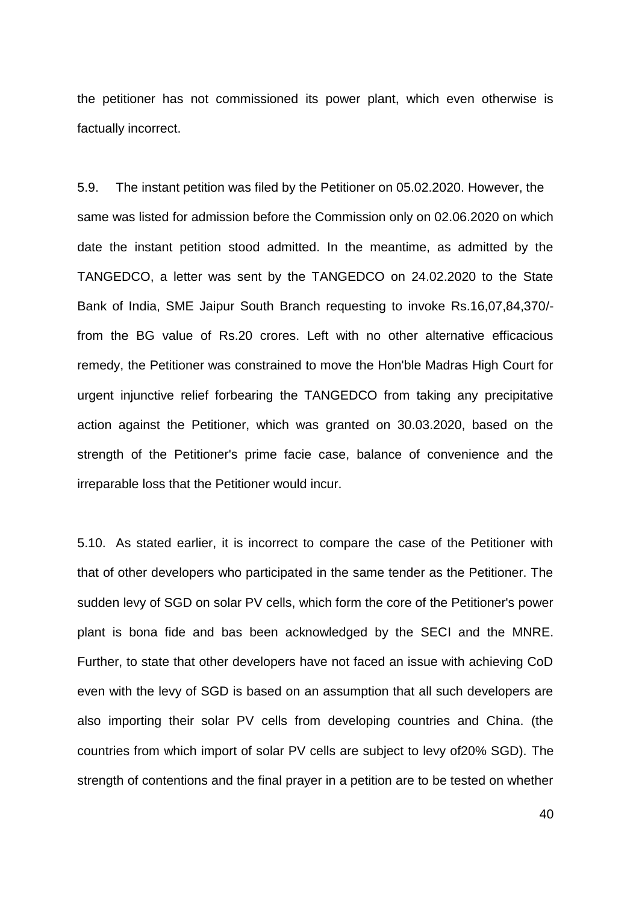the petitioner has not commissioned its power plant, which even otherwise is factually incorrect.

5.9. The instant petition was filed by the Petitioner on 05.02.2020. However, the same was listed for admission before the Commission only on 02.06.2020 on which date the instant petition stood admitted. In the meantime, as admitted by the TANGEDCO, a letter was sent by the TANGEDCO on 24.02.2020 to the State Bank of India, SME Jaipur South Branch requesting to invoke Rs.16,07,84,370/ from the BG value of Rs.20 crores. Left with no other alternative efficacious remedy, the Petitioner was constrained to move the Hon'ble Madras High Court for urgent injunctive relief forbearing the TANGEDCO from taking any precipitative action against the Petitioner, which was granted on 30.03.2020, based on the strength of the Petitioner's prime facie case, balance of convenience and the irreparable loss that the Petitioner would incur.

5.10. As stated earlier, it is incorrect to compare the case of the Petitioner with that of other developers who participated in the same tender as the Petitioner. The sudden levy of SGD on solar PV cells, which form the core of the Petitioner's power plant is bona fide and bas been acknowledged by the SECI and the MNRE. Further, to state that other developers have not faced an issue with achieving CoD even with the levy of SGD is based on an assumption that all such developers are also importing their solar PV cells from developing countries and China. (the countries from which import of solar PV cells are subject to levy of20% SGD). The strength of contentions and the final prayer in a petition are to be tested on whether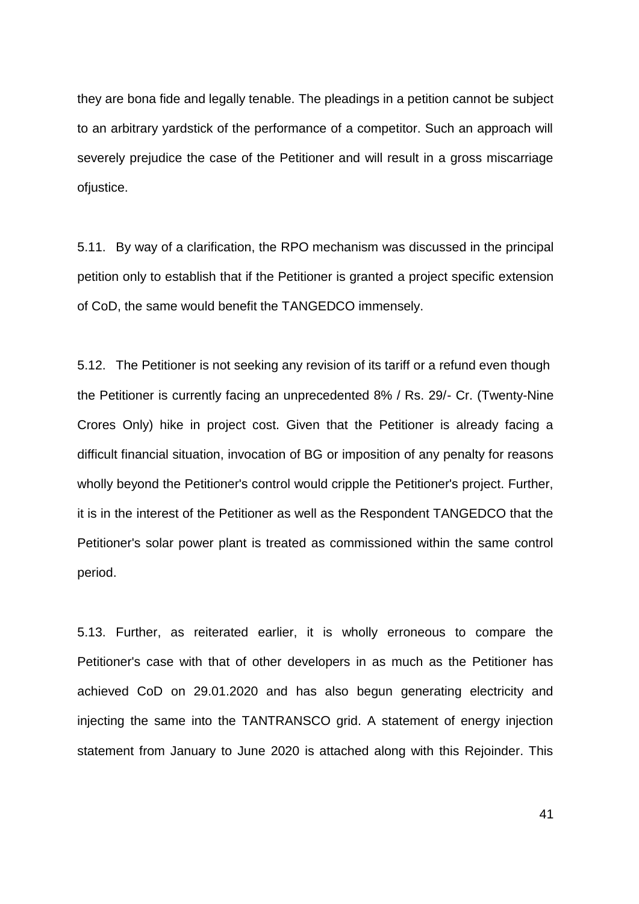they are bona fide and legally tenable. The pleadings in a petition cannot be subject to an arbitrary yardstick of the performance of a competitor. Such an approach will severely prejudice the case of the Petitioner and will result in a gross miscarriage ofjustice.

5.11. By way of a clarification, the RPO mechanism was discussed in the principal petition only to establish that if the Petitioner is granted a project specific extension of CoD, the same would benefit the TANGEDCO immensely.

5.12. The Petitioner is not seeking any revision of its tariff or a refund even though the Petitioner is currently facing an unprecedented 8% / Rs. 29/- Cr. (Twenty-Nine Crores Only) hike in project cost. Given that the Petitioner is already facing a difficult financial situation, invocation of BG or imposition of any penalty for reasons wholly beyond the Petitioner's control would cripple the Petitioner's project. Further, it is in the interest of the Petitioner as well as the Respondent TANGEDCO that the Petitioner's solar power plant is treated as commissioned within the same control period.

5.13. Further, as reiterated earlier, it is wholly erroneous to compare the Petitioner's case with that of other developers in as much as the Petitioner has achieved CoD on 29.01.2020 and has also begun generating electricity and injecting the same into the TANTRANSCO grid. A statement of energy injection statement from January to June 2020 is attached along with this Rejoinder. This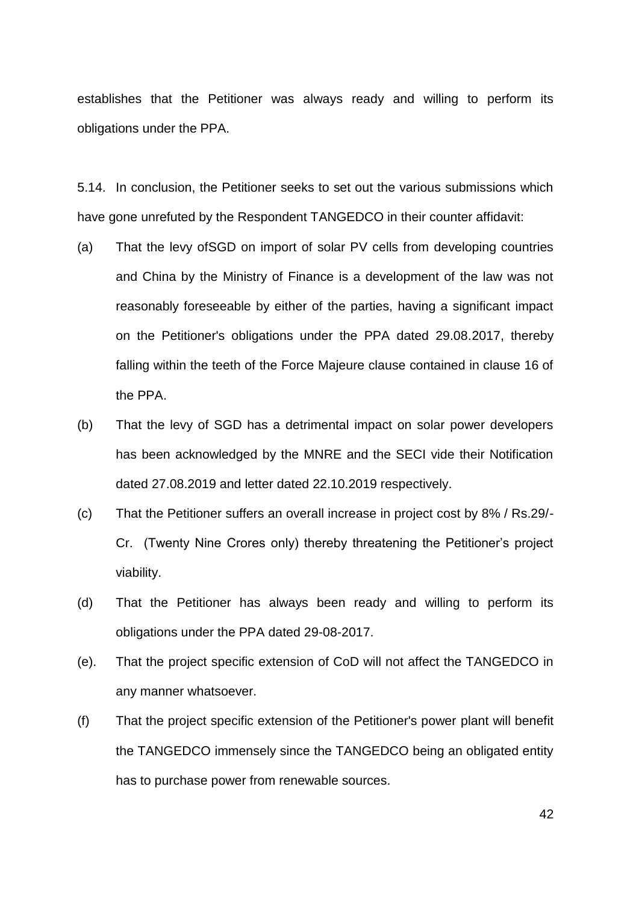establishes that the Petitioner was always ready and willing to perform its obligations under the PPA.

5.14. In conclusion, the Petitioner seeks to set out the various submissions which have gone unrefuted by the Respondent TANGEDCO in their counter affidavit:

- (a) That the levy ofSGD on import of solar PV cells from developing countries and China by the Ministry of Finance is a development of the law was not reasonably foreseeable by either of the parties, having a significant impact on the Petitioner's obligations under the PPA dated 29.08.2017, thereby falling within the teeth of the Force Majeure clause contained in clause 16 of the PPA.
- (b) That the levy of SGD has a detrimental impact on solar power developers has been acknowledged by the MNRE and the SECI vide their Notification dated 27.08.2019 and letter dated 22.10.2019 respectively.
- (c) That the Petitioner suffers an overall increase in project cost by 8% / Rs.29/- Cr. (Twenty Nine Crores only) thereby threatening the Petitioner"s project viability.
- (d) That the Petitioner has always been ready and willing to perform its obligations under the PPA dated 29-08-2017.
- (e). That the project specific extension of CoD will not affect the TANGEDCO in any manner whatsoever.
- (f) That the project specific extension of the Petitioner's power plant will benefit the TANGEDCO immensely since the TANGEDCO being an obligated entity has to purchase power from renewable sources.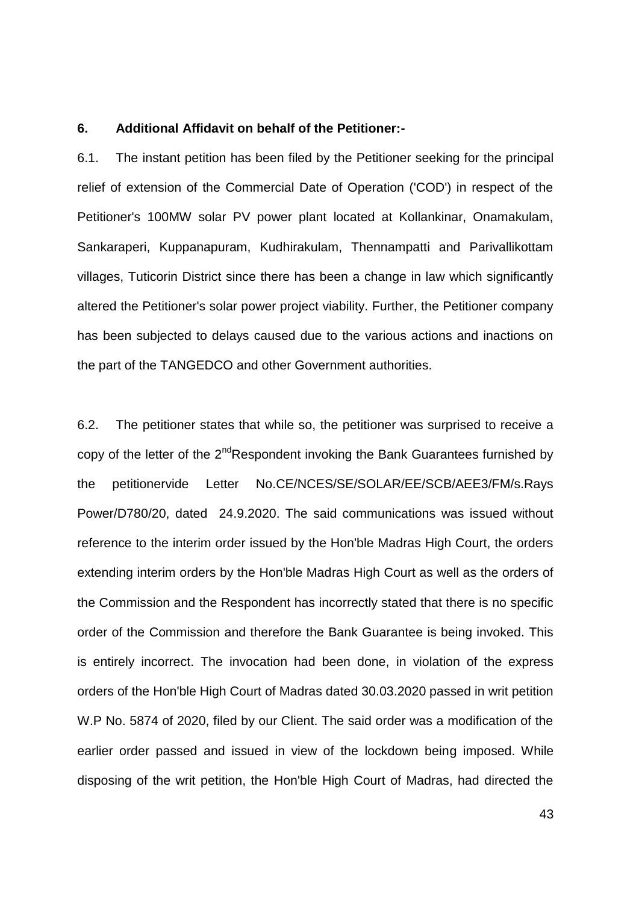### **6. Additional Affidavit on behalf of the Petitioner:-**

6.1. The instant petition has been filed by the Petitioner seeking for the principal relief of extension of the Commercial Date of Operation ('COD') in respect of the Petitioner's 100MW solar PV power plant located at Kollankinar, Onamakulam, Sankaraperi, Kuppanapuram, Kudhirakulam, Thennampatti and Parivallikottam villages, Tuticorin District since there has been a change in law which significantly altered the Petitioner's solar power project viability. Further, the Petitioner company has been subjected to delays caused due to the various actions and inactions on the part of the TANGEDCO and other Government authorities.

6.2. The petitioner states that while so, the petitioner was surprised to receive a copy of the letter of the  $2^{nd}$ Respondent invoking the Bank Guarantees furnished by the petitionervide Letter No.CE/NCES/SE/SOLAR/EE/SCB/AEE3/FM/s.Rays Power/D780/20, dated 24.9.2020. The said communications was issued without reference to the interim order issued by the Hon'ble Madras High Court, the orders extending interim orders by the Hon'ble Madras High Court as well as the orders of the Commission and the Respondent has incorrectly stated that there is no specific order of the Commission and therefore the Bank Guarantee is being invoked. This is entirely incorrect. The invocation had been done, in violation of the express orders of the Hon'ble High Court of Madras dated 30.03.2020 passed in writ petition W.P No. 5874 of 2020, filed by our Client. The said order was a modification of the earlier order passed and issued in view of the lockdown being imposed. While disposing of the writ petition, the Hon'ble High Court of Madras, had directed the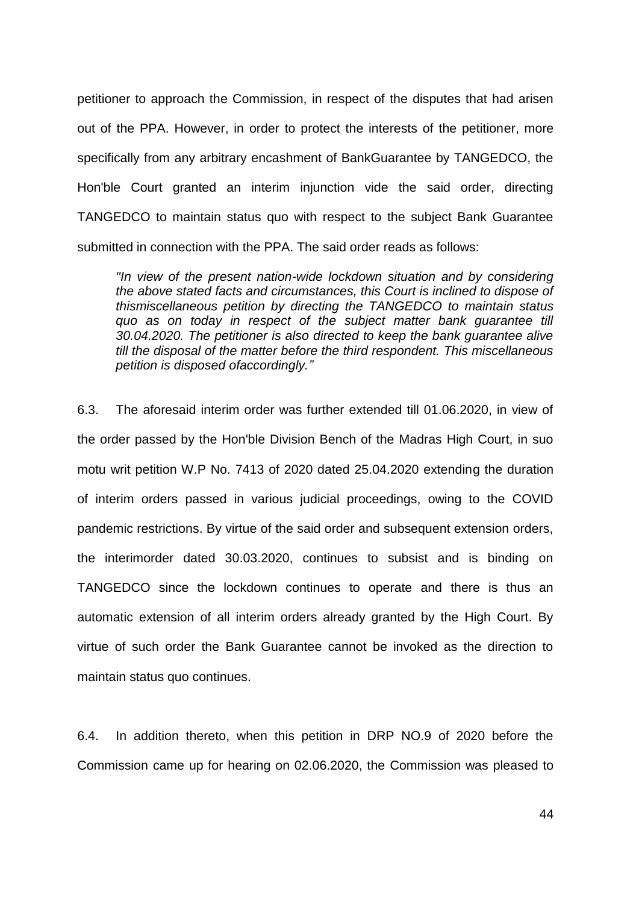petitioner to approach the Commission, in respect of the disputes that had arisen out of the PPA. However, in order to protect the interests of the petitioner, more specifically from any arbitrary encashment of BankGuarantee by TANGEDCO, the Hon'ble Court granted an interim injunction vide the said order, directing TANGEDCO to maintain status quo with respect to the subject Bank Guarantee submitted in connection with the PPA. The said order reads as follows:

*"In view of the present nation-wide lockdown situation and by considering the above stated facts and circumstances, this Court is inclined to dispose of thismiscellaneous petition by directing the TANGEDCO to maintain status quo as on today in respect of the subject matter bank guarantee till 30.04.2020. The petitioner is also directed to keep the bank guarantee alive till the disposal of the matter before the third respondent. This miscellaneous petition is disposed ofaccordingly."*

6.3. The aforesaid interim order was further extended till 01.06.2020, in view of the order passed by the Hon'ble Division Bench of the Madras High Court, in suo motu writ petition W.P No. 7413 of 2020 dated 25.04.2020 extending the duration of interim orders passed in various judicial proceedings, owing to the COVID pandemic restrictions. By virtue of the said order and subsequent extension orders, the interimorder dated 30.03.2020, continues to subsist and is binding on TANGEDCO since the lockdown continues to operate and there is thus an automatic extension of all interim orders already granted by the High Court. By virtue of such order the Bank Guarantee cannot be invoked as the direction to maintain status quo continues.

6.4. In addition thereto, when this petition in DRP NO.9 of 2020 before the Commission came up for hearing on 02.06.2020, the Commission was pleased to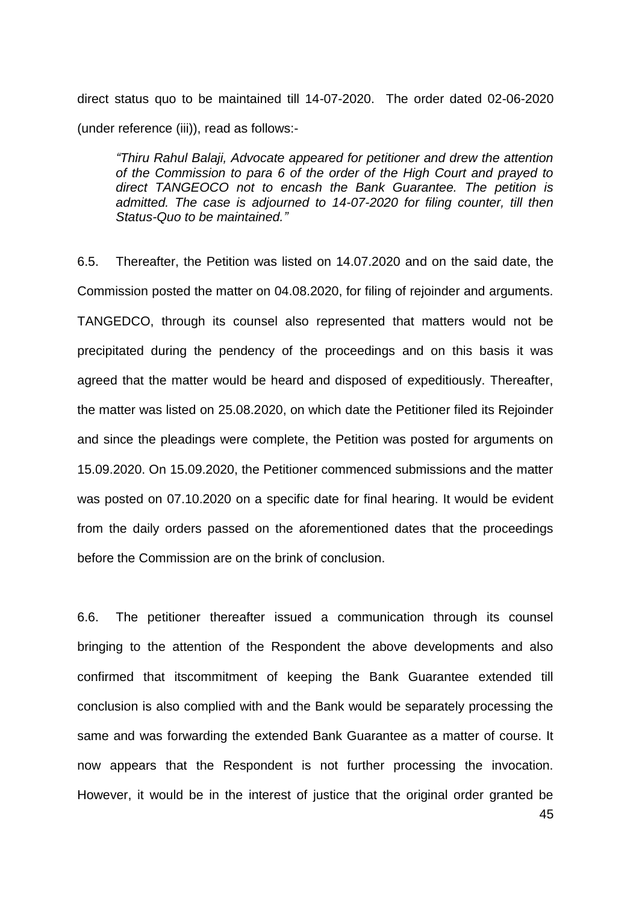direct status quo to be maintained till 14-07-2020. The order dated 02-06-2020 (under reference (iii)), read as follows:-

*"Thiru Rahul Balaji, Advocate appeared for petitioner and drew the attention of the Commission to para 6 of the order of the High Court and prayed to direct TANGEOCO not to encash the Bank Guarantee. The petition is admitted. The case is adjourned to 14-07-2020 for filing counter, till then Status-Quo to be maintained."*

6.5. Thereafter, the Petition was listed on 14.07.2020 and on the said date, the Commission posted the matter on 04.08.2020, for filing of rejoinder and arguments. TANGEDCO, through its counsel also represented that matters would not be precipitated during the pendency of the proceedings and on this basis it was agreed that the matter would be heard and disposed of expeditiously. Thereafter, the matter was listed on 25.08.2020, on which date the Petitioner filed its Rejoinder and since the pleadings were complete, the Petition was posted for arguments on 15.09.2020. On 15.09.2020, the Petitioner commenced submissions and the matter was posted on 07.10.2020 on a specific date for final hearing. It would be evident from the daily orders passed on the aforementioned dates that the proceedings before the Commission are on the brink of conclusion.

45 6.6. The petitioner thereafter issued a communication through its counsel bringing to the attention of the Respondent the above developments and also confirmed that itscommitment of keeping the Bank Guarantee extended till conclusion is also complied with and the Bank would be separately processing the same and was forwarding the extended Bank Guarantee as a matter of course. It now appears that the Respondent is not further processing the invocation. However, it would be in the interest of justice that the original order granted be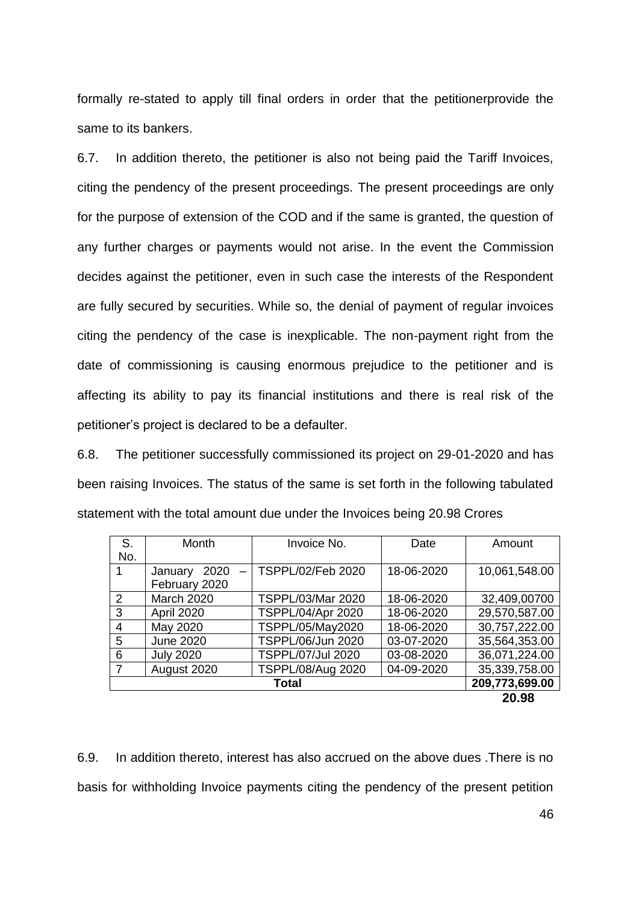formally re-stated to apply till final orders in order that the petitionerprovide the same to its bankers.

6.7. In addition thereto, the petitioner is also not being paid the Tariff Invoices, citing the pendency of the present proceedings. The present proceedings are only for the purpose of extension of the COD and if the same is granted, the question of any further charges or payments would not arise. In the event the Commission decides against the petitioner, even in such case the interests of the Respondent are fully secured by securities. While so, the denial of payment of regular invoices citing the pendency of the case is inexplicable. The non-payment right from the date of commissioning is causing enormous prejudice to the petitioner and is affecting its ability to pay its financial institutions and there is real risk of the petitioner"s project is declared to be a defaulter.

6.8. The petitioner successfully commissioned its project on 29-01-2020 and has been raising Invoices. The status of the same is set forth in the following tabulated statement with the total amount due under the Invoices being 20.98 Crores

| S.            | Month                                       | Invoice No.              | Date       | Amount         |
|---------------|---------------------------------------------|--------------------------|------------|----------------|
| No.           |                                             |                          |            |                |
| 1             | 2020<br>January<br>$\overline{\phantom{0}}$ | TSPPL/02/Feb 2020        | 18-06-2020 | 10,061,548.00  |
|               | February 2020                               |                          |            |                |
| $\mathcal{P}$ | <b>March 2020</b>                           | TSPPL/03/Mar 2020        | 18-06-2020 | 32,409,00700   |
| 3             | April 2020                                  | TSPPL/04/Apr 2020        | 18-06-2020 | 29,570,587.00  |
| 4             | May 2020                                    | TSPPL/05/May2020         | 18-06-2020 | 30,757,222.00  |
| 5             | <b>June 2020</b>                            | TSPPL/06/Jun 2020        | 03-07-2020 | 35,564,353.00  |
| 6             | <b>July 2020</b>                            | <b>TSPPL/07/Jul 2020</b> | 03-08-2020 | 36,071,224.00  |
|               | August 2020                                 | TSPPL/08/Aug 2020        | 04-09-2020 | 35,339,758.00  |
| Total         |                                             |                          |            | 209,773,699.00 |
|               |                                             |                          |            | 20.98          |

6.9. In addition thereto, interest has also accrued on the above dues .There is no basis for withholding Invoice payments citing the pendency of the present petition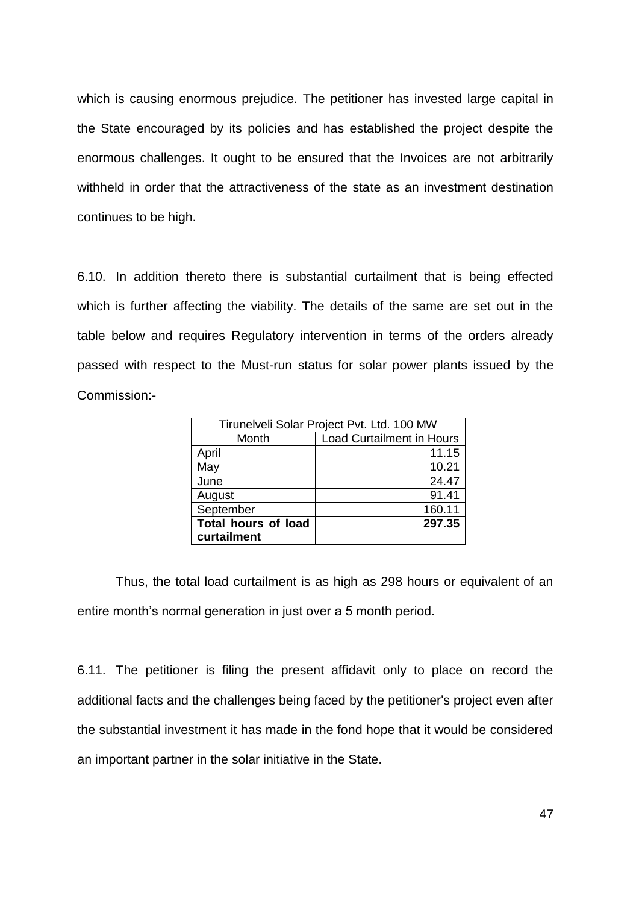which is causing enormous prejudice. The petitioner has invested large capital in the State encouraged by its policies and has established the project despite the enormous challenges. It ought to be ensured that the Invoices are not arbitrarily withheld in order that the attractiveness of the state as an investment destination continues to be high.

6.10. In addition thereto there is substantial curtailment that is being effected which is further affecting the viability. The details of the same are set out in the table below and requires Regulatory intervention in terms of the orders already passed with respect to the Must-run status for solar power plants issued by the Commission:-

|                            | Tirunelveli Solar Project Pvt. Ltd. 100 MW |
|----------------------------|--------------------------------------------|
| Month                      | <b>Load Curtailment in Hours</b>           |
| April                      | 11.15                                      |
| May                        | 10.21                                      |
| June                       | 24.47                                      |
| August                     | 91.41                                      |
| September                  | 160.11                                     |
| <b>Total hours of load</b> | 297.35                                     |
| curtailment                |                                            |

Thus, the total load curtailment is as high as 298 hours or equivalent of an entire month's normal generation in just over a 5 month period.

6.11. The petitioner is filing the present affidavit only to place on record the additional facts and the challenges being faced by the petitioner's project even after the substantial investment it has made in the fond hope that it would be considered an important partner in the solar initiative in the State.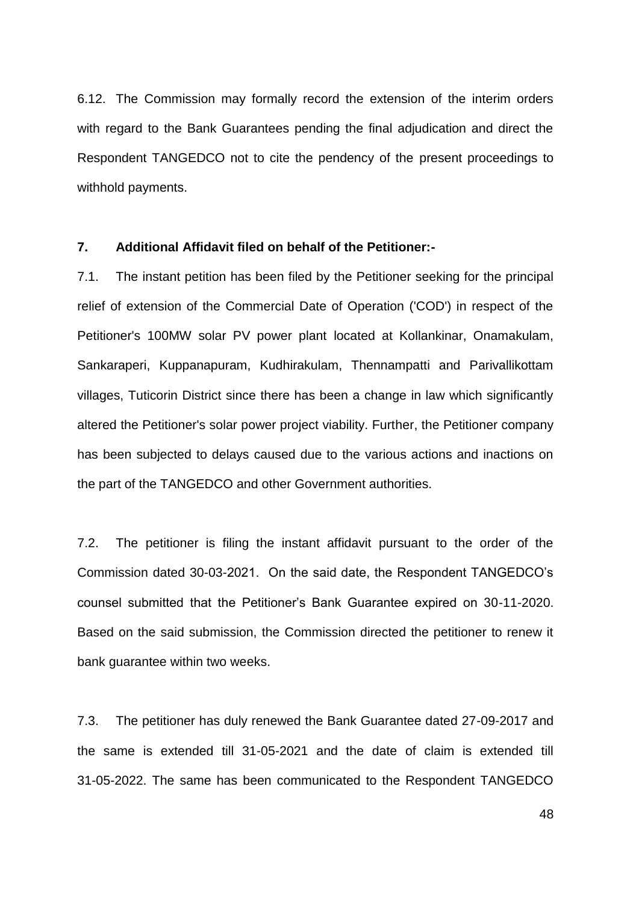6.12. The Commission may formally record the extension of the interim orders with regard to the Bank Guarantees pending the final adjudication and direct the Respondent TANGEDCO not to cite the pendency of the present proceedings to withhold payments.

### **7. Additional Affidavit filed on behalf of the Petitioner:-**

7.1. The instant petition has been filed by the Petitioner seeking for the principal relief of extension of the Commercial Date of Operation ('COD') in respect of the Petitioner's 100MW solar PV power plant located at Kollankinar, Onamakulam, Sankaraperi, Kuppanapuram, Kudhirakulam, Thennampatti and Parivallikottam villages, Tuticorin District since there has been a change in law which significantly altered the Petitioner's solar power project viability. Further, the Petitioner company has been subjected to delays caused due to the various actions and inactions on the part of the TANGEDCO and other Government authorities.

7.2. The petitioner is filing the instant affidavit pursuant to the order of the Commission dated 30-03-2021. On the said date, the Respondent TANGEDCO"s counsel submitted that the Petitioner"s Bank Guarantee expired on 30-11-2020. Based on the said submission, the Commission directed the petitioner to renew it bank guarantee within two weeks.

7.3. The petitioner has duly renewed the Bank Guarantee dated 27-09-2017 and the same is extended till 31-05-2021 and the date of claim is extended till 31-05-2022. The same has been communicated to the Respondent TANGEDCO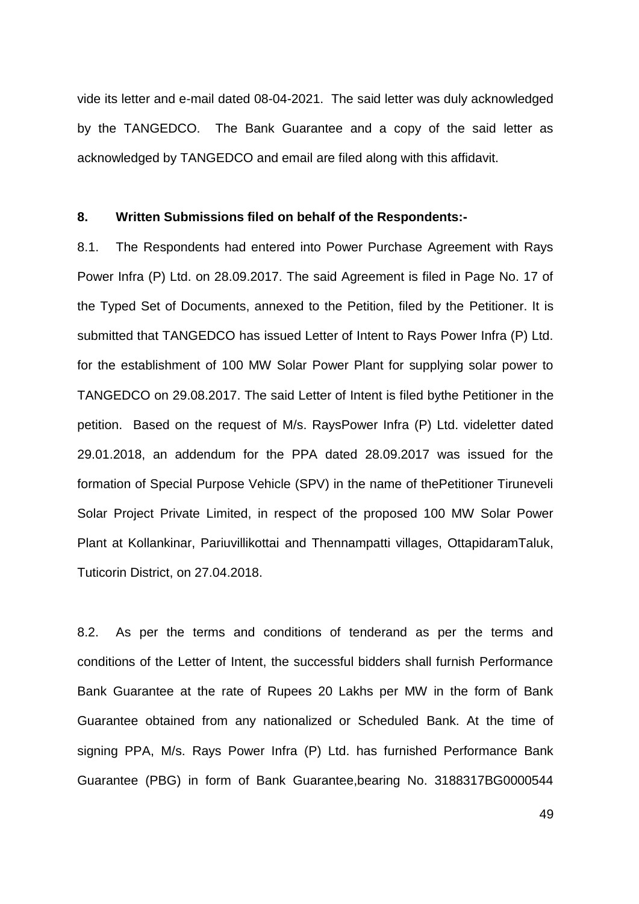vide its letter and e-mail dated 08-04-2021. The said letter was duly acknowledged by the TANGEDCO. The Bank Guarantee and a copy of the said letter as acknowledged by TANGEDCO and email are filed along with this affidavit.

### **8. Written Submissions filed on behalf of the Respondents:-**

8.1. The Respondents had entered into Power Purchase Agreement with Rays Power Infra (P) Ltd. on 28.09.2017. The said Agreement is filed in Page No. 17 of the Typed Set of Documents, annexed to the Petition, filed by the Petitioner. It is submitted that TANGEDCO has issued Letter of Intent to Rays Power Infra (P) Ltd. for the establishment of 100 MW Solar Power Plant for supplying solar power to TANGEDCO on 29.08.2017. The said Letter of Intent is filed bythe Petitioner in the petition. Based on the request of M/s. RaysPower Infra (P) Ltd. videletter dated 29.01.2018, an addendum for the PPA dated 28.09.2017 was issued for the formation of Special Purpose Vehicle (SPV) in the name of thePetitioner Tiruneveli Solar Project Private Limited, in respect of the proposed 100 MW Solar Power Plant at Kollankinar, Pariuvillikottai and Thennampatti villages, OttapidaramTaluk, Tuticorin District, on 27.04.2018.

8.2. As per the terms and conditions of tenderand as per the terms and conditions of the Letter of Intent, the successful bidders shall furnish Performance Bank Guarantee at the rate of Rupees 20 Lakhs per MW in the form of Bank Guarantee obtained from any nationalized or Scheduled Bank. At the time of signing PPA, M/s. Rays Power Infra (P) Ltd. has furnished Performance Bank Guarantee (PBG) in form of Bank Guarantee,bearing No. 3188317BG0000544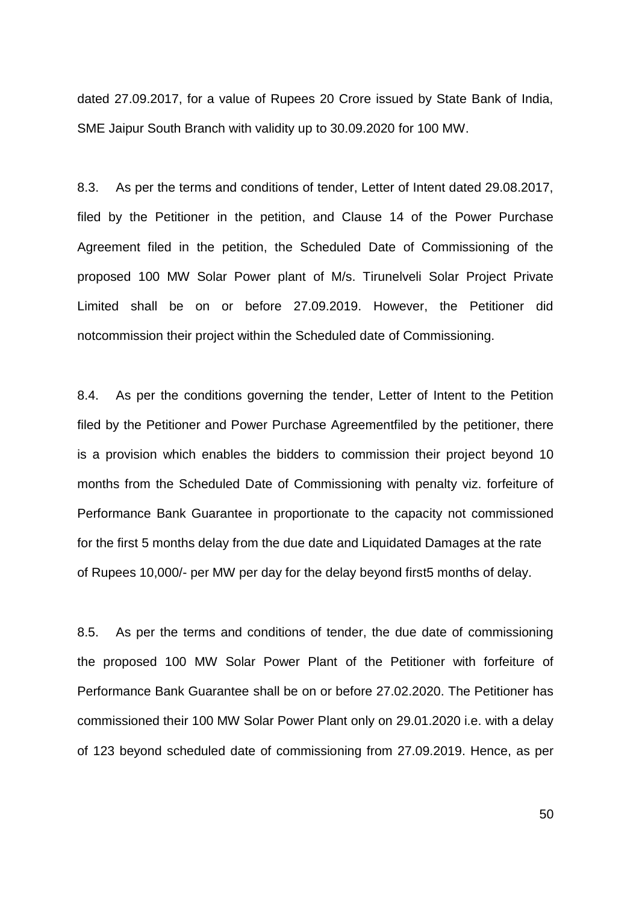dated 27.09.2017, for a value of Rupees 20 Crore issued by State Bank of India, SME Jaipur South Branch with validity up to 30.09.2020 for 100 MW.

8.3. As per the terms and conditions of tender, Letter of Intent dated 29.08.2017, filed by the Petitioner in the petition, and Clause 14 of the Power Purchase Agreement filed in the petition, the Scheduled Date of Commissioning of the proposed 100 MW Solar Power plant of M/s. Tirunelveli Solar Project Private Limited shall be on or before 27.09.2019. However, the Petitioner did notcommission their project within the Scheduled date of Commissioning.

8.4. As per the conditions governing the tender, Letter of Intent to the Petition filed by the Petitioner and Power Purchase Agreementfiled by the petitioner, there is a provision which enables the bidders to commission their project beyond 10 months from the Scheduled Date of Commissioning with penalty viz. forfeiture of Performance Bank Guarantee in proportionate to the capacity not commissioned for the first 5 months delay from the due date and Liquidated Damages at the rate of Rupees 10,000/- per MW per day for the delay beyond first5 months of delay.

8.5. As per the terms and conditions of tender, the due date of commissioning the proposed 100 MW Solar Power Plant of the Petitioner with forfeiture of Performance Bank Guarantee shall be on or before 27.02.2020. The Petitioner has commissioned their 100 MW Solar Power Plant only on 29.01.2020 i.e. with a delay of 123 beyond scheduled date of commissioning from 27.09.2019. Hence, as per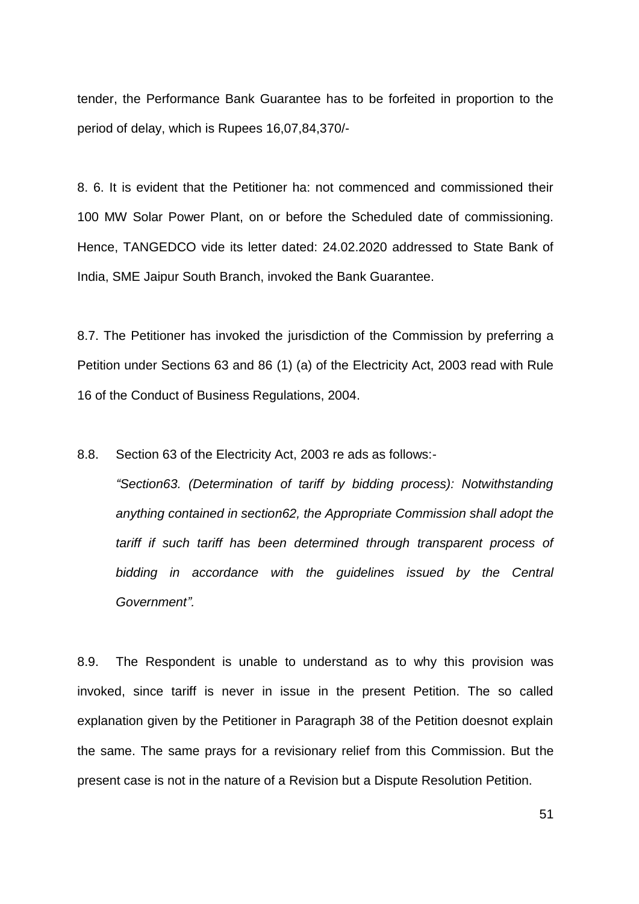tender, the Performance Bank Guarantee has to be forfeited in proportion to the period of delay, which is Rupees 16,07,84,370/-

8. 6. It is evident that the Petitioner ha: not commenced and commissioned their 100 MW Solar Power Plant, on or before the Scheduled date of commissioning. Hence, TANGEDCO vide its letter dated: 24.02.2020 addressed to State Bank of India, SME Jaipur South Branch, invoked the Bank Guarantee.

8.7. The Petitioner has invoked the jurisdiction of the Commission by preferring a Petition under Sections 63 and 86 (1) (a) of the Electricity Act, 2003 read with Rule 16 of the Conduct of Business Regulations, 2004.

8.8. Section 63 of the Electricity Act, 2003 re ads as follows:-

*"Section63. (Determination of tariff by bidding process): Notwithstanding anything contained in section62, the Appropriate Commission shall adopt the tariff if such tariff has been determined through transparent process of bidding in accordance with the guidelines issued by the Central Government".*

8.9. The Respondent is unable to understand as to why this provision was invoked, since tariff is never in issue in the present Petition. The so called explanation given by the Petitioner in Paragraph 38 of the Petition doesnot explain the same. The same prays for a revisionary relief from this Commission. But the present case is not in the nature of a Revision but a Dispute Resolution Petition.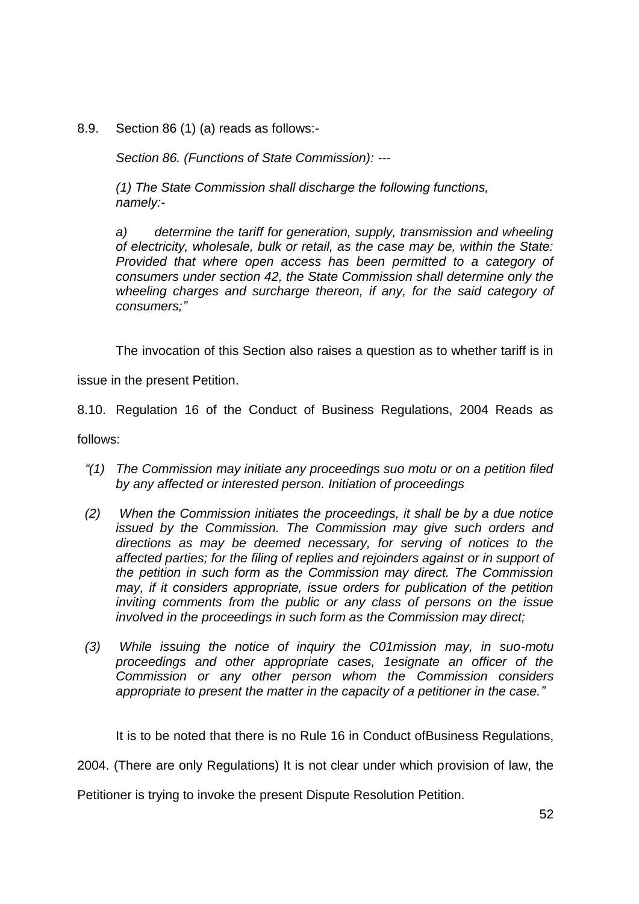8.9. Section 86 (1) (a) reads as follows:-

*Section 86. (Functions of State Commission): ---*

*(1) The State Commission shall discharge the following functions, namely:-* 

*a) determine the tariff for generation, supply, transmission and wheeling of electricity, wholesale, bulk or retail, as the case may be, within the State: Provided that where open access has been permitted to a category of consumers under section 42, the State Commission shall determine only the wheeling charges and surcharge thereon, if any, for the said category of consumers;"*

The invocation of this Section also raises a question as to whether tariff is in

issue in the present Petition.

8.10. Regulation 16 of the Conduct of Business Regulations, 2004 Reads as

follows:

- *"(1) The Commission may initiate any proceedings suo motu or on a petition filed by any affected or interested person. Initiation of proceedings*
- *(2) When the Commission initiates the proceedings, it shall be by a due notice issued by the Commission. The Commission may give such orders and directions as may be deemed necessary, for serving of notices to the affected parties; for the filing of replies and rejoinders against or in support of the petition in such form as the Commission may direct. The Commission may, if it considers appropriate, issue orders for publication of the petition inviting comments from the public or any class of persons on the issue involved in the proceedings in such form as the Commission may direct;*
- *(3) While issuing the notice of inquiry the C01mission may, in suo-motu proceedings and other appropriate cases, 1esignate an officer of the Commission or any other person whom the Commission considers appropriate to present the matter in the capacity of a petitioner in the case."*

It is to be noted that there is no Rule 16 in Conduct ofBusiness Regulations,

2004. (There are only Regulations) It is not clear under which provision of law, the

Petitioner is trying to invoke the present Dispute Resolution Petition.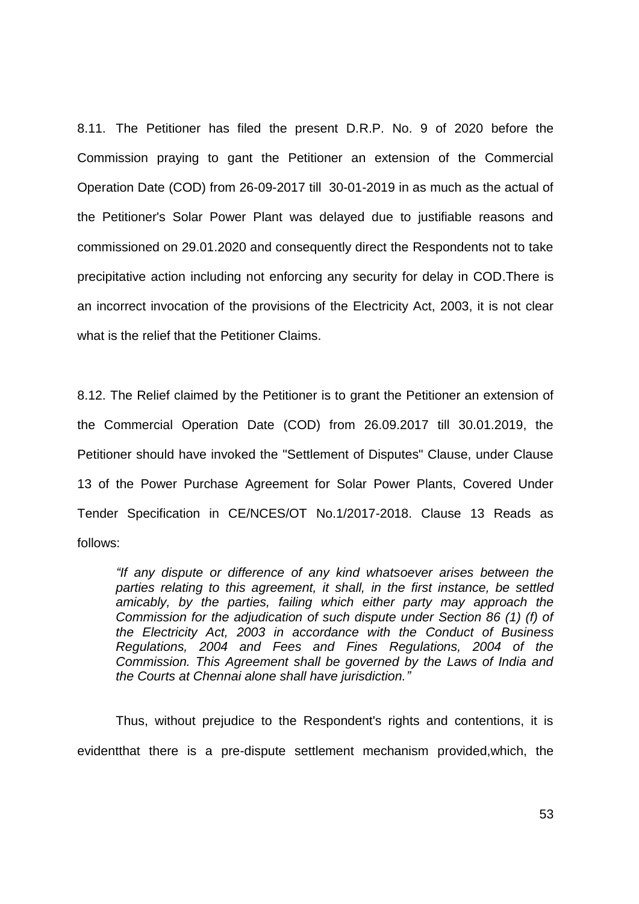8.11. The Petitioner has filed the present D.R.P. No. 9 of 2020 before the Commission praying to gant the Petitioner an extension of the Commercial Operation Date (COD) from 26-09-2017 till 30-01-2019 in as much as the actual of the Petitioner's Solar Power Plant was delayed due to justifiable reasons and commissioned on 29.01.2020 and consequently direct the Respondents not to take precipitative action including not enforcing any security for delay in COD.There is an incorrect invocation of the provisions of the Electricity Act, 2003, it is not clear what is the relief that the Petitioner Claims.

8.12. The Relief claimed by the Petitioner is to grant the Petitioner an extension of the Commercial Operation Date (COD) from 26.09.2017 till 30.01.2019, the Petitioner should have invoked the "Settlement of Disputes" Clause, under Clause 13 of the Power Purchase Agreement for Solar Power Plants, Covered Under Tender Specification in CE/NCES/OT No.1/2017-2018. Clause 13 Reads as follows:

*"If any dispute or difference of any kind whatsoever arises between the parties relating to this agreement, it shall, in the first instance, be settled amicably, by the parties, failing which either party may approach the Commission for the adjudication of such dispute under Section 86 (1) (f) of the Electricity Act, 2003 in accordance with the Conduct of Business Regulations, 2004 and Fees and Fines Regulations, 2004 of the Commission. This Agreement shall be governed by the Laws of India and the Courts at Chennai alone shall have jurisdiction."*

Thus, without prejudice to the Respondent's rights and contentions, it is evidentthat there is a pre-dispute settlement mechanism provided,which, the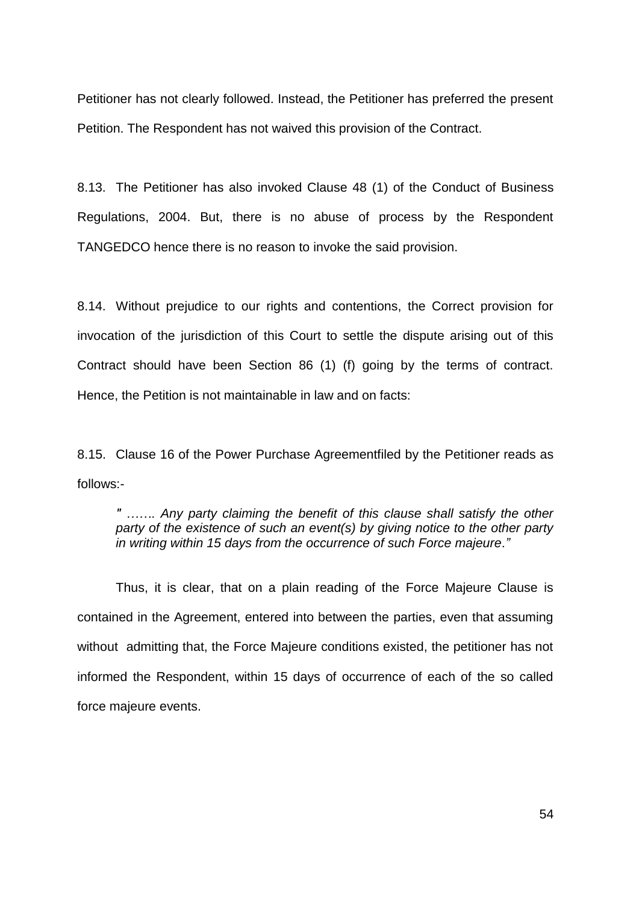Petitioner has not clearly followed. Instead, the Petitioner has preferred the present Petition. The Respondent has not waived this provision of the Contract.

8.13. The Petitioner has also invoked Clause 48 (1) of the Conduct of Business Regulations, 2004. But, there is no abuse of process by the Respondent TANGEDCO hence there is no reason to invoke the said provision.

8.14. Without prejudice to our rights and contentions, the Correct provision for invocation of the jurisdiction of this Court to settle the dispute arising out of this Contract should have been Section 86 (1) (f) going by the terms of contract. Hence, the Petition is not maintainable in law and on facts:

8.15. Clause 16 of the Power Purchase Agreementfiled by the Petitioner reads as follows:-

*" ……. Any party claiming the benefit of this clause shall satisfy the other party of the existence of such an event(s) by giving notice to the other party in writing within 15 days from the occurrence of such Force majeure."*

Thus, it is clear, that on a plain reading of the Force Majeure Clause is contained in the Agreement, entered into between the parties, even that assuming without admitting that, the Force Majeure conditions existed, the petitioner has not informed the Respondent, within 15 days of occurrence of each of the so called force majeure events.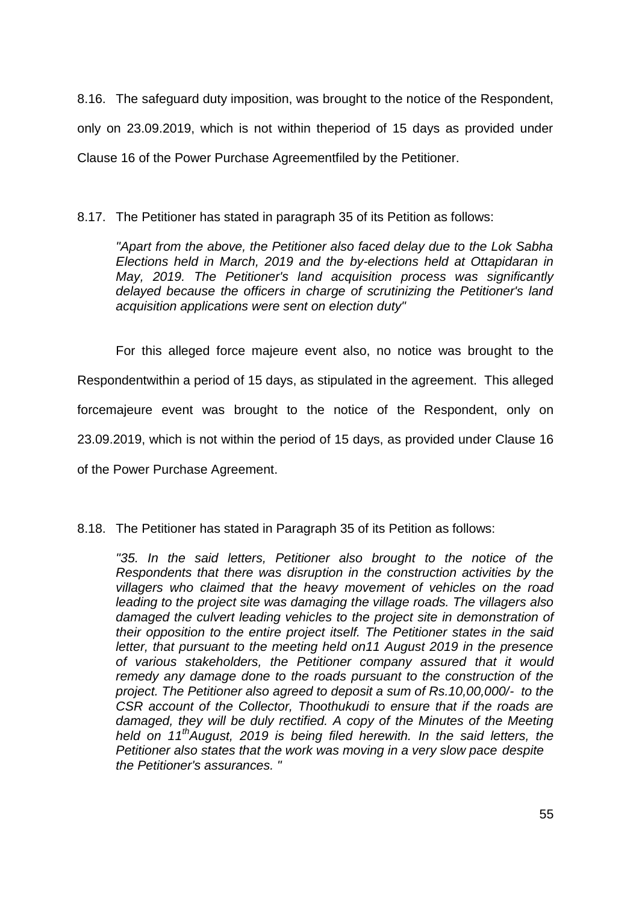8.16. The safeguard duty imposition, was brought to the notice of the Respondent, only on 23.09.2019, which is not within theperiod of 15 days as provided under Clause 16 of the Power Purchase Agreementfiled by the Petitioner.

# 8.17. The Petitioner has stated in paragraph 35 of its Petition as follows:

*"Apart from the above, the Petitioner also faced delay due to the Lok Sabha Elections held in March, 2019 and the by-elections held at Ottapidaran in May, 2019. The Petitioner's land acquisition process was significantly delayed because the officers in charge of scrutinizing the Petitioner's land acquisition applications were sent on election duty"* 

For this alleged force majeure event also, no notice was brought to the Respondentwithin a period of 15 days, as stipulated in the agreement. This alleged forcemajeure event was brought to the notice of the Respondent, only on 23.09.2019, which is not within the period of 15 days, as provided under Clause 16 of the Power Purchase Agreement.

## 8.18. The Petitioner has stated in Paragraph 35 of its Petition as follows:

*"35. In the said letters, Petitioner also brought to the notice of the Respondents that there was disruption in the construction activities by the villagers who claimed that the heavy movement of vehicles on the road leading to the project site was damaging the village roads. The villagers also damaged the culvert leading vehicles to the project site in demonstration of their opposition to the entire project itself. The Petitioner states in the said letter, that pursuant to the meeting held on11 August 2019 in the presence of various stakeholders, the Petitioner company assured that it would remedy any damage done to the roads pursuant to the construction of the project. The Petitioner also agreed to deposit a sum of Rs.10,00,000/- to the CSR account of the Collector, Thoothukudi to ensure that if the roads are damaged, they will be duly rectified. A copy of the Minutes of the Meeting held on 11thAugust, 2019 is being filed herewith. In the said letters, the Petitioner also states that the work was moving in a very slow pace despite the Petitioner's assurances. "*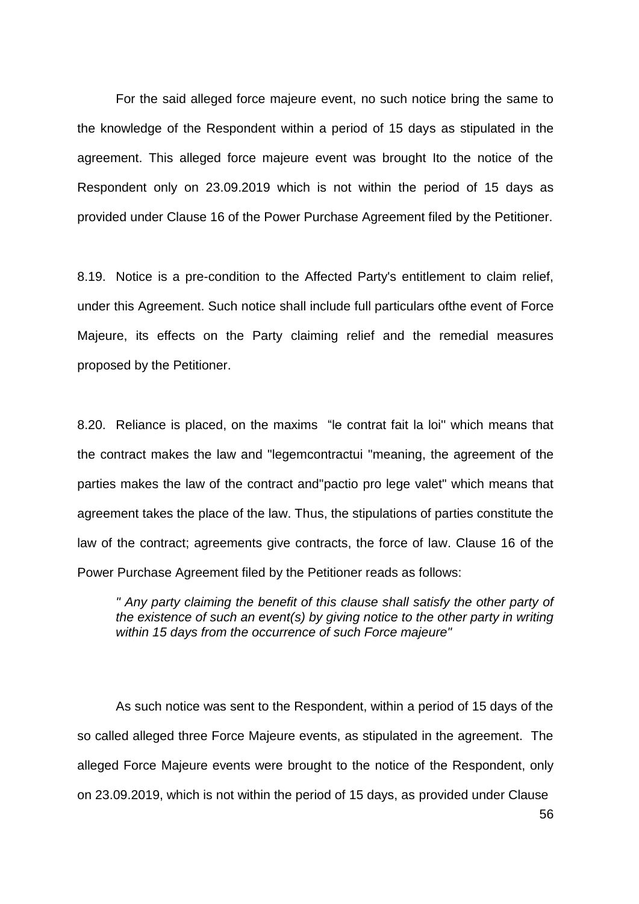For the said alleged force majeure event, no such notice bring the same to the knowledge of the Respondent within a period of 15 days as stipulated in the agreement. This alleged force majeure event was brought Ito the notice of the Respondent only on 23.09.2019 which is not within the period of 15 days as provided under Clause 16 of the Power Purchase Agreement filed by the Petitioner.

8.19. Notice is a pre-condition to the Affected Party's entitlement to claim relief, under this Agreement. Such notice shall include full particulars ofthe event of Force Majeure, its effects on the Party claiming relief and the remedial measures proposed by the Petitioner.

8.20. Reliance is placed, on the maxims "le contrat fait la loi'' which means that the contract makes the law and "legemcontractui "meaning, the agreement of the parties makes the law of the contract and"pactio pro lege valet" which means that agreement takes the place of the law. Thus, the stipulations of parties constitute the law of the contract; agreements give contracts, the force of law. Clause 16 of the Power Purchase Agreement filed by the Petitioner reads as follows:

*" Any party claiming the benefit of this clause shall satisfy the other party of the existence of such an event(s) by giving notice to the other party in writing within 15 days from the occurrence of such Force majeure"* 

As such notice was sent to the Respondent, within a period of 15 days of the so called alleged three Force Majeure events, as stipulated in the agreement. The alleged Force Majeure events were brought to the notice of the Respondent, only on 23.09.2019, which is not within the period of 15 days, as provided under Clause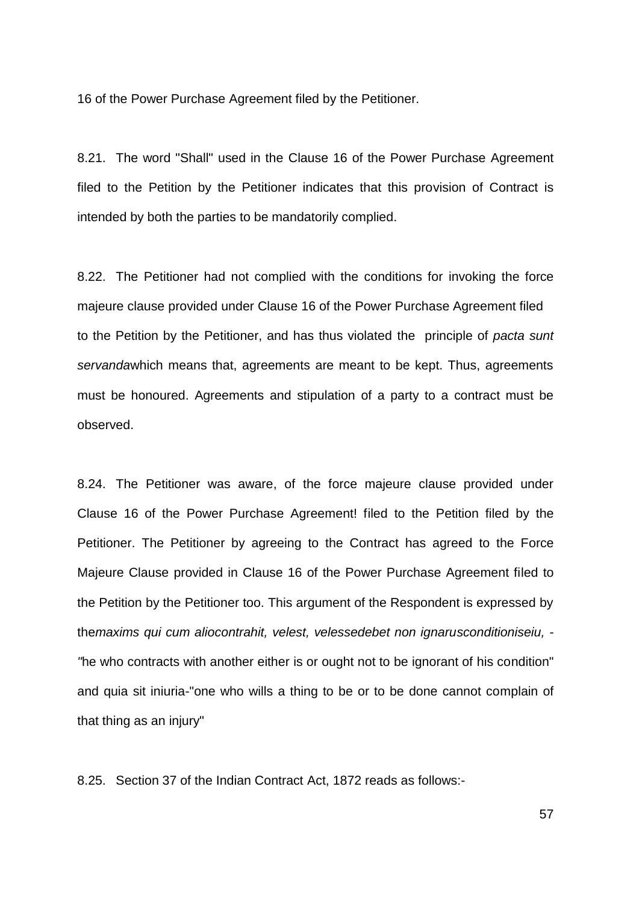16 of the Power Purchase Agreement filed by the Petitioner.

8.21. The word "Shall" used in the Clause 16 of the Power Purchase Agreement filed to the Petition by the Petitioner indicates that this provision of Contract is intended by both the parties to be mandatorily complied.

8.22. The Petitioner had not complied with the conditions for invoking the force majeure clause provided under Clause 16 of the Power Purchase Agreement filed to the Petition by the Petitioner, and has thus violated the principle of *pacta sunt servanda*which means that, agreements are meant to be kept. Thus, agreements must be honoured. Agreements and stipulation of a party to a contract must be observed.

8.24. The Petitioner was aware, of the force majeure clause provided under Clause 16 of the Power Purchase Agreement! filed to the Petition filed by the Petitioner. The Petitioner by agreeing to the Contract has agreed to the Force Majeure Clause provided in Clause 16 of the Power Purchase Agreement filed to the Petition by the Petitioner too. This argument of the Respondent is expressed by the*maxims qui cum aliocontrahit, velest, velessedebet non ignarusconditioniseiu, - "*he who contracts with another either is or ought not to be ignorant of his condition" and quia sit iniuria-"one who wills a thing to be or to be done cannot complain of that thing as an injury"

8.25. Section 37 of the Indian Contract Act, 1872 reads as follows:-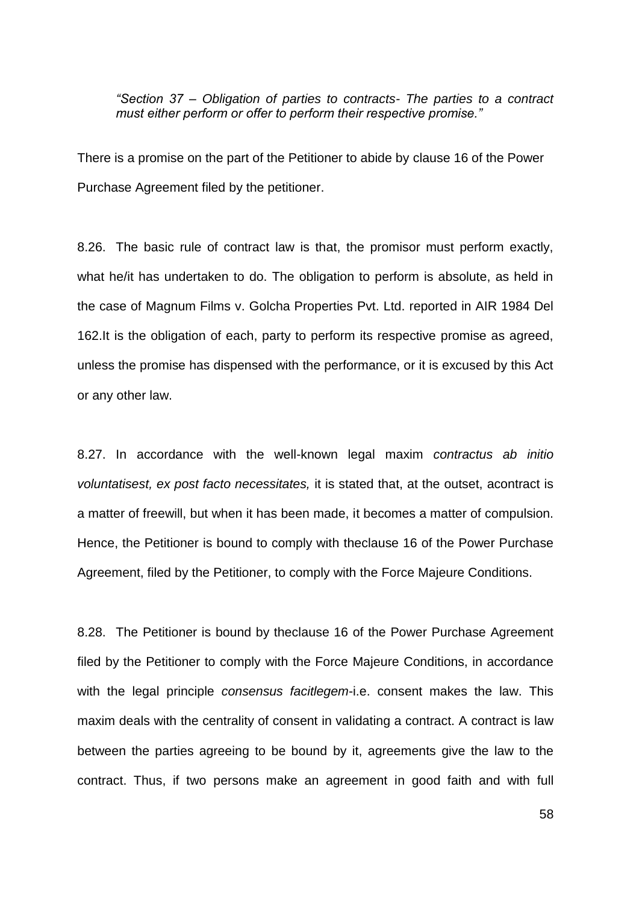*"Section 37 – Obligation of parties to contracts- The parties to a contract must either perform or offer to perform their respective promise."*

There is a promise on the part of the Petitioner to abide by clause 16 of the Power Purchase Agreement filed by the petitioner.

8.26. The basic rule of contract law is that, the promisor must perform exactly, what he/it has undertaken to do. The obligation to perform is absolute, as held in the case of Magnum Films v. Golcha Properties Pvt. Ltd. reported in AIR 1984 Del 162.It is the obligation of each, party to perform its respective promise as agreed, unless the promise has dispensed with the performance, or it is excused by this Act or any other law.

8.27. In accordance with the well-known legal maxim *contractus ab initio voluntatisest, ex post facto necessitates,* it is stated that, at the outset, acontract is a matter of freewill, but when it has been made, it becomes a matter of compulsion. Hence, the Petitioner is bound to comply with theclause 16 of the Power Purchase Agreement, filed by the Petitioner, to comply with the Force Majeure Conditions.

8.28. The Petitioner is bound by theclause 16 of the Power Purchase Agreement filed by the Petitioner to comply with the Force Majeure Conditions, in accordance with the legal principle *consensus facitlegem*-i.e. consent makes the law. This maxim deals with the centrality of consent in validating a contract. A contract is law between the parties agreeing to be bound by it, agreements give the law to the contract. Thus, if two persons make an agreement in good faith and with full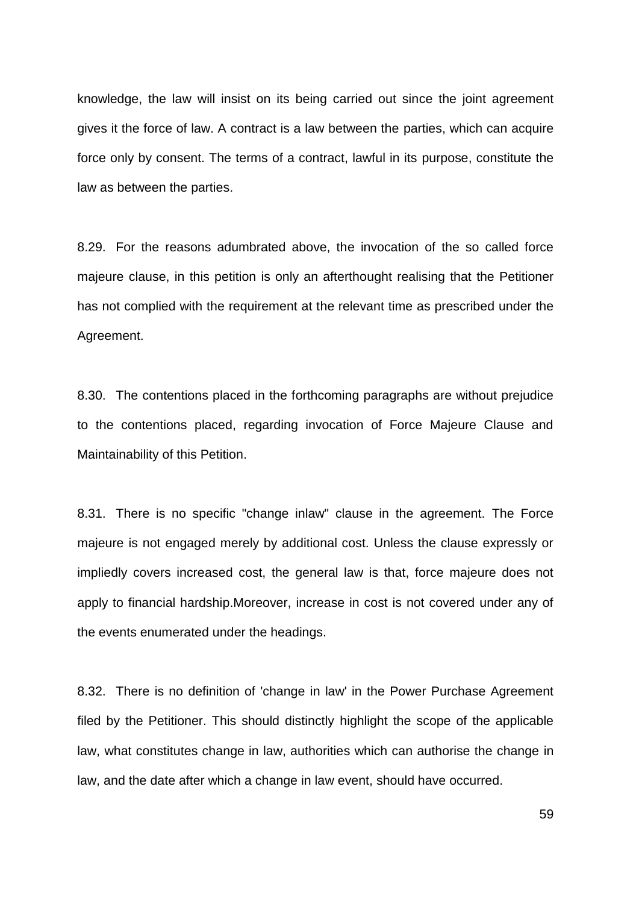knowledge, the law will insist on its being carried out since the joint agreement gives it the force of law. A contract is a law between the parties, which can acquire force only by consent. The terms of a contract, lawful in its purpose, constitute the law as between the parties.

8.29. For the reasons adumbrated above, the invocation of the so called force majeure clause, in this petition is only an afterthought realising that the Petitioner has not complied with the requirement at the relevant time as prescribed under the Agreement.

8.30. The contentions placed in the forthcoming paragraphs are without prejudice to the contentions placed, regarding invocation of Force Majeure Clause and Maintainability of this Petition.

8.31. There is no specific "change inlaw" clause in the agreement. The Force majeure is not engaged merely by additional cost. Unless the clause expressly or impliedly covers increased cost, the general law is that, force majeure does not apply to financial hardship.Moreover, increase in cost is not covered under any of the events enumerated under the headings.

8.32. There is no definition of 'change in law' in the Power Purchase Agreement filed by the Petitioner. This should distinctly highlight the scope of the applicable law, what constitutes change in law, authorities which can authorise the change in law, and the date after which a change in law event, should have occurred.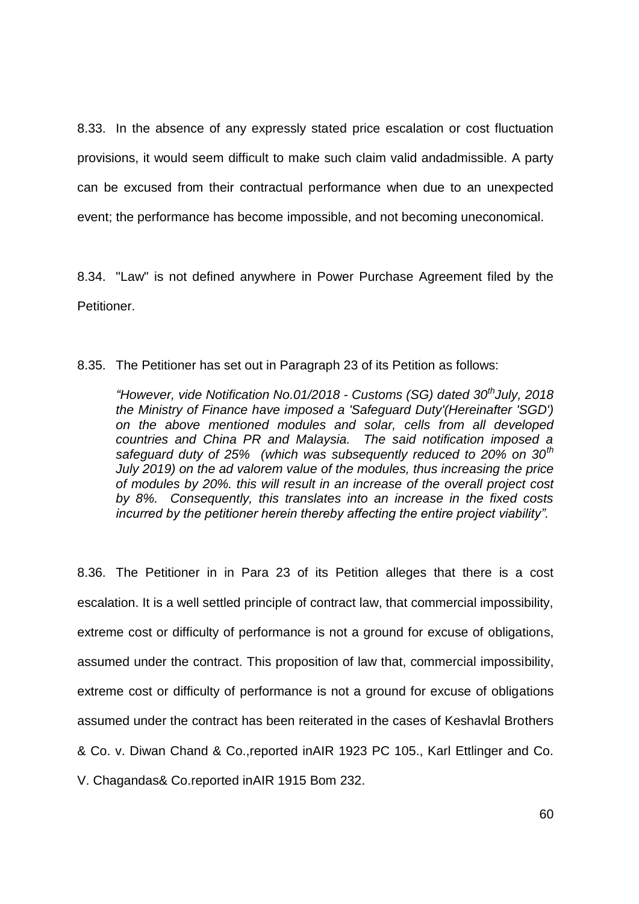8.33. In the absence of any expressly stated price escalation or cost fluctuation provisions, it would seem difficult to make such claim valid andadmissible. A party can be excused from their contractual performance when due to an unexpected event; the performance has become impossible, and not becoming uneconomical.

8.34. "Law" is not defined anywhere in Power Purchase Agreement filed by the Petitioner.

### 8.35. The Petitioner has set out in Paragraph 23 of its Petition as follows:

*"However, vide Notification No.01/2018 - Customs (SG) dated 30thJuly, 2018 the Ministry of Finance have imposed a 'Safeguard Duty'(Hereinafter 'SGD') on the above mentioned modules and solar, cells from all developed countries and China PR and Malaysia. The said notification imposed a safeguard duty of 25% (which was subsequently reduced to 20% on 30th July 2019) on the ad valorem value of the modules, thus increasing the price of modules by 20%. this will result in an increase of the overall project cost by 8%. Consequently, this translates into an increase in the fixed costs incurred by the petitioner herein thereby affecting the entire project viability".* 

8.36. The Petitioner in in Para 23 of its Petition alleges that there is a cost escalation. It is a well settled principle of contract law, that commercial impossibility, extreme cost or difficulty of performance is not a ground for excuse of obligations, assumed under the contract. This proposition of law that, commercial impossibility, extreme cost or difficulty of performance is not a ground for excuse of obligations assumed under the contract has been reiterated in the cases of Keshavlal Brothers & Co. v. Diwan Chand & Co.,reported inAIR 1923 PC 105., Karl Ettlinger and Co. V. Chagandas& Co.reported inAIR 1915 Bom 232.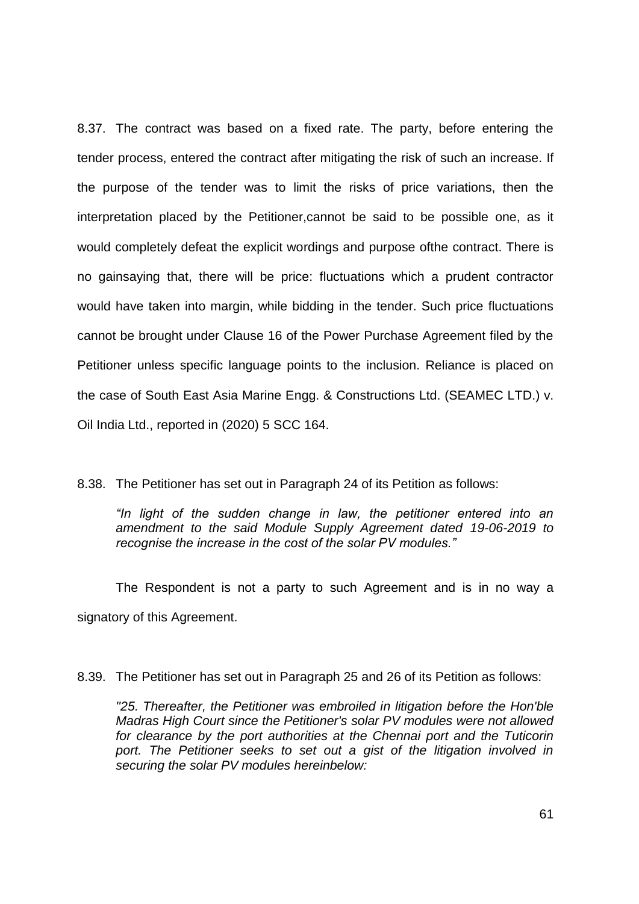8.37. The contract was based on a fixed rate. The party, before entering the tender process, entered the contract after mitigating the risk of such an increase. If the purpose of the tender was to limit the risks of price variations, then the interpretation placed by the Petitioner,cannot be said to be possible one, as it would completely defeat the explicit wordings and purpose ofthe contract. There is no gainsaying that, there will be price: fluctuations which a prudent contractor would have taken into margin, while bidding in the tender. Such price fluctuations cannot be brought under Clause 16 of the Power Purchase Agreement filed by the Petitioner unless specific language points to the inclusion. Reliance is placed on the case of South East Asia Marine Engg. & Constructions Ltd. (SEAMEC LTD.) v. Oil India Ltd., reported in (2020) 5 SCC 164.

8.38. The Petitioner has set out in Paragraph 24 of its Petition as follows:

*"In light of the sudden change in law, the petitioner entered into an amendment to the said Module Supply Agreement dated 19-06-2019 to recognise the increase in the cost of the solar PV modules."*

The Respondent is not a party to such Agreement and is in no way a signatory of this Agreement.

8.39. The Petitioner has set out in Paragraph 25 and 26 of its Petition as follows:

*"25. Thereafter, the Petitioner was embroiled in litigation before the Hon'ble Madras High Court since the Petitioner's solar PV modules were not allowed*  for clearance by the port authorities at the Chennai port and the Tuticorin port. The Petitioner seeks to set out a gist of the litigation involved in *securing the solar PV modules hereinbelow:*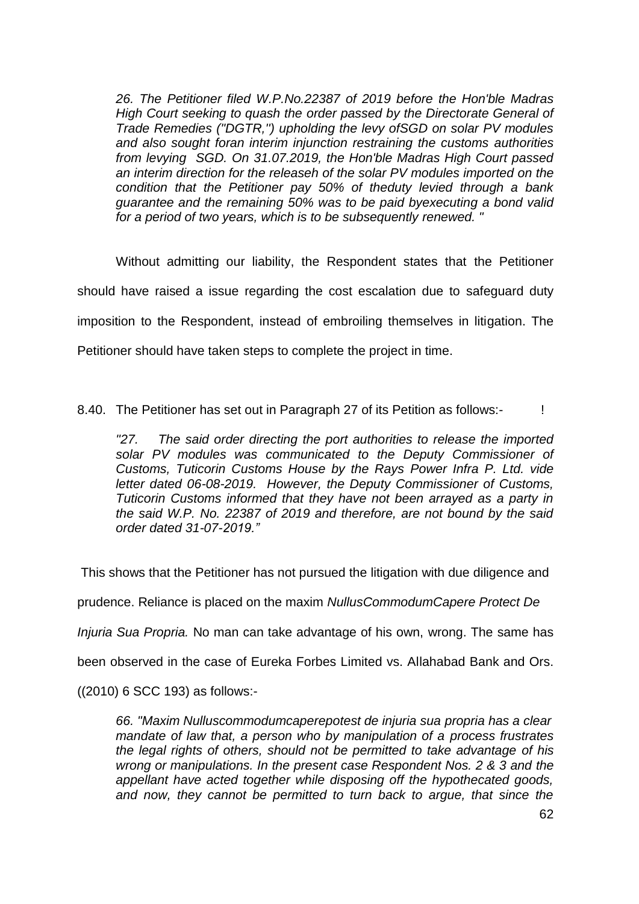*26. The Petitioner filed W.P.No.22387 of 2019 before the Hon'ble Madras High Court seeking to quash the order passed by the Directorate General of Trade Remedies ("DGTR,'') upholding the levy ofSGD on solar PV modules and also sought foran interim injunction restraining the customs authorities from levying SGD. On 31.07.2019, the Hon'ble Madras High Court passed an interim direction for the releaseh of the solar PV modules imported on the condition that the Petitioner pay 50% of theduty levied through a bank guarantee and the remaining 50% was to be paid byexecuting a bond valid for a period of two years, which is to be subsequently renewed. "* 

Without admitting our liability, the Respondent states that the Petitioner should have raised a issue regarding the cost escalation due to safeguard duty imposition to the Respondent, instead of embroiling themselves in litigation. The Petitioner should have taken steps to complete the project in time.

8.40. The Petitioner has set out in Paragraph 27 of its Petition as follows:-

*"27. The said order directing the port authorities to release the imported solar PV modules was communicated to the Deputy Commissioner of Customs, Tuticorin Customs House by the Rays Power Infra P. Ltd. vide letter dated 06-08-2019. However, the Deputy Commissioner of Customs, Tuticorin Customs informed that they have not been arrayed as a party in the said W.P. No. 22387 of 2019 and therefore, are not bound by the said order dated 31-07-2019."*

This shows that the Petitioner has not pursued the litigation with due diligence and

prudence. Reliance is placed on the maxim *NullusCommodumCapere Protect De* 

*Injuria Sua Propria.* No man can take advantage of his own, wrong. The same has

been observed in the case of Eureka Forbes Limited vs. Allahabad Bank and Ors.

((2010) 6 SCC 193) as follows:-

*66. "Maxim Nulluscommodumcaperepotest de injuria sua propria has a clear mandate of law that, a person who by manipulation of a process frustrates the legal rights of others, should not be permitted to take advantage of his wrong or manipulations. In the present case Respondent Nos. 2 & 3 and the appellant have acted together while disposing off the hypothecated goods, and now, they cannot be permitted to turn back to argue, that since the*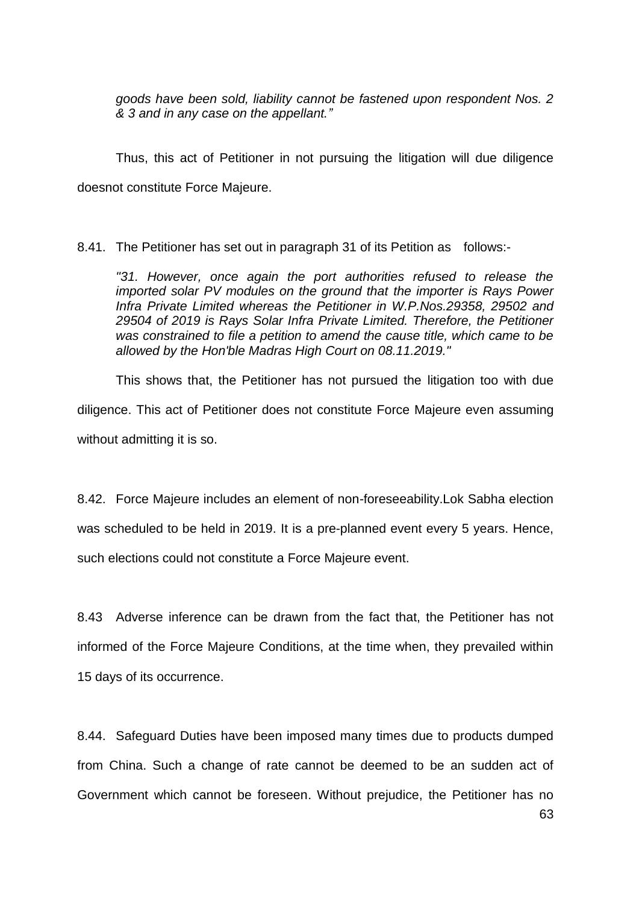*goods have been sold, liability cannot be fastened upon respondent Nos. 2 & 3 and in any case on the appellant."*

Thus, this act of Petitioner in not pursuing the litigation will due diligence doesnot constitute Force Majeure.

8.41. The Petitioner has set out in paragraph 31 of its Petition as follows:-

*"31. However, once again the port authorities refused to release the imported solar PV modules on the ground that the importer is Rays Power Infra Private Limited whereas the Petitioner in W.P.Nos.29358, 29502 and 29504 of 2019 is Rays Solar Infra Private Limited. Therefore, the Petitioner was constrained to file a petition to amend the cause title, which came to be allowed by the Hon'ble Madras High Court on 08.11.2019."* 

This shows that, the Petitioner has not pursued the litigation too with due diligence. This act of Petitioner does not constitute Force Majeure even assuming without admitting it is so.

8.42. Force Majeure includes an element of non-foreseeability.Lok Sabha election was scheduled to be held in 2019. It is a pre-planned event every 5 years. Hence, such elections could not constitute a Force Majeure event.

8.43 Adverse inference can be drawn from the fact that, the Petitioner has not informed of the Force Majeure Conditions, at the time when, they prevailed within 15 days of its occurrence.

8.44. Safeguard Duties have been imposed many times due to products dumped from China. Such a change of rate cannot be deemed to be an sudden act of Government which cannot be foreseen. Without prejudice, the Petitioner has no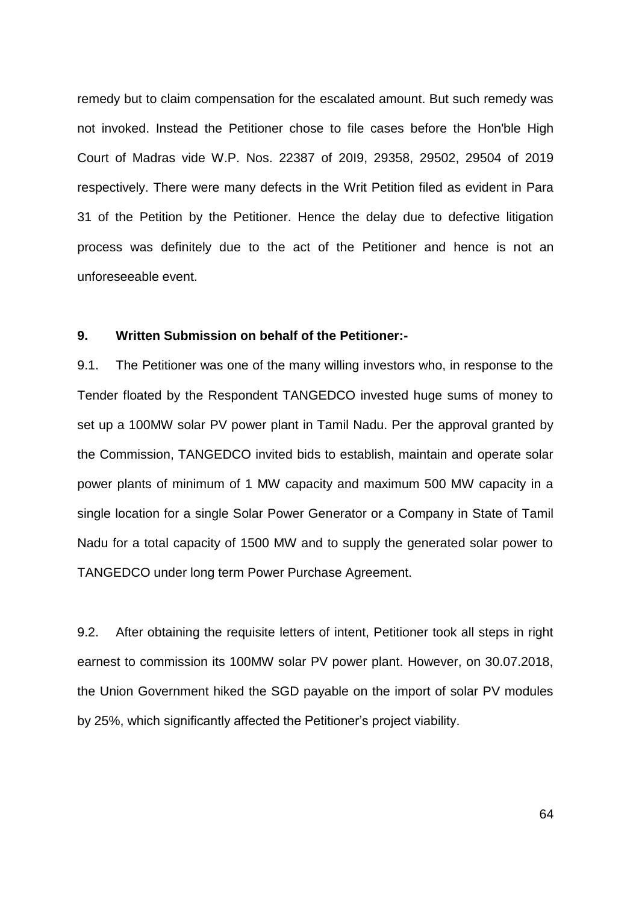remedy but to claim compensation for the escalated amount. But such remedy was not invoked. Instead the Petitioner chose to file cases before the Hon'ble High Court of Madras vide W.P. Nos. 22387 of 20I9, 29358, 29502, 29504 of 2019 respectively. There were many defects in the Writ Petition filed as evident in Para 31 of the Petition by the Petitioner. Hence the delay due to defective litigation process was definitely due to the act of the Petitioner and hence is not an unforeseeable event.

### **9. Written Submission on behalf of the Petitioner:-**

9.1. The Petitioner was one of the many willing investors who, in response to the Tender floated by the Respondent TANGEDCO invested huge sums of money to set up a 100MW solar PV power plant in Tamil Nadu. Per the approval granted by the Commission, TANGEDCO invited bids to establish, maintain and operate solar power plants of minimum of 1 MW capacity and maximum 500 MW capacity in a single location for a single Solar Power Generator or a Company in State of Tamil Nadu for a total capacity of 1500 MW and to supply the generated solar power to TANGEDCO under long term Power Purchase Agreement.

9.2. After obtaining the requisite letters of intent, Petitioner took all steps in right earnest to commission its 100MW solar PV power plant. However, on 30.07.2018, the Union Government hiked the SGD payable on the import of solar PV modules by 25%, which significantly affected the Petitioner"s project viability.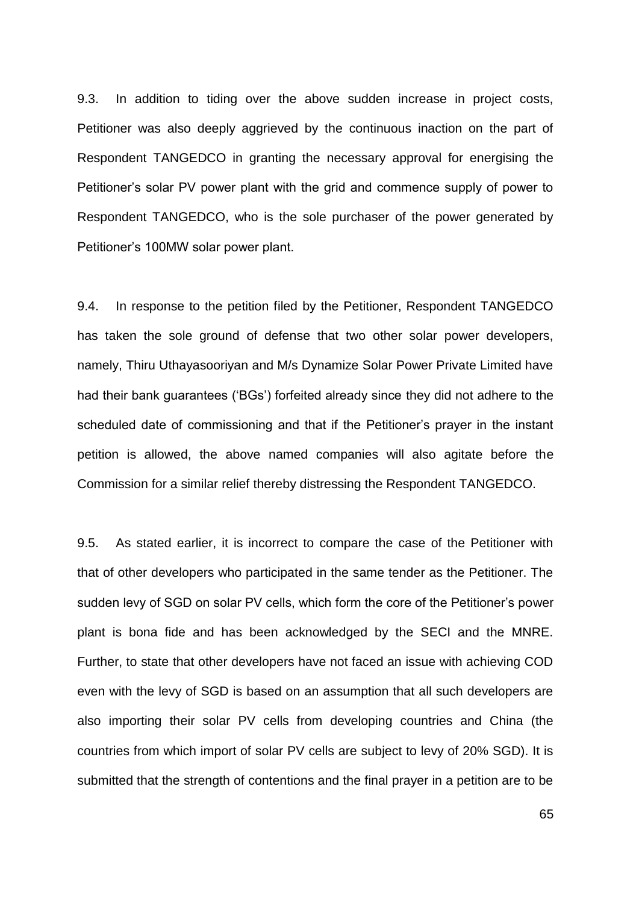9.3. In addition to tiding over the above sudden increase in project costs, Petitioner was also deeply aggrieved by the continuous inaction on the part of Respondent TANGEDCO in granting the necessary approval for energising the Petitioner"s solar PV power plant with the grid and commence supply of power to Respondent TANGEDCO, who is the sole purchaser of the power generated by Petitioner"s 100MW solar power plant.

9.4. In response to the petition filed by the Petitioner, Respondent TANGEDCO has taken the sole ground of defense that two other solar power developers, namely, Thiru Uthayasooriyan and M/s Dynamize Solar Power Private Limited have had their bank guarantees ("BGs") forfeited already since they did not adhere to the scheduled date of commissioning and that if the Petitioner's prayer in the instant petition is allowed, the above named companies will also agitate before the Commission for a similar relief thereby distressing the Respondent TANGEDCO.

9.5. As stated earlier, it is incorrect to compare the case of the Petitioner with that of other developers who participated in the same tender as the Petitioner. The sudden levy of SGD on solar PV cells, which form the core of the Petitioner"s power plant is bona fide and has been acknowledged by the SECI and the MNRE. Further, to state that other developers have not faced an issue with achieving COD even with the levy of SGD is based on an assumption that all such developers are also importing their solar PV cells from developing countries and China (the countries from which import of solar PV cells are subject to levy of 20% SGD). It is submitted that the strength of contentions and the final prayer in a petition are to be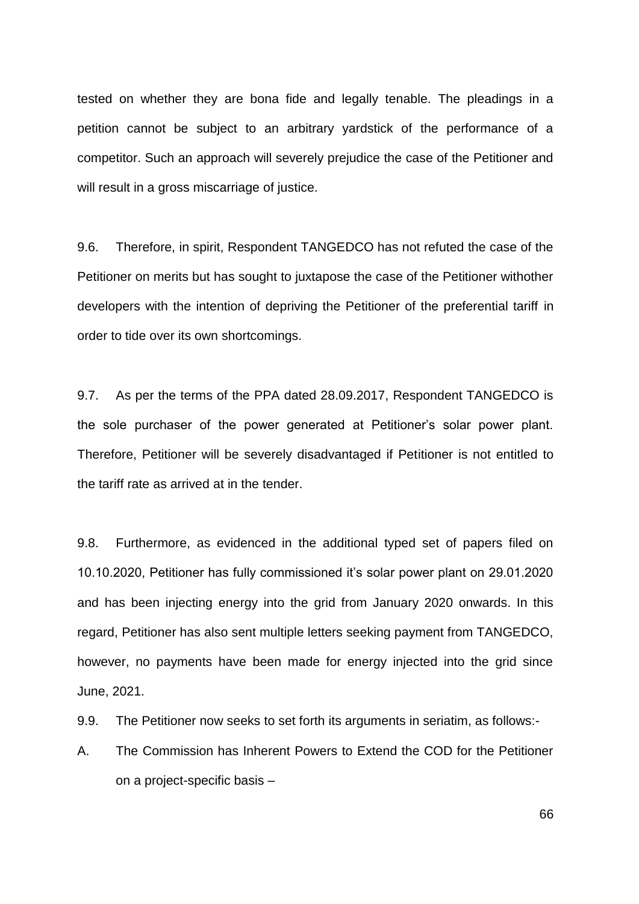tested on whether they are bona fide and legally tenable. The pleadings in a petition cannot be subject to an arbitrary yardstick of the performance of a competitor. Such an approach will severely prejudice the case of the Petitioner and will result in a gross miscarriage of justice.

9.6. Therefore, in spirit, Respondent TANGEDCO has not refuted the case of the Petitioner on merits but has sought to juxtapose the case of the Petitioner withother developers with the intention of depriving the Petitioner of the preferential tariff in order to tide over its own shortcomings.

9.7. As per the terms of the PPA dated 28.09.2017, Respondent TANGEDCO is the sole purchaser of the power generated at Petitioner"s solar power plant. Therefore, Petitioner will be severely disadvantaged if Petitioner is not entitled to the tariff rate as arrived at in the tender.

9.8. Furthermore, as evidenced in the additional typed set of papers filed on 10.10.2020, Petitioner has fully commissioned it"s solar power plant on 29.01.2020 and has been injecting energy into the grid from January 2020 onwards. In this regard, Petitioner has also sent multiple letters seeking payment from TANGEDCO, however, no payments have been made for energy injected into the grid since June, 2021.

9.9. The Petitioner now seeks to set forth its arguments in seriatim, as follows:-

A. The Commission has Inherent Powers to Extend the COD for the Petitioner on a project-specific basis –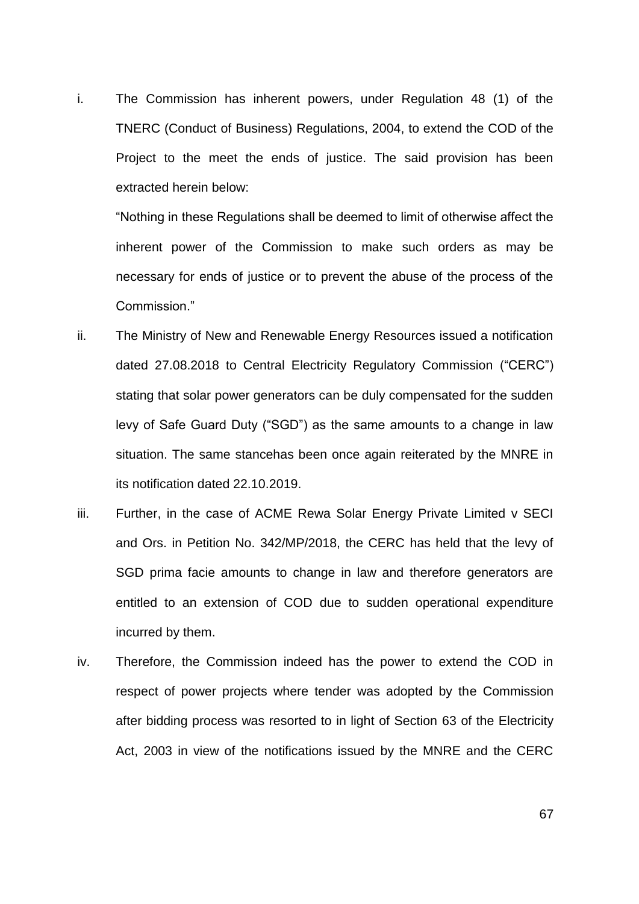i. The Commission has inherent powers, under Regulation 48 (1) of the TNERC (Conduct of Business) Regulations, 2004, to extend the COD of the Project to the meet the ends of justice. The said provision has been extracted herein below:

"Nothing in these Regulations shall be deemed to limit of otherwise affect the inherent power of the Commission to make such orders as may be necessary for ends of justice or to prevent the abuse of the process of the Commission."

- ii. The Ministry of New and Renewable Energy Resources issued a notification dated 27.08.2018 to Central Electricity Regulatory Commission ("CERC") stating that solar power generators can be duly compensated for the sudden levy of Safe Guard Duty ("SGD") as the same amounts to a change in law situation. The same stancehas been once again reiterated by the MNRE in its notification dated 22.10.2019.
- iii. Further, in the case of ACME Rewa Solar Energy Private Limited v SECI and Ors. in Petition No. 342/MP/2018, the CERC has held that the levy of SGD prima facie amounts to change in law and therefore generators are entitled to an extension of COD due to sudden operational expenditure incurred by them.
- iv. Therefore, the Commission indeed has the power to extend the COD in respect of power projects where tender was adopted by the Commission after bidding process was resorted to in light of Section 63 of the Electricity Act, 2003 in view of the notifications issued by the MNRE and the CERC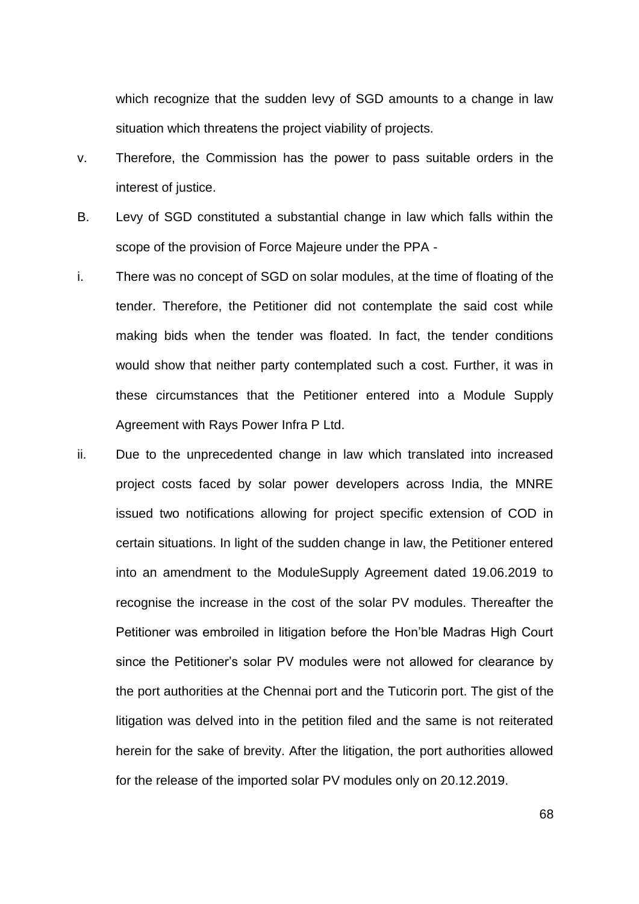which recognize that the sudden levy of SGD amounts to a change in law situation which threatens the project viability of projects.

- v. Therefore, the Commission has the power to pass suitable orders in the interest of justice.
- B. Levy of SGD constituted a substantial change in law which falls within the scope of the provision of Force Majeure under the PPA -
- i. There was no concept of SGD on solar modules, at the time of floating of the tender. Therefore, the Petitioner did not contemplate the said cost while making bids when the tender was floated. In fact, the tender conditions would show that neither party contemplated such a cost. Further, it was in these circumstances that the Petitioner entered into a Module Supply Agreement with Rays Power Infra P Ltd.
- ii. Due to the unprecedented change in law which translated into increased project costs faced by solar power developers across India, the MNRE issued two notifications allowing for project specific extension of COD in certain situations. In light of the sudden change in law, the Petitioner entered into an amendment to the ModuleSupply Agreement dated 19.06.2019 to recognise the increase in the cost of the solar PV modules. Thereafter the Petitioner was embroiled in litigation before the Hon"ble Madras High Court since the Petitioner's solar PV modules were not allowed for clearance by the port authorities at the Chennai port and the Tuticorin port. The gist of the litigation was delved into in the petition filed and the same is not reiterated herein for the sake of brevity. After the litigation, the port authorities allowed for the release of the imported solar PV modules only on 20.12.2019.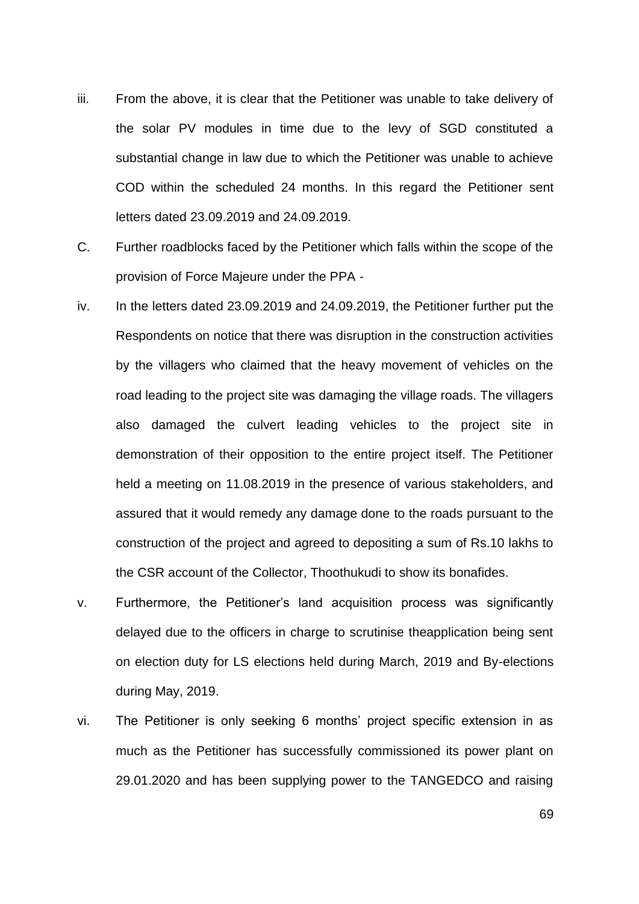- iii. From the above, it is clear that the Petitioner was unable to take delivery of the solar PV modules in time due to the levy of SGD constituted a substantial change in law due to which the Petitioner was unable to achieve COD within the scheduled 24 months. In this regard the Petitioner sent letters dated 23.09.2019 and 24.09.2019.
- C. Further roadblocks faced by the Petitioner which falls within the scope of the provision of Force Majeure under the PPA -
- iv. In the letters dated 23.09.2019 and 24.09.2019, the Petitioner further put the Respondents on notice that there was disruption in the construction activities by the villagers who claimed that the heavy movement of vehicles on the road leading to the project site was damaging the village roads. The villagers also damaged the culvert leading vehicles to the project site in demonstration of their opposition to the entire project itself. The Petitioner held a meeting on 11.08.2019 in the presence of various stakeholders, and assured that it would remedy any damage done to the roads pursuant to the construction of the project and agreed to depositing a sum of Rs.10 lakhs to the CSR account of the Collector, Thoothukudi to show its bonafides.
- v. Furthermore, the Petitioner"s land acquisition process was significantly delayed due to the officers in charge to scrutinise theapplication being sent on election duty for LS elections held during March, 2019 and By-elections during May, 2019.
- vi. The Petitioner is only seeking 6 months" project specific extension in as much as the Petitioner has successfully commissioned its power plant on 29.01.2020 and has been supplying power to the TANGEDCO and raising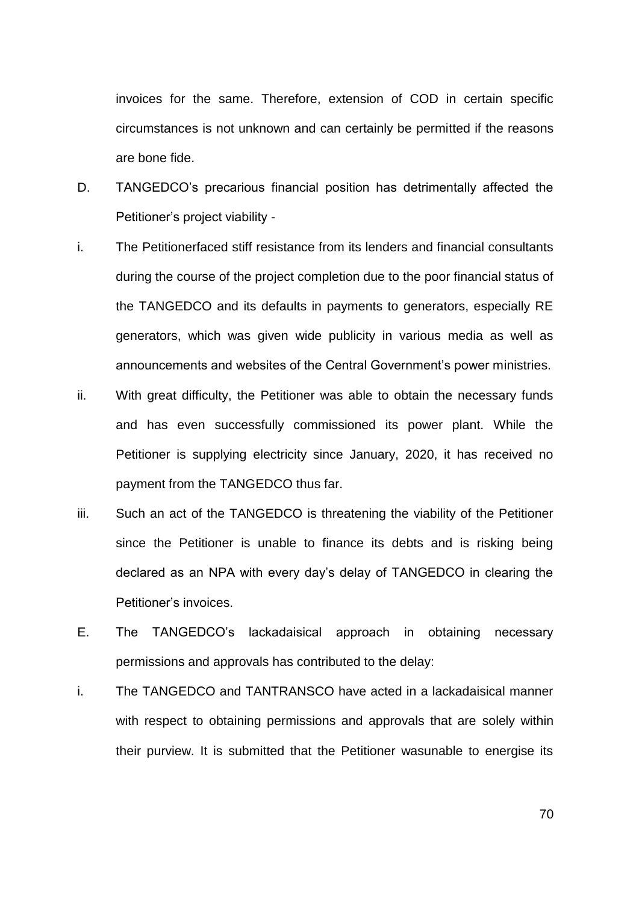invoices for the same. Therefore, extension of COD in certain specific circumstances is not unknown and can certainly be permitted if the reasons are bone fide.

- D. TANGEDCO"s precarious financial position has detrimentally affected the Petitioner"s project viability -
- i. The Petitionerfaced stiff resistance from its lenders and financial consultants during the course of the project completion due to the poor financial status of the TANGEDCO and its defaults in payments to generators, especially RE generators, which was given wide publicity in various media as well as announcements and websites of the Central Government"s power ministries.
- ii. With great difficulty, the Petitioner was able to obtain the necessary funds and has even successfully commissioned its power plant. While the Petitioner is supplying electricity since January, 2020, it has received no payment from the TANGEDCO thus far.
- iii. Such an act of the TANGEDCO is threatening the viability of the Petitioner since the Petitioner is unable to finance its debts and is risking being declared as an NPA with every day"s delay of TANGEDCO in clearing the Petitioner"s invoices.
- E. The TANGEDCO"s lackadaisical approach in obtaining necessary permissions and approvals has contributed to the delay:
- i. The TANGEDCO and TANTRANSCO have acted in a lackadaisical manner with respect to obtaining permissions and approvals that are solely within their purview. It is submitted that the Petitioner wasunable to energise its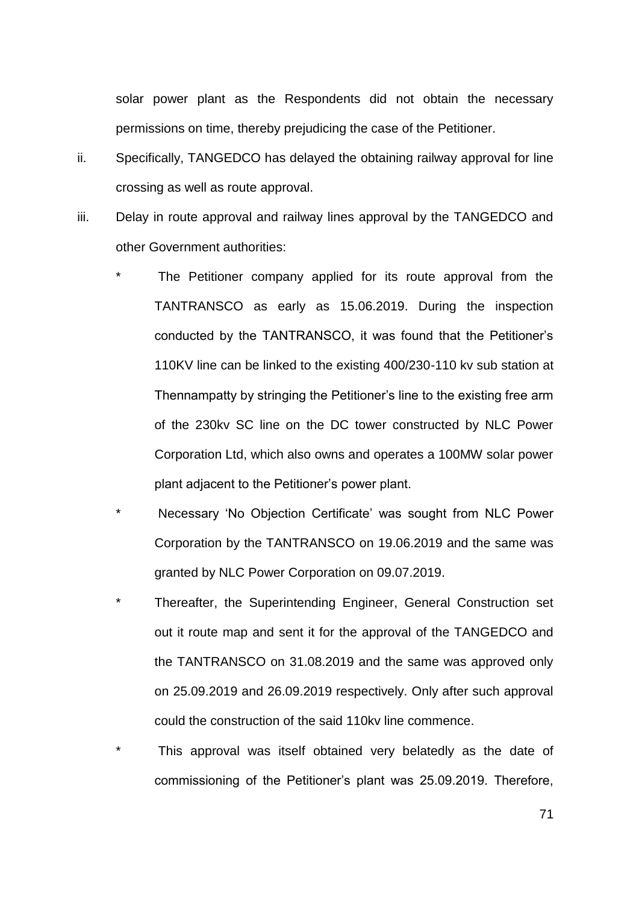solar power plant as the Respondents did not obtain the necessary permissions on time, thereby prejudicing the case of the Petitioner.

- ii. Specifically, TANGEDCO has delayed the obtaining railway approval for line crossing as well as route approval.
- iii. Delay in route approval and railway lines approval by the TANGEDCO and other Government authorities:
	- The Petitioner company applied for its route approval from the TANTRANSCO as early as 15.06.2019. During the inspection conducted by the TANTRANSCO, it was found that the Petitioner"s 110KV line can be linked to the existing 400/230-110 kv sub station at Thennampatty by stringing the Petitioner"s line to the existing free arm of the 230kv SC line on the DC tower constructed by NLC Power Corporation Ltd, which also owns and operates a 100MW solar power plant adjacent to the Petitioner"s power plant.
	- Necessary 'No Objection Certificate' was sought from NLC Power Corporation by the TANTRANSCO on 19.06.2019 and the same was granted by NLC Power Corporation on 09.07.2019.
	- Thereafter, the Superintending Engineer, General Construction set out it route map and sent it for the approval of the TANGEDCO and the TANTRANSCO on 31.08.2019 and the same was approved only on 25.09.2019 and 26.09.2019 respectively. Only after such approval could the construction of the said 110kv line commence.
	- This approval was itself obtained very belatedly as the date of commissioning of the Petitioner"s plant was 25.09.2019. Therefore,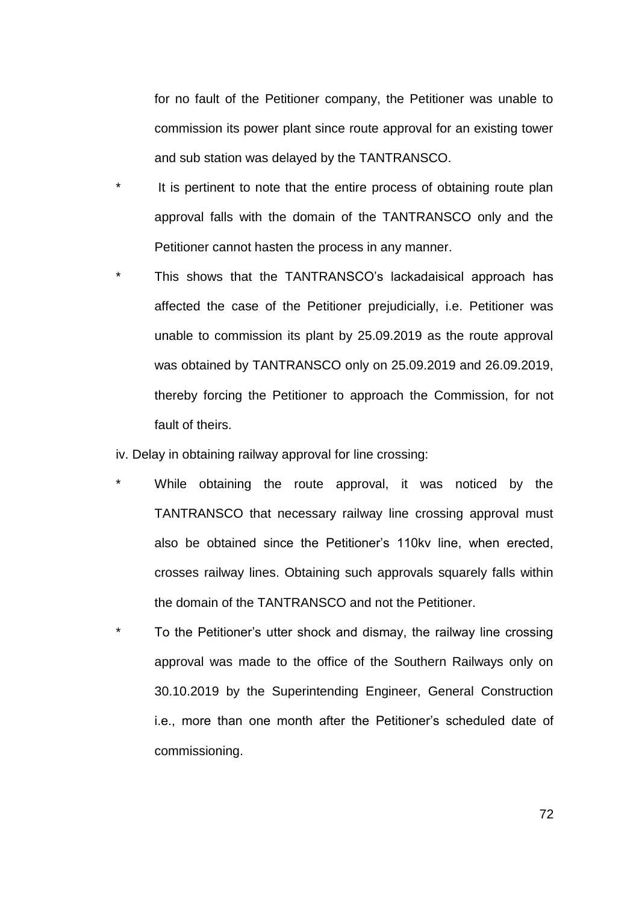for no fault of the Petitioner company, the Petitioner was unable to commission its power plant since route approval for an existing tower and sub station was delayed by the TANTRANSCO.

- It is pertinent to note that the entire process of obtaining route plan approval falls with the domain of the TANTRANSCO only and the Petitioner cannot hasten the process in any manner.
- This shows that the TANTRANSCO's lackadaisical approach has affected the case of the Petitioner prejudicially, i.e. Petitioner was unable to commission its plant by 25.09.2019 as the route approval was obtained by TANTRANSCO only on 25.09.2019 and 26.09.2019, thereby forcing the Petitioner to approach the Commission, for not fault of theirs.

iv. Delay in obtaining railway approval for line crossing:

- While obtaining the route approval, it was noticed by the TANTRANSCO that necessary railway line crossing approval must also be obtained since the Petitioner"s 110kv line, when erected, crosses railway lines. Obtaining such approvals squarely falls within the domain of the TANTRANSCO and not the Petitioner.
- To the Petitioner's utter shock and dismay, the railway line crossing approval was made to the office of the Southern Railways only on 30.10.2019 by the Superintending Engineer, General Construction i.e., more than one month after the Petitioner"s scheduled date of commissioning.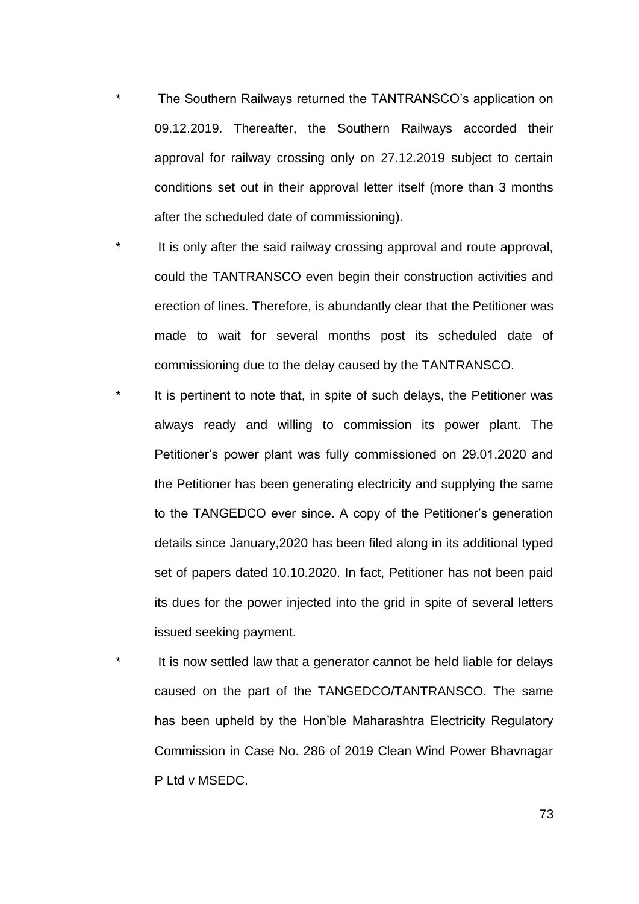- The Southern Railways returned the TANTRANSCO's application on 09.12.2019. Thereafter, the Southern Railways accorded their approval for railway crossing only on 27.12.2019 subject to certain conditions set out in their approval letter itself (more than 3 months after the scheduled date of commissioning).
- It is only after the said railway crossing approval and route approval, could the TANTRANSCO even begin their construction activities and erection of lines. Therefore, is abundantly clear that the Petitioner was made to wait for several months post its scheduled date of commissioning due to the delay caused by the TANTRANSCO.
- It is pertinent to note that, in spite of such delays, the Petitioner was always ready and willing to commission its power plant. The Petitioner"s power plant was fully commissioned on 29.01.2020 and the Petitioner has been generating electricity and supplying the same to the TANGEDCO ever since. A copy of the Petitioner"s generation details since January,2020 has been filed along in its additional typed set of papers dated 10.10.2020. In fact, Petitioner has not been paid its dues for the power injected into the grid in spite of several letters issued seeking payment.
- It is now settled law that a generator cannot be held liable for delays caused on the part of the TANGEDCO/TANTRANSCO. The same has been upheld by the Hon"ble Maharashtra Electricity Regulatory Commission in Case No. 286 of 2019 Clean Wind Power Bhavnagar P Ltd v MSEDC.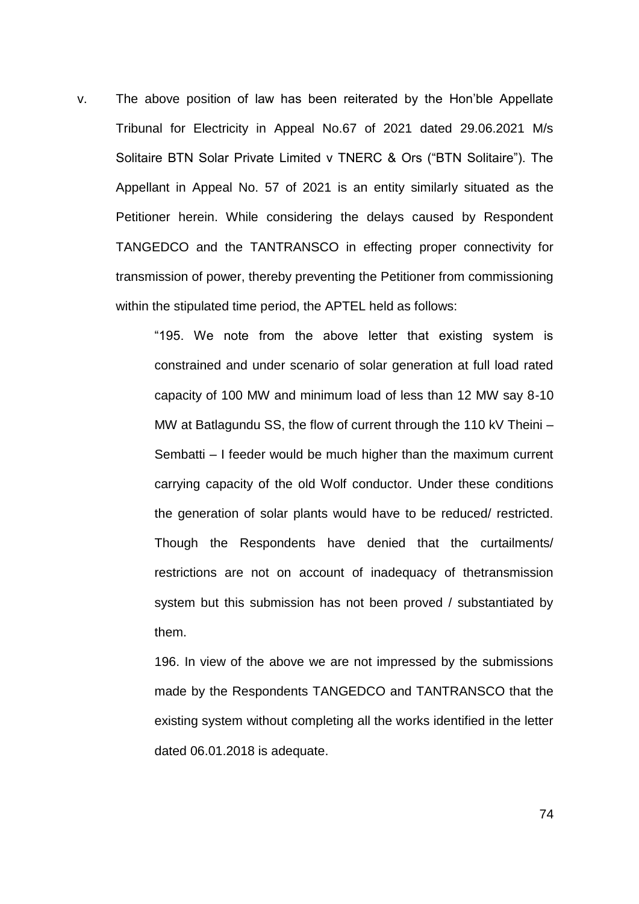v. The above position of law has been reiterated by the Hon"ble Appellate Tribunal for Electricity in Appeal No.67 of 2021 dated 29.06.2021 M/s Solitaire BTN Solar Private Limited v TNERC & Ors ("BTN Solitaire"). The Appellant in Appeal No. 57 of 2021 is an entity similarly situated as the Petitioner herein. While considering the delays caused by Respondent TANGEDCO and the TANTRANSCO in effecting proper connectivity for transmission of power, thereby preventing the Petitioner from commissioning within the stipulated time period, the APTEL held as follows:

> "195. We note from the above letter that existing system is constrained and under scenario of solar generation at full load rated capacity of 100 MW and minimum load of less than 12 MW say 8-10 MW at Batlagundu SS, the flow of current through the 110 kV Theini – Sembatti – I feeder would be much higher than the maximum current carrying capacity of the old Wolf conductor. Under these conditions the generation of solar plants would have to be reduced/ restricted. Though the Respondents have denied that the curtailments/ restrictions are not on account of inadequacy of thetransmission system but this submission has not been proved / substantiated by them.

> 196. In view of the above we are not impressed by the submissions made by the Respondents TANGEDCO and TANTRANSCO that the existing system without completing all the works identified in the letter dated 06.01.2018 is adequate.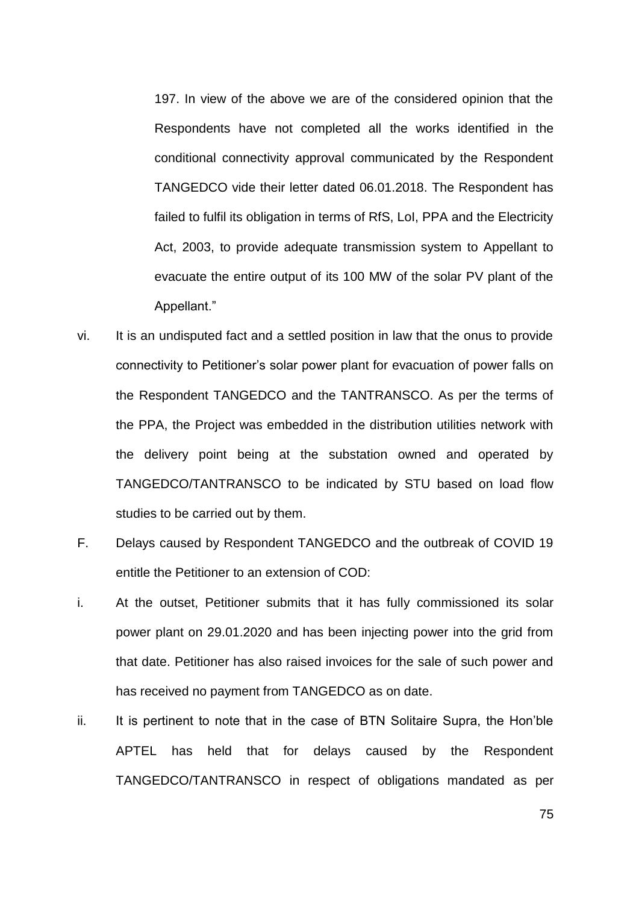197. In view of the above we are of the considered opinion that the Respondents have not completed all the works identified in the conditional connectivity approval communicated by the Respondent TANGEDCO vide their letter dated 06.01.2018. The Respondent has failed to fulfil its obligation in terms of RfS, LoI, PPA and the Electricity Act, 2003, to provide adequate transmission system to Appellant to evacuate the entire output of its 100 MW of the solar PV plant of the Appellant."

- vi. It is an undisputed fact and a settled position in law that the onus to provide connectivity to Petitioner"s solar power plant for evacuation of power falls on the Respondent TANGEDCO and the TANTRANSCO. As per the terms of the PPA, the Project was embedded in the distribution utilities network with the delivery point being at the substation owned and operated by TANGEDCO/TANTRANSCO to be indicated by STU based on load flow studies to be carried out by them.
- F. Delays caused by Respondent TANGEDCO and the outbreak of COVID 19 entitle the Petitioner to an extension of COD:
- i. At the outset, Petitioner submits that it has fully commissioned its solar power plant on 29.01.2020 and has been injecting power into the grid from that date. Petitioner has also raised invoices for the sale of such power and has received no payment from TANGEDCO as on date.
- ii. It is pertinent to note that in the case of BTN Solitaire Supra, the Hon'ble APTEL has held that for delays caused by the Respondent TANGEDCO/TANTRANSCO in respect of obligations mandated as per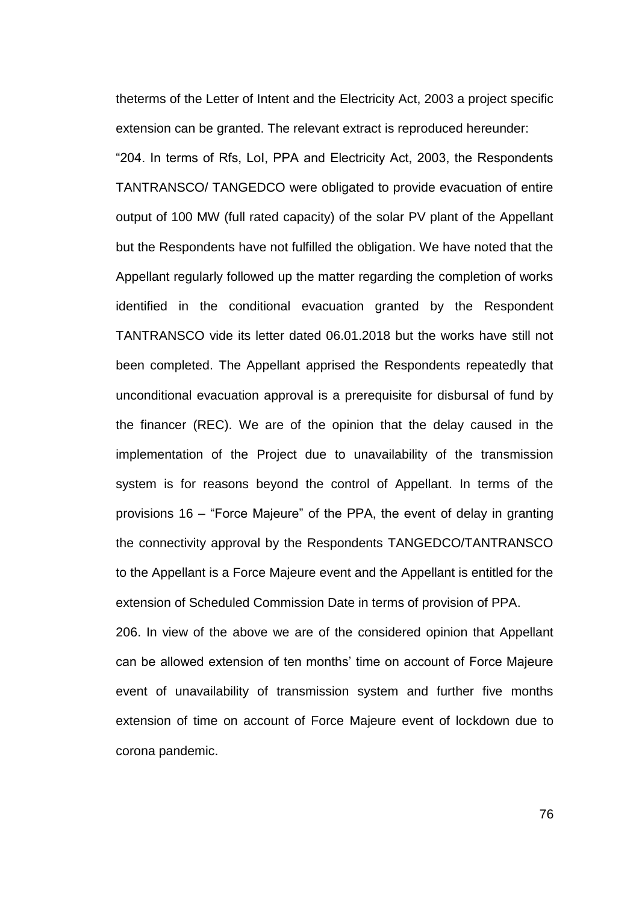theterms of the Letter of Intent and the Electricity Act, 2003 a project specific extension can be granted. The relevant extract is reproduced hereunder: "204. In terms of Rfs, LoI, PPA and Electricity Act, 2003, the Respondents

TANTRANSCO/ TANGEDCO were obligated to provide evacuation of entire output of 100 MW (full rated capacity) of the solar PV plant of the Appellant but the Respondents have not fulfilled the obligation. We have noted that the Appellant regularly followed up the matter regarding the completion of works identified in the conditional evacuation granted by the Respondent TANTRANSCO vide its letter dated 06.01.2018 but the works have still not been completed. The Appellant apprised the Respondents repeatedly that unconditional evacuation approval is a prerequisite for disbursal of fund by the financer (REC). We are of the opinion that the delay caused in the implementation of the Project due to unavailability of the transmission system is for reasons beyond the control of Appellant. In terms of the provisions 16 – "Force Majeure" of the PPA, the event of delay in granting the connectivity approval by the Respondents TANGEDCO/TANTRANSCO to the Appellant is a Force Majeure event and the Appellant is entitled for the extension of Scheduled Commission Date in terms of provision of PPA.

206. In view of the above we are of the considered opinion that Appellant can be allowed extension of ten months' time on account of Force Majeure event of unavailability of transmission system and further five months extension of time on account of Force Majeure event of lockdown due to corona pandemic.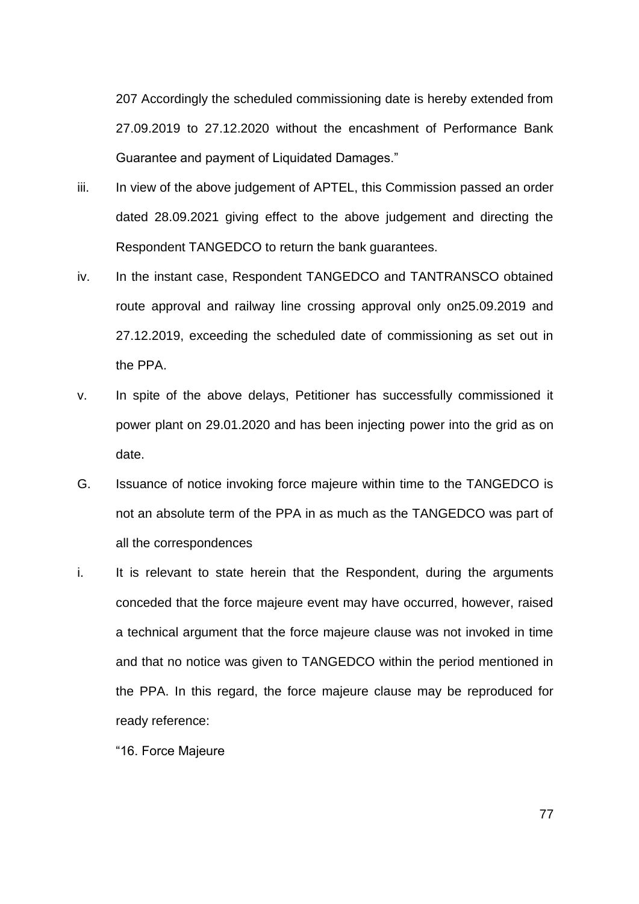207 Accordingly the scheduled commissioning date is hereby extended from 27.09.2019 to 27.12.2020 without the encashment of Performance Bank Guarantee and payment of Liquidated Damages."

- iii. In view of the above judgement of APTEL, this Commission passed an order dated 28.09.2021 giving effect to the above judgement and directing the Respondent TANGEDCO to return the bank guarantees.
- iv. In the instant case, Respondent TANGEDCO and TANTRANSCO obtained route approval and railway line crossing approval only on25.09.2019 and 27.12.2019, exceeding the scheduled date of commissioning as set out in the PPA.
- v. In spite of the above delays, Petitioner has successfully commissioned it power plant on 29.01.2020 and has been injecting power into the grid as on date.
- G. Issuance of notice invoking force majeure within time to the TANGEDCO is not an absolute term of the PPA in as much as the TANGEDCO was part of all the correspondences
- i. It is relevant to state herein that the Respondent, during the arguments conceded that the force majeure event may have occurred, however, raised a technical argument that the force majeure clause was not invoked in time and that no notice was given to TANGEDCO within the period mentioned in the PPA. In this regard, the force majeure clause may be reproduced for ready reference:

"16. Force Majeure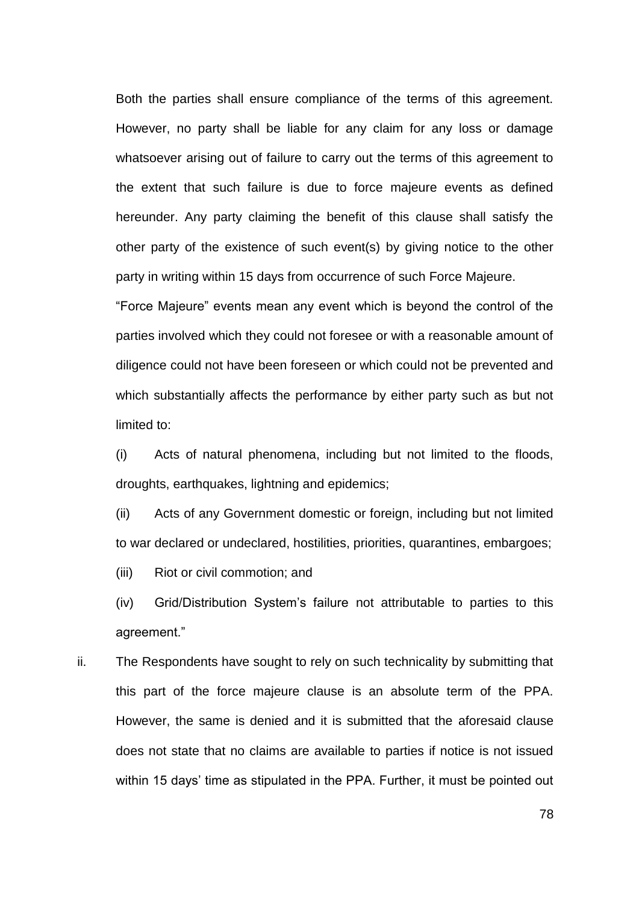Both the parties shall ensure compliance of the terms of this agreement. However, no party shall be liable for any claim for any loss or damage whatsoever arising out of failure to carry out the terms of this agreement to the extent that such failure is due to force majeure events as defined hereunder. Any party claiming the benefit of this clause shall satisfy the other party of the existence of such event(s) by giving notice to the other party in writing within 15 days from occurrence of such Force Majeure.

"Force Majeure" events mean any event which is beyond the control of the parties involved which they could not foresee or with a reasonable amount of diligence could not have been foreseen or which could not be prevented and which substantially affects the performance by either party such as but not limited to:

(i) Acts of natural phenomena, including but not limited to the floods, droughts, earthquakes, lightning and epidemics;

(ii) Acts of any Government domestic or foreign, including but not limited to war declared or undeclared, hostilities, priorities, quarantines, embargoes;

(iii) Riot or civil commotion; and

(iv) Grid/Distribution System"s failure not attributable to parties to this agreement."

ii. The Respondents have sought to rely on such technicality by submitting that this part of the force majeure clause is an absolute term of the PPA. However, the same is denied and it is submitted that the aforesaid clause does not state that no claims are available to parties if notice is not issued within 15 days' time as stipulated in the PPA. Further, it must be pointed out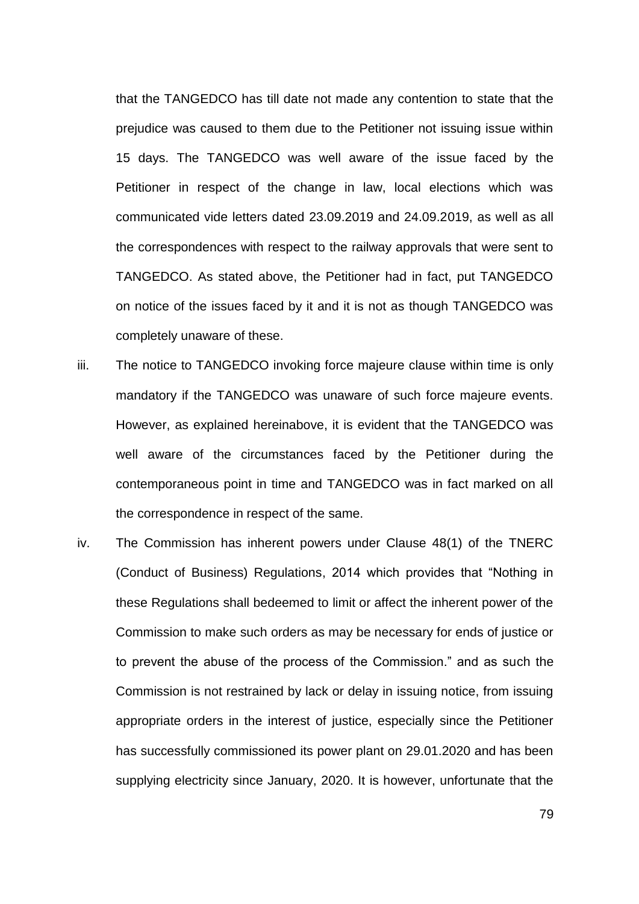that the TANGEDCO has till date not made any contention to state that the prejudice was caused to them due to the Petitioner not issuing issue within 15 days. The TANGEDCO was well aware of the issue faced by the Petitioner in respect of the change in law, local elections which was communicated vide letters dated 23.09.2019 and 24.09.2019, as well as all the correspondences with respect to the railway approvals that were sent to TANGEDCO. As stated above, the Petitioner had in fact, put TANGEDCO on notice of the issues faced by it and it is not as though TANGEDCO was completely unaware of these.

- iii. The notice to TANGEDCO invoking force majeure clause within time is only mandatory if the TANGEDCO was unaware of such force majeure events. However, as explained hereinabove, it is evident that the TANGEDCO was well aware of the circumstances faced by the Petitioner during the contemporaneous point in time and TANGEDCO was in fact marked on all the correspondence in respect of the same.
- iv. The Commission has inherent powers under Clause 48(1) of the TNERC (Conduct of Business) Regulations, 2014 which provides that "Nothing in these Regulations shall bedeemed to limit or affect the inherent power of the Commission to make such orders as may be necessary for ends of justice or to prevent the abuse of the process of the Commission." and as such the Commission is not restrained by lack or delay in issuing notice, from issuing appropriate orders in the interest of justice, especially since the Petitioner has successfully commissioned its power plant on 29.01.2020 and has been supplying electricity since January, 2020. It is however, unfortunate that the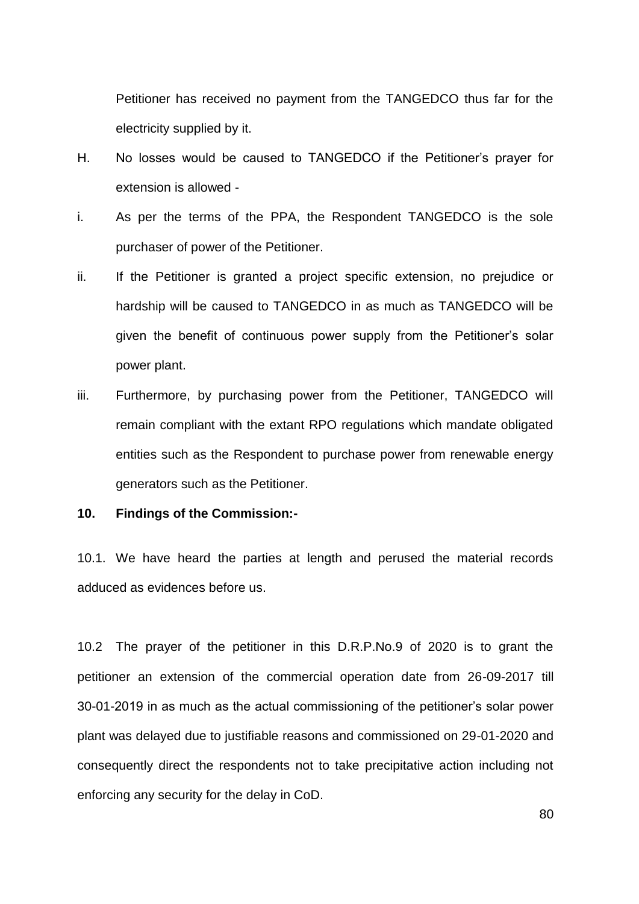Petitioner has received no payment from the TANGEDCO thus far for the electricity supplied by it.

- H. No losses would be caused to TANGEDCO if the Petitioner"s prayer for extension is allowed -
- i. As per the terms of the PPA, the Respondent TANGEDCO is the sole purchaser of power of the Petitioner.
- ii. If the Petitioner is granted a project specific extension, no prejudice or hardship will be caused to TANGEDCO in as much as TANGEDCO will be given the benefit of continuous power supply from the Petitioner"s solar power plant.
- iii. Furthermore, by purchasing power from the Petitioner, TANGEDCO will remain compliant with the extant RPO regulations which mandate obligated entities such as the Respondent to purchase power from renewable energy generators such as the Petitioner.

## **10. Findings of the Commission:-**

10.1. We have heard the parties at length and perused the material records adduced as evidences before us.

10.2 The prayer of the petitioner in this D.R.P.No.9 of 2020 is to grant the petitioner an extension of the commercial operation date from 26-09-2017 till 30-01-2019 in as much as the actual commissioning of the petitioner"s solar power plant was delayed due to justifiable reasons and commissioned on 29-01-2020 and consequently direct the respondents not to take precipitative action including not enforcing any security for the delay in CoD.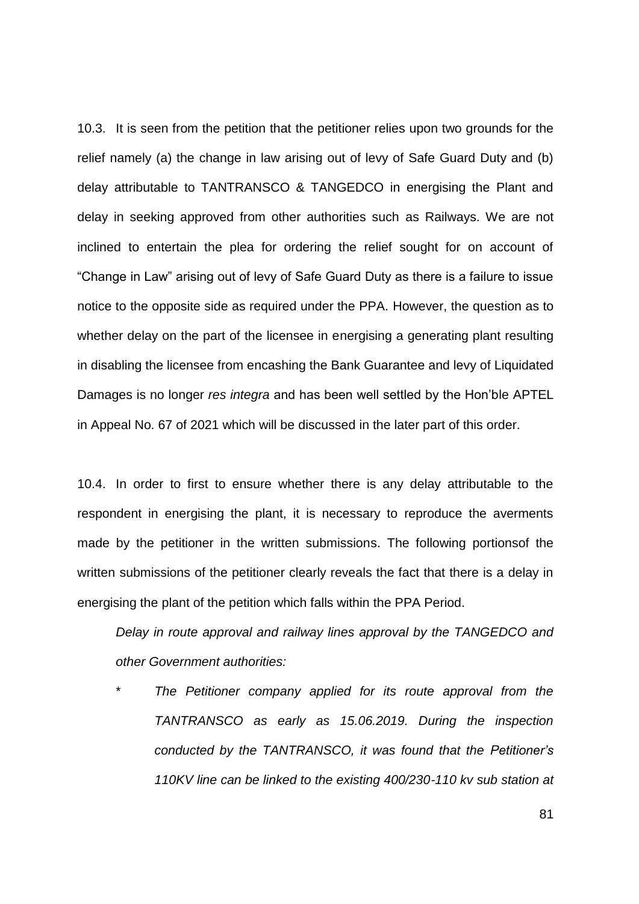10.3. It is seen from the petition that the petitioner relies upon two grounds for the relief namely (a) the change in law arising out of levy of Safe Guard Duty and (b) delay attributable to TANTRANSCO & TANGEDCO in energising the Plant and delay in seeking approved from other authorities such as Railways. We are not inclined to entertain the plea for ordering the relief sought for on account of "Change in Law" arising out of levy of Safe Guard Duty as there is a failure to issue notice to the opposite side as required under the PPA. However, the question as to whether delay on the part of the licensee in energising a generating plant resulting in disabling the licensee from encashing the Bank Guarantee and levy of Liquidated Damages is no longer *res integra* and has been well settled by the Hon"ble APTEL in Appeal No. 67 of 2021 which will be discussed in the later part of this order.

10.4. In order to first to ensure whether there is any delay attributable to the respondent in energising the plant, it is necessary to reproduce the averments made by the petitioner in the written submissions. The following portionsof the written submissions of the petitioner clearly reveals the fact that there is a delay in energising the plant of the petition which falls within the PPA Period.

*Delay in route approval and railway lines approval by the TANGEDCO and other Government authorities:*

The Petitioner company applied for its route approval from the *TANTRANSCO as early as 15.06.2019. During the inspection conducted by the TANTRANSCO, it was found that the Petitioner"s 110KV line can be linked to the existing 400/230-110 kv sub station at*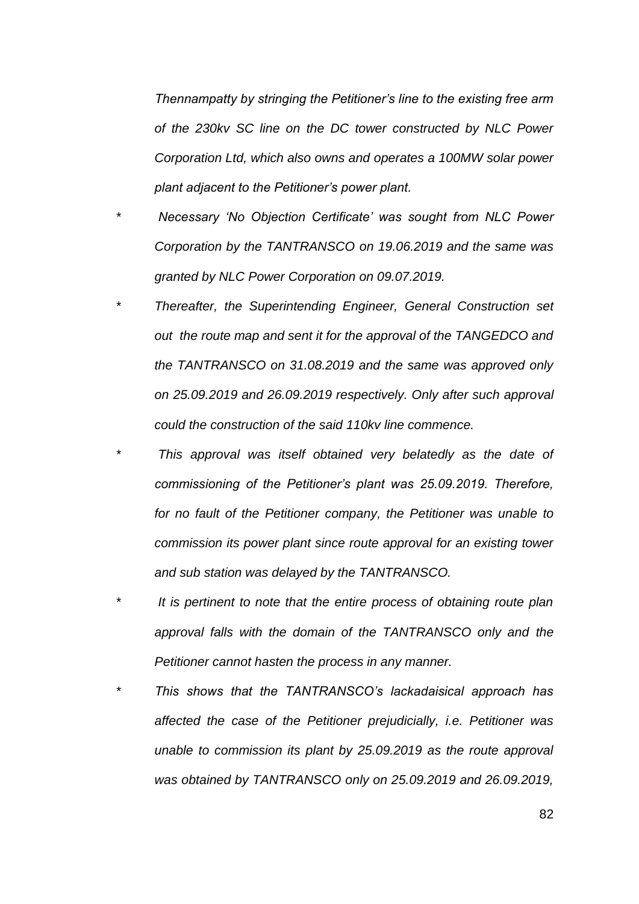*Thennampatty by stringing the Petitioner"s line to the existing free arm of the 230kv SC line on the DC tower constructed by NLC Power Corporation Ltd, which also owns and operates a 100MW solar power plant adjacent to the Petitioner"s power plant.*

- *\* Necessary "No Objection Certificate" was sought from NLC Power Corporation by the TANTRANSCO on 19.06.2019 and the same was granted by NLC Power Corporation on 09.07.2019.*
- *\* Thereafter, the Superintending Engineer, General Construction set out the route map and sent it for the approval of the TANGEDCO and the TANTRANSCO on 31.08.2019 and the same was approved only on 25.09.2019 and 26.09.2019 respectively. Only after such approval could the construction of the said 110kv line commence.*
- *\* This approval was itself obtained very belatedly as the date of commissioning of the Petitioner"s plant was 25.09.2019. Therefore, for no fault of the Petitioner company, the Petitioner was unable to commission its power plant since route approval for an existing tower and sub station was delayed by the TANTRANSCO.*
- *\* It is pertinent to note that the entire process of obtaining route plan approval falls with the domain of the TANTRANSCO only and the Petitioner cannot hasten the process in any manner.*
- *\* This shows that the TANTRANSCO"s lackadaisical approach has affected the case of the Petitioner prejudicially, i.e. Petitioner was unable to commission its plant by 25.09.2019 as the route approval was obtained by TANTRANSCO only on 25.09.2019 and 26.09.2019,*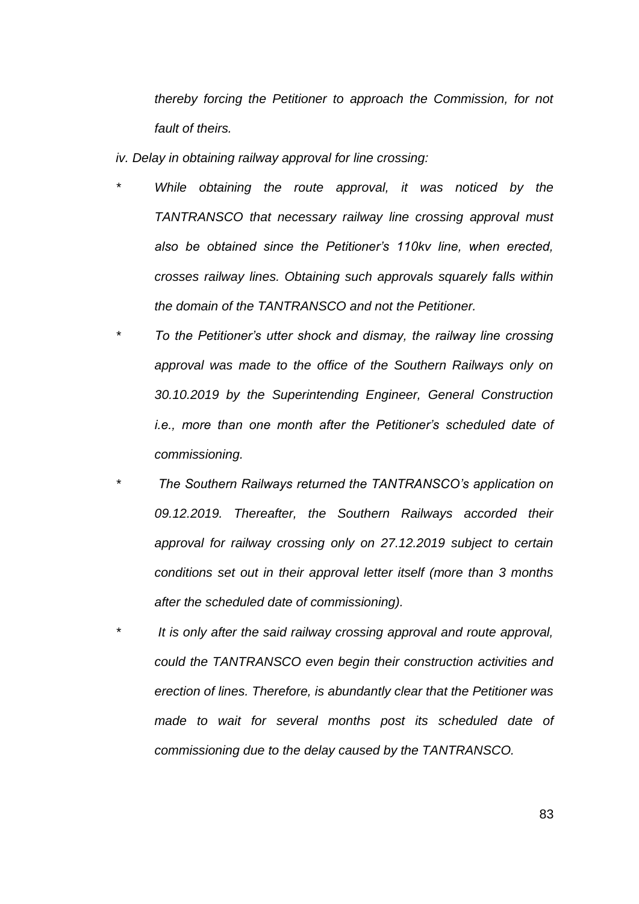*thereby forcing the Petitioner to approach the Commission, for not fault of theirs.*

*iv. Delay in obtaining railway approval for line crossing:*

- *While obtaining the route approval, it was noticed by the TANTRANSCO that necessary railway line crossing approval must also be obtained since the Petitioner"s 110kv line, when erected, crosses railway lines. Obtaining such approvals squarely falls within the domain of the TANTRANSCO and not the Petitioner.*
- *\* To the Petitioner"s utter shock and dismay, the railway line crossing approval was made to the office of the Southern Railways only on 30.10.2019 by the Superintending Engineer, General Construction i.e., more than one month after the Petitioner's scheduled date of commissioning.*
- *\* The Southern Railways returned the TANTRANSCO"s application on 09.12.2019. Thereafter, the Southern Railways accorded their approval for railway crossing only on 27.12.2019 subject to certain conditions set out in their approval letter itself (more than 3 months after the scheduled date of commissioning).*
- *\* It is only after the said railway crossing approval and route approval, could the TANTRANSCO even begin their construction activities and erection of lines. Therefore, is abundantly clear that the Petitioner was made to wait for several months post its scheduled date of commissioning due to the delay caused by the TANTRANSCO.*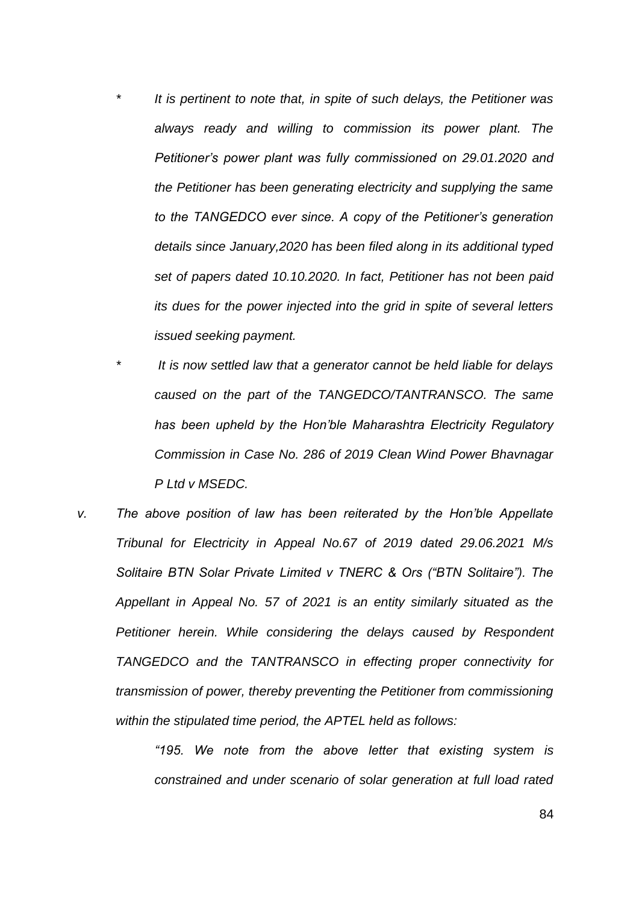- *\* It is pertinent to note that, in spite of such delays, the Petitioner was always ready and willing to commission its power plant. The Petitioner"s power plant was fully commissioned on 29.01.2020 and the Petitioner has been generating electricity and supplying the same to the TANGEDCO ever since. A copy of the Petitioner"s generation details since January,2020 has been filed along in its additional typed set of papers dated 10.10.2020. In fact, Petitioner has not been paid its dues for the power injected into the grid in spite of several letters issued seeking payment.*
	- *\* It is now settled law that a generator cannot be held liable for delays caused on the part of the TANGEDCO/TANTRANSCO. The same has been upheld by the Hon"ble Maharashtra Electricity Regulatory Commission in Case No. 286 of 2019 Clean Wind Power Bhavnagar P Ltd v MSEDC.*
- *v. The above position of law has been reiterated by the Hon"ble Appellate Tribunal for Electricity in Appeal No.67 of 2019 dated 29.06.2021 M/s Solitaire BTN Solar Private Limited v TNERC & Ors ("BTN Solitaire"). The Appellant in Appeal No. 57 of 2021 is an entity similarly situated as the Petitioner herein. While considering the delays caused by Respondent TANGEDCO and the TANTRANSCO in effecting proper connectivity for transmission of power, thereby preventing the Petitioner from commissioning within the stipulated time period, the APTEL held as follows:*

*"195. We note from the above letter that existing system is constrained and under scenario of solar generation at full load rated*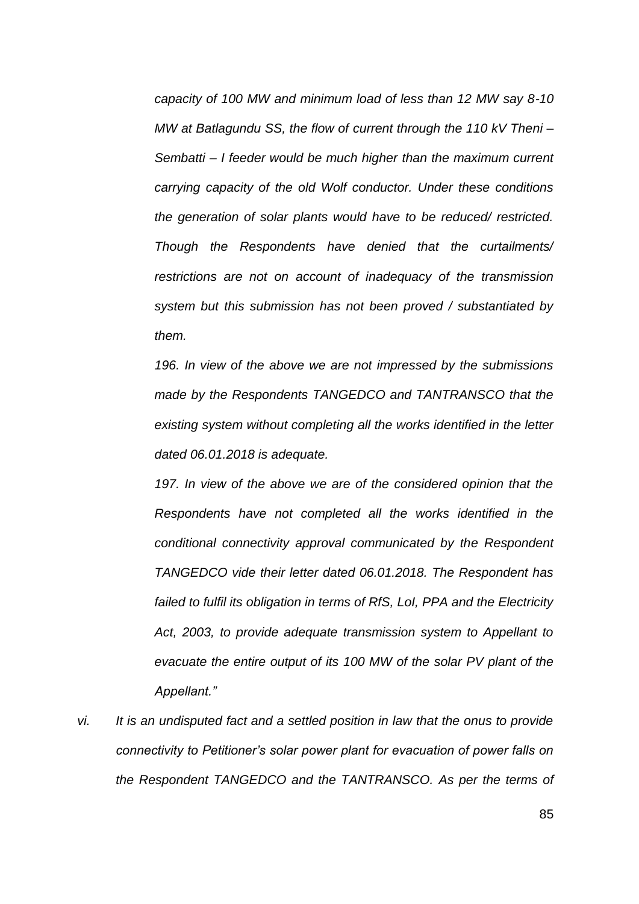*capacity of 100 MW and minimum load of less than 12 MW say 8-10 MW at Batlagundu SS, the flow of current through the 110 kV Theni – Sembatti – I feeder would be much higher than the maximum current carrying capacity of the old Wolf conductor. Under these conditions the generation of solar plants would have to be reduced/ restricted. Though the Respondents have denied that the curtailments/ restrictions are not on account of inadequacy of the transmission system but this submission has not been proved / substantiated by them.*

*196. In view of the above we are not impressed by the submissions made by the Respondents TANGEDCO and TANTRANSCO that the existing system without completing all the works identified in the letter dated 06.01.2018 is adequate.*

*197. In view of the above we are of the considered opinion that the Respondents have not completed all the works identified in the conditional connectivity approval communicated by the Respondent TANGEDCO vide their letter dated 06.01.2018. The Respondent has failed to fulfil its obligation in terms of RfS, LoI, PPA and the Electricity Act, 2003, to provide adequate transmission system to Appellant to evacuate the entire output of its 100 MW of the solar PV plant of the Appellant."*

*vi. It is an undisputed fact and a settled position in law that the onus to provide connectivity to Petitioner"s solar power plant for evacuation of power falls on the Respondent TANGEDCO and the TANTRANSCO. As per the terms of*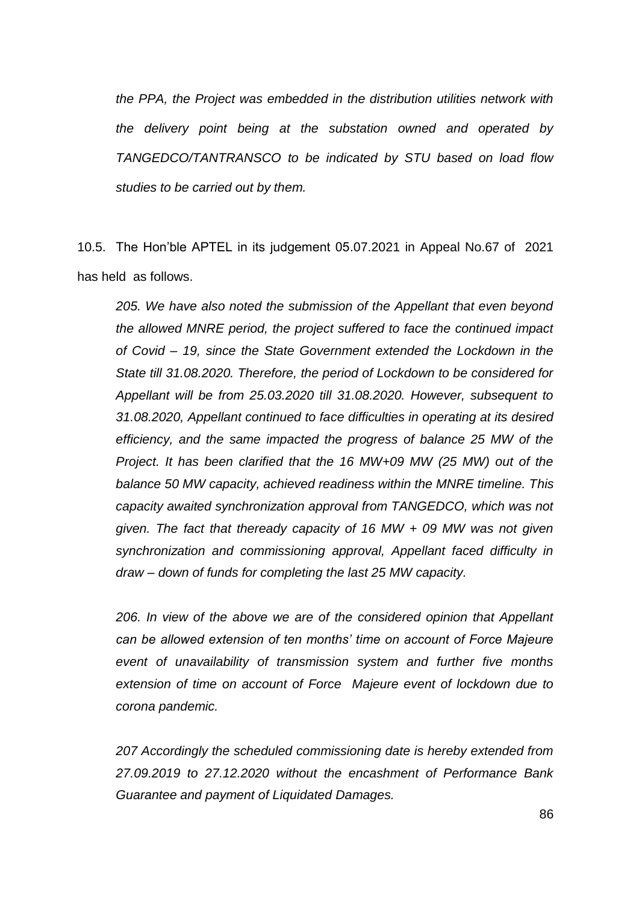*the PPA, the Project was embedded in the distribution utilities network with the delivery point being at the substation owned and operated by TANGEDCO/TANTRANSCO to be indicated by STU based on load flow studies to be carried out by them.*

10.5. The Hon"ble APTEL in its judgement 05.07.2021 in Appeal No.67 of 2021 has held as follows.

*205. We have also noted the submission of the Appellant that even beyond the allowed MNRE period, the project suffered to face the continued impact of Covid – 19, since the State Government extended the Lockdown in the State till 31.08.2020. Therefore, the period of Lockdown to be considered for Appellant will be from 25.03.2020 till 31.08.2020. However, subsequent to 31.08.2020, Appellant continued to face difficulties in operating at its desired efficiency, and the same impacted the progress of balance 25 MW of the Project. It has been clarified that the 16 MW+09 MW (25 MW) out of the balance 50 MW capacity, achieved readiness within the MNRE timeline. This capacity awaited synchronization approval from TANGEDCO, which was not given. The fact that theready capacity of 16 MW + 09 MW was not given synchronization and commissioning approval, Appellant faced difficulty in draw – down of funds for completing the last 25 MW capacity.*

*206. In view of the above we are of the considered opinion that Appellant can be allowed extension of ten months" time on account of Force Majeure event of unavailability of transmission system and further five months extension of time on account of Force Majeure event of lockdown due to corona pandemic.*

*207 Accordingly the scheduled commissioning date is hereby extended from 27.09.2019 to 27.12.2020 without the encashment of Performance Bank Guarantee and payment of Liquidated Damages.*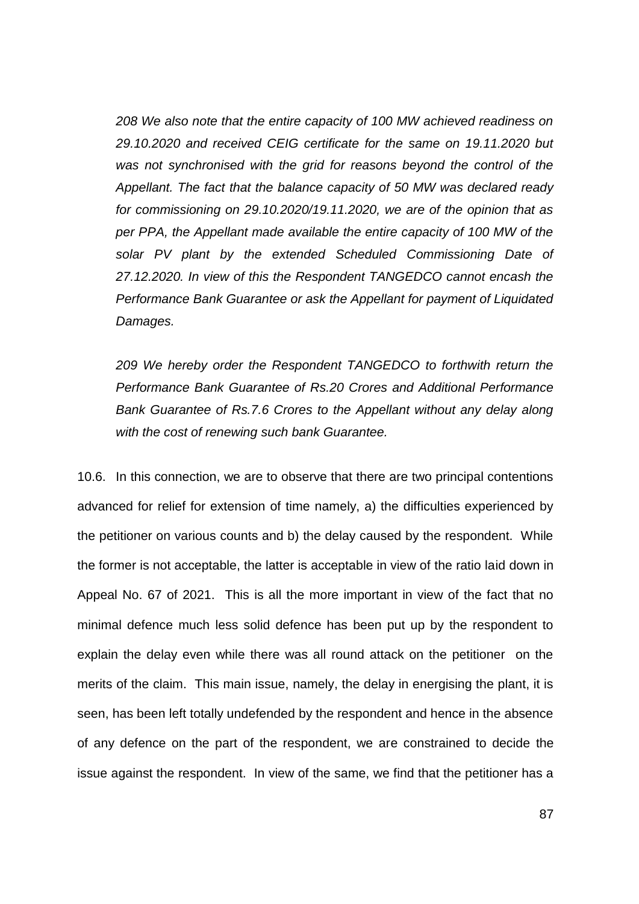*208 We also note that the entire capacity of 100 MW achieved readiness on 29.10.2020 and received CEIG certificate for the same on 19.11.2020 but was not synchronised with the grid for reasons beyond the control of the Appellant. The fact that the balance capacity of 50 MW was declared ready for commissioning on 29.10.2020/19.11.2020, we are of the opinion that as per PPA, the Appellant made available the entire capacity of 100 MW of the solar PV plant by the extended Scheduled Commissioning Date of 27.12.2020. In view of this the Respondent TANGEDCO cannot encash the Performance Bank Guarantee or ask the Appellant for payment of Liquidated Damages.*

*209 We hereby order the Respondent TANGEDCO to forthwith return the Performance Bank Guarantee of Rs.20 Crores and Additional Performance Bank Guarantee of Rs.7.6 Crores to the Appellant without any delay along with the cost of renewing such bank Guarantee.*

10.6. In this connection, we are to observe that there are two principal contentions advanced for relief for extension of time namely, a) the difficulties experienced by the petitioner on various counts and b) the delay caused by the respondent. While the former is not acceptable, the latter is acceptable in view of the ratio laid down in Appeal No. 67 of 2021. This is all the more important in view of the fact that no minimal defence much less solid defence has been put up by the respondent to explain the delay even while there was all round attack on the petitioner on the merits of the claim. This main issue, namely, the delay in energising the plant, it is seen, has been left totally undefended by the respondent and hence in the absence of any defence on the part of the respondent, we are constrained to decide the issue against the respondent. In view of the same, we find that the petitioner has a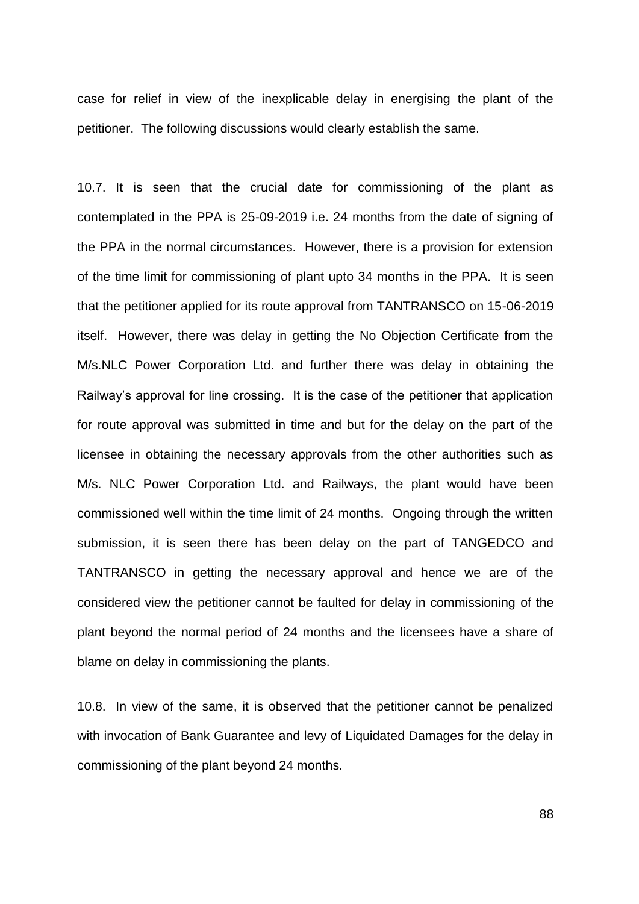case for relief in view of the inexplicable delay in energising the plant of the petitioner. The following discussions would clearly establish the same.

10.7. It is seen that the crucial date for commissioning of the plant as contemplated in the PPA is 25-09-2019 i.e. 24 months from the date of signing of the PPA in the normal circumstances. However, there is a provision for extension of the time limit for commissioning of plant upto 34 months in the PPA. It is seen that the petitioner applied for its route approval from TANTRANSCO on 15-06-2019 itself. However, there was delay in getting the No Objection Certificate from the M/s.NLC Power Corporation Ltd. and further there was delay in obtaining the Railway"s approval for line crossing. It is the case of the petitioner that application for route approval was submitted in time and but for the delay on the part of the licensee in obtaining the necessary approvals from the other authorities such as M/s. NLC Power Corporation Ltd. and Railways, the plant would have been commissioned well within the time limit of 24 months. Ongoing through the written submission, it is seen there has been delay on the part of TANGEDCO and TANTRANSCO in getting the necessary approval and hence we are of the considered view the petitioner cannot be faulted for delay in commissioning of the plant beyond the normal period of 24 months and the licensees have a share of blame on delay in commissioning the plants.

10.8. In view of the same, it is observed that the petitioner cannot be penalized with invocation of Bank Guarantee and levy of Liquidated Damages for the delay in commissioning of the plant beyond 24 months.